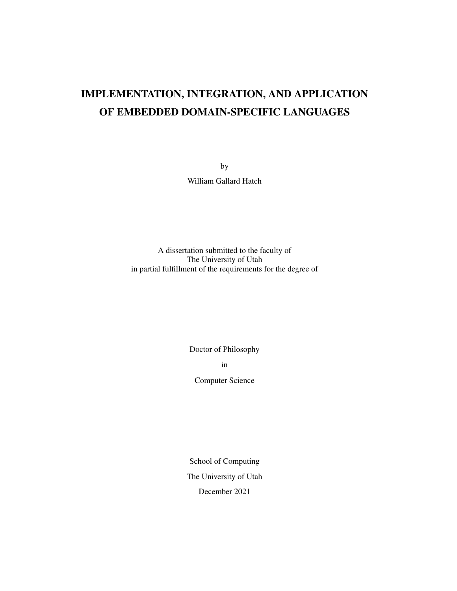# <span id="page-0-0"></span>IMPLEMENTATION, INTEGRATION, AND APPLICATION OF EMBEDDED DOMAIN-SPECIFIC LANGUAGES

by

William Gallard Hatch

A dissertation submitted to the faculty of The University of Utah in partial fulfillment of the requirements for the degree of

Doctor of Philosophy

in

Computer Science

School of Computing The University of Utah December 2021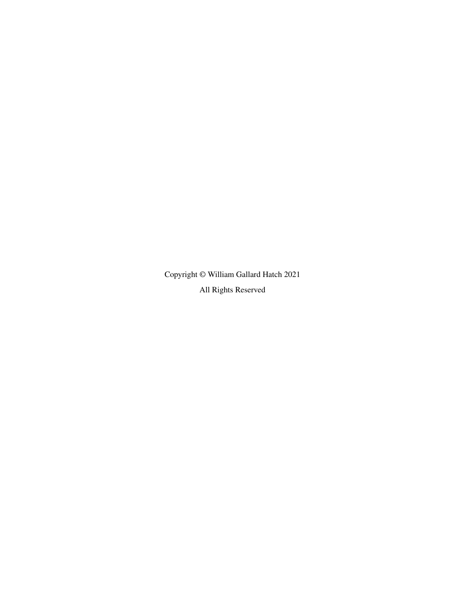Copyright © William Gallard Hatch 2021 All Rights Reserved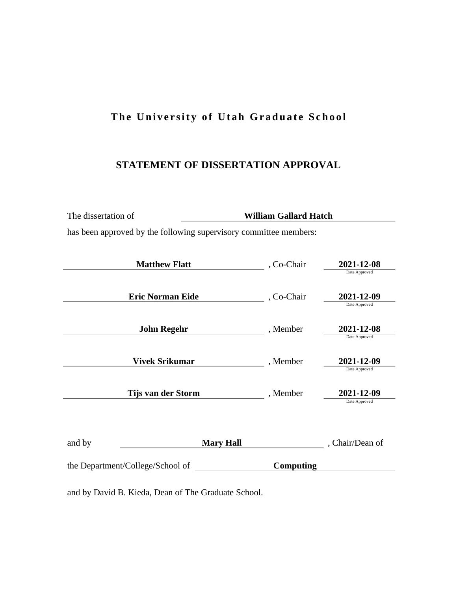# **The University of Utah Graduate School**

# **STATEMENT OF DISSERTATION APPROVAL**

| The dissertation of                                               | <b>William Gallard Hatch</b> |                 |  |  |  |
|-------------------------------------------------------------------|------------------------------|-----------------|--|--|--|
| has been approved by the following supervisory committee members: |                              |                 |  |  |  |
|                                                                   |                              |                 |  |  |  |
| <b>Matthew Flatt</b>                                              | , Co-Chair                   | 2021-12-08      |  |  |  |
|                                                                   |                              | Date Approved   |  |  |  |
| <b>Eric Norman Eide</b>                                           | , Co-Chair                   | 2021-12-09      |  |  |  |
|                                                                   |                              | Date Approved   |  |  |  |
| <b>John Regehr</b>                                                | , Member                     | 2021-12-08      |  |  |  |
|                                                                   |                              | Date Approved   |  |  |  |
| <b>Vivek Srikumar</b>                                             | , Member                     | 2021-12-09      |  |  |  |
|                                                                   |                              | Date Approved   |  |  |  |
| <b>Tijs van der Storm</b>                                         | , Member                     | 2021-12-09      |  |  |  |
|                                                                   |                              | Date Approved   |  |  |  |
|                                                                   |                              |                 |  |  |  |
| and by<br><b>Mary Hall</b>                                        |                              | , Chair/Dean of |  |  |  |
|                                                                   |                              |                 |  |  |  |
| the Department/College/School of                                  | <b>Computing</b>             |                 |  |  |  |
|                                                                   |                              |                 |  |  |  |
| and by David B. Kieda, Dean of The Graduate School.               |                              |                 |  |  |  |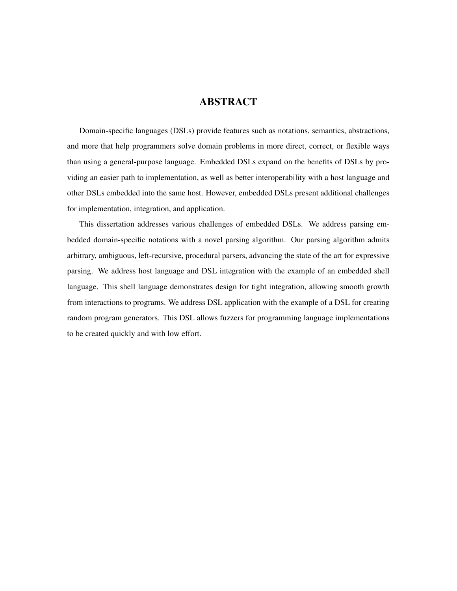## ABSTRACT

Domain-specific languages (DSLs) provide features such as notations, semantics, abstractions, and more that help programmers solve domain problems in more direct, correct, or flexible ways than using a general-purpose language. Embedded DSLs expand on the benefits of DSLs by providing an easier path to implementation, as well as better interoperability with a host language and other DSLs embedded into the same host. However, embedded DSLs present additional challenges for implementation, integration, and application.

This dissertation addresses various challenges of embedded DSLs. We address parsing embedded domain-specific notations with a novel parsing algorithm. Our parsing algorithm admits arbitrary, ambiguous, left-recursive, procedural parsers, advancing the state of the art for expressive parsing. We address host language and DSL integration with the example of an embedded shell language. This shell language demonstrates design for tight integration, allowing smooth growth from interactions to programs. We address DSL application with the example of a DSL for creating random program generators. This DSL allows fuzzers for programming language implementations to be created quickly and with low effort.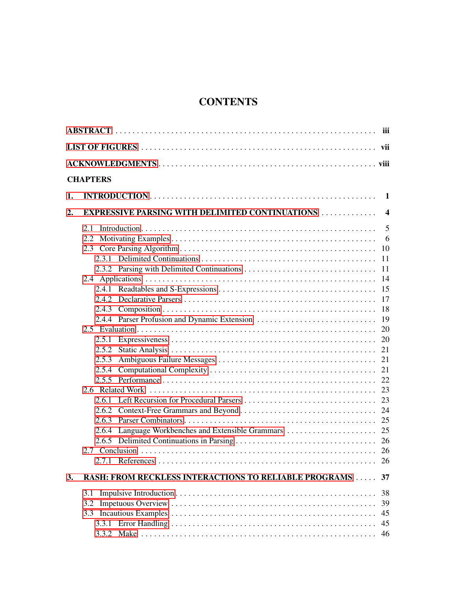# **CONTENTS**

|                  | <b>CHAPTERS</b>                                               |                         |
|------------------|---------------------------------------------------------------|-------------------------|
| 1.               |                                                               | 1                       |
| $\overline{2}$ . | <b>EXPRESSIVE PARSING WITH DELIMITED CONTINUATIONS </b>       | $\overline{\mathbf{4}}$ |
|                  | 2.1<br>2.2                                                    | 5<br>6                  |
|                  |                                                               | 11                      |
|                  |                                                               | 11<br>14                |
|                  | 2.4.2                                                         | 17                      |
|                  | 2.4.3<br>2.4.4 Parser Profusion and Dynamic Extension         | 18<br>19                |
|                  | 2.5.1                                                         | 20                      |
|                  | 2.5.2<br>2.5.3                                                | 21                      |
|                  | 2.5.4                                                         | 22                      |
|                  | 2.6.1                                                         | 23                      |
|                  | 2.6.3                                                         |                         |
|                  | 2.6.4                                                         |                         |
|                  | $\cdots \cdots 26$                                            |                         |
| 3.               | <b>RASH: FROM RECKLESS INTERACTIONS TO RELIABLE PROGRAMS </b> | 37                      |
|                  | 3.1<br>3.2                                                    | 38<br>39                |
|                  |                                                               | 45<br>45                |
|                  |                                                               | 46                      |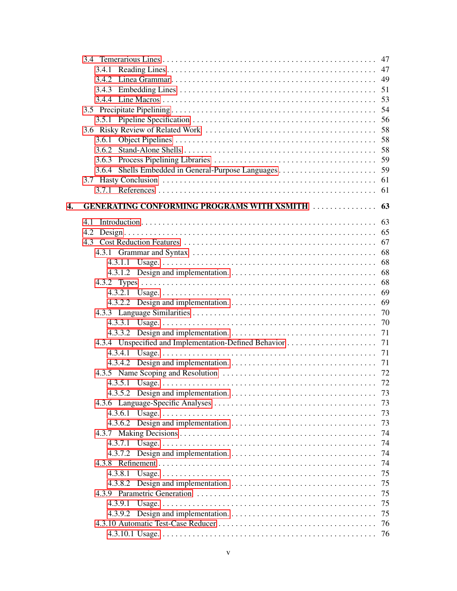|    | 341                                                   | 47 |
|----|-------------------------------------------------------|----|
|    |                                                       | 49 |
|    |                                                       | 51 |
|    |                                                       | 53 |
|    |                                                       |    |
|    |                                                       | 56 |
|    |                                                       | 58 |
|    | 3.6.1                                                 |    |
|    | 3.6.2                                                 | 58 |
|    | 3.6.3                                                 |    |
|    |                                                       |    |
|    |                                                       |    |
|    |                                                       | 61 |
|    |                                                       |    |
| 4. | <b>GENERATING CONFORMING PROGRAMS WITH XSMITH </b>    | 63 |
|    |                                                       | 63 |
|    |                                                       | 65 |
|    |                                                       | 67 |
|    |                                                       |    |
|    |                                                       | 68 |
|    |                                                       | 68 |
|    |                                                       | 68 |
|    |                                                       | 69 |
|    |                                                       | 69 |
|    |                                                       | 70 |
|    |                                                       | 70 |
|    |                                                       | 71 |
|    | 4.3.4 Unspecified and Implementation-Defined Behavior | 71 |
|    |                                                       | 71 |
|    |                                                       | 71 |
|    |                                                       |    |
|    |                                                       |    |
|    |                                                       | 73 |
|    |                                                       | 73 |
|    |                                                       | 73 |
|    |                                                       | 73 |
|    |                                                       | 74 |
|    |                                                       | 74 |
|    |                                                       | 74 |
|    |                                                       | 74 |
|    | 4.3.8.1                                               | 75 |
|    | 4.3.8.2                                               | 75 |
|    |                                                       | 75 |
|    | 4.3.9.1                                               | 75 |
|    | 4.3.9.2                                               | 75 |
|    |                                                       | 76 |
|    |                                                       | 76 |
|    |                                                       |    |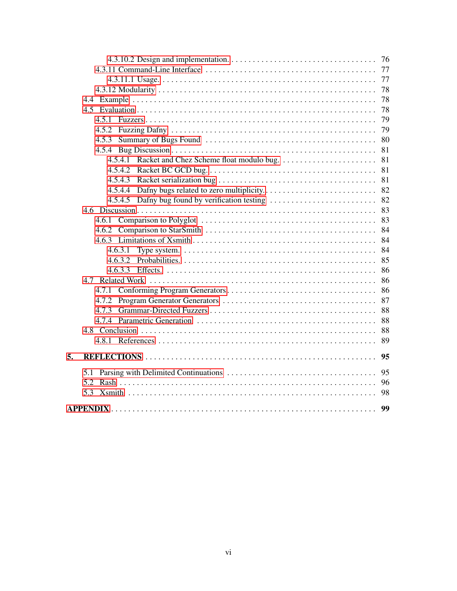|    |         | 76 |
|----|---------|----|
|    |         | 77 |
|    |         | 77 |
|    |         | 78 |
|    |         | 78 |
|    |         | 78 |
|    |         | 79 |
|    |         | 79 |
|    | 4.5.3   | 80 |
|    |         | 81 |
|    |         | 81 |
|    |         | 81 |
|    | 4.5.4.3 | 81 |
|    | 4.5.4.4 | 82 |
|    | 4.5.4.5 | 82 |
|    |         | 83 |
|    |         | 83 |
|    |         | 84 |
|    |         | 84 |
|    |         | 84 |
|    |         | 85 |
|    |         | 86 |
|    |         | 86 |
|    | 4.7.1   | 86 |
|    | 4.7.2   | 87 |
|    | 4.7.3   | 88 |
|    |         | 88 |
|    |         | 88 |
|    | 4.8.1   | 89 |
| 5. |         | 95 |
|    |         | 95 |
|    | 5.2     | 96 |
|    |         | 98 |
|    |         | 99 |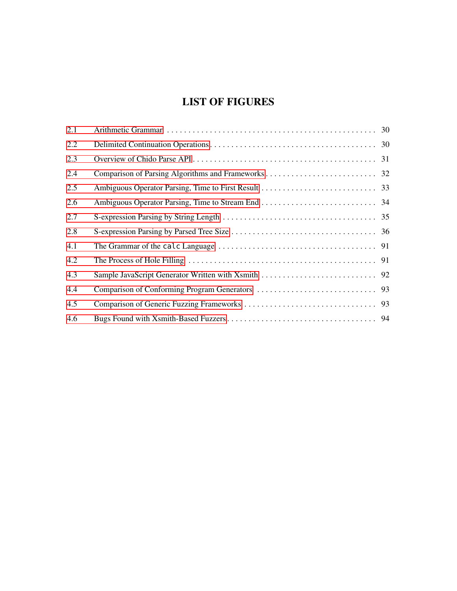# LIST OF FIGURES

| 2.1 |  |
|-----|--|
| 2.2 |  |
| 2.3 |  |
| 2.4 |  |
| 2.5 |  |
| 2.6 |  |
| 2.7 |  |
| 2.8 |  |
| 4.1 |  |
| 4.2 |  |
| 4.3 |  |
| 4.4 |  |
| 4.5 |  |
| 4.6 |  |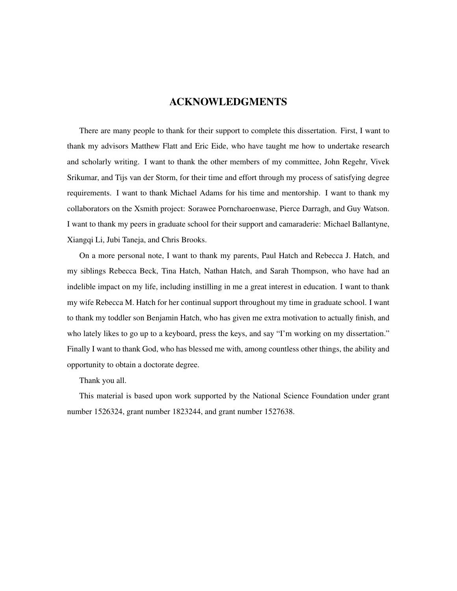## ACKNOWLEDGMENTS

There are many people to thank for their support to complete this dissertation. First, I want to thank my advisors Matthew Flatt and Eric Eide, who have taught me how to undertake research and scholarly writing. I want to thank the other members of my committee, John Regehr, Vivek Srikumar, and Tijs van der Storm, for their time and effort through my process of satisfying degree requirements. I want to thank Michael Adams for his time and mentorship. I want to thank my collaborators on the Xsmith project: Sorawee Porncharoenwase, Pierce Darragh, and Guy Watson. I want to thank my peers in graduate school for their support and camaraderie: Michael Ballantyne, Xiangqi Li, Jubi Taneja, and Chris Brooks.

On a more personal note, I want to thank my parents, Paul Hatch and Rebecca J. Hatch, and my siblings Rebecca Beck, Tina Hatch, Nathan Hatch, and Sarah Thompson, who have had an indelible impact on my life, including instilling in me a great interest in education. I want to thank my wife Rebecca M. Hatch for her continual support throughout my time in graduate school. I want to thank my toddler son Benjamin Hatch, who has given me extra motivation to actually finish, and who lately likes to go up to a keyboard, press the keys, and say "I'm working on my dissertation." Finally I want to thank God, who has blessed me with, among countless other things, the ability and opportunity to obtain a doctorate degree.

Thank you all.

This material is based upon work supported by the National Science Foundation under grant number 1526324, grant number 1823244, and grant number 1527638.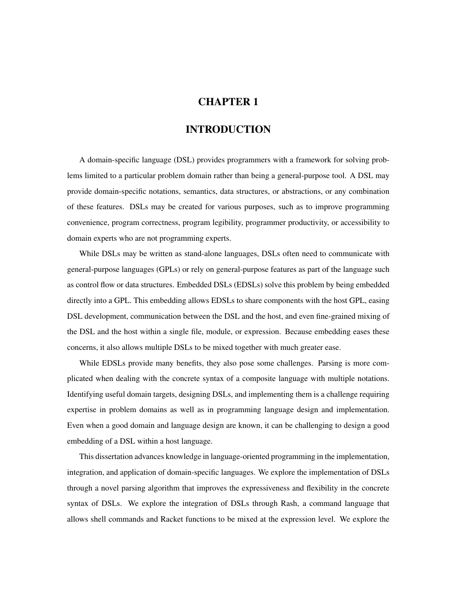## CHAPTER 1

## INTRODUCTION

<span id="page-9-0"></span>A domain-specific language (DSL) provides programmers with a framework for solving problems limited to a particular problem domain rather than being a general-purpose tool. A DSL may provide domain-specific notations, semantics, data structures, or abstractions, or any combination of these features. DSLs may be created for various purposes, such as to improve programming convenience, program correctness, program legibility, programmer productivity, or accessibility to domain experts who are not programming experts.

While DSLs may be written as stand-alone languages, DSLs often need to communicate with general-purpose languages (GPLs) or rely on general-purpose features as part of the language such as control flow or data structures. Embedded DSLs (EDSLs) solve this problem by being embedded directly into a GPL. This embedding allows EDSLs to share components with the host GPL, easing DSL development, communication between the DSL and the host, and even fine-grained mixing of the DSL and the host within a single file, module, or expression. Because embedding eases these concerns, it also allows multiple DSLs to be mixed together with much greater ease.

While EDSLs provide many benefits, they also pose some challenges. Parsing is more complicated when dealing with the concrete syntax of a composite language with multiple notations. Identifying useful domain targets, designing DSLs, and implementing them is a challenge requiring expertise in problem domains as well as in programming language design and implementation. Even when a good domain and language design are known, it can be challenging to design a good embedding of a DSL within a host language.

This dissertation advances knowledge in language-oriented programming in the implementation, integration, and application of domain-specific languages. We explore the implementation of DSLs through a novel parsing algorithm that improves the expressiveness and flexibility in the concrete syntax of DSLs. We explore the integration of DSLs through Rash, a command language that allows shell commands and Racket functions to be mixed at the expression level. We explore the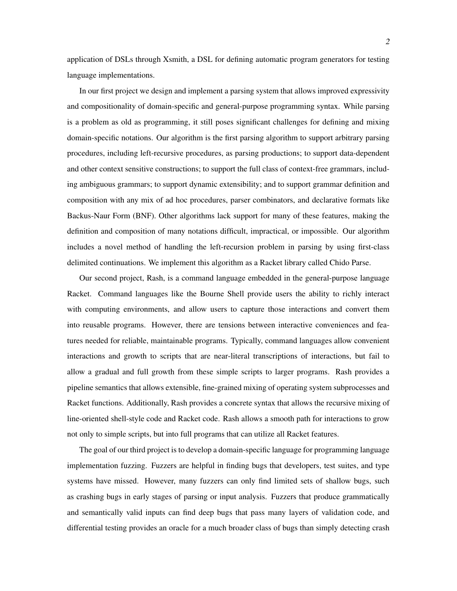application of DSLs through Xsmith, a DSL for defining automatic program generators for testing language implementations.

In our first project we design and implement a parsing system that allows improved expressivity and compositionality of domain-specific and general-purpose programming syntax. While parsing is a problem as old as programming, it still poses significant challenges for defining and mixing domain-specific notations. Our algorithm is the first parsing algorithm to support arbitrary parsing procedures, including left-recursive procedures, as parsing productions; to support data-dependent and other context sensitive constructions; to support the full class of context-free grammars, including ambiguous grammars; to support dynamic extensibility; and to support grammar definition and composition with any mix of ad hoc procedures, parser combinators, and declarative formats like Backus-Naur Form (BNF). Other algorithms lack support for many of these features, making the definition and composition of many notations difficult, impractical, or impossible. Our algorithm includes a novel method of handling the left-recursion problem in parsing by using first-class delimited continuations. We implement this algorithm as a Racket library called Chido Parse.

Our second project, Rash, is a command language embedded in the general-purpose language Racket. Command languages like the Bourne Shell provide users the ability to richly interact with computing environments, and allow users to capture those interactions and convert them into reusable programs. However, there are tensions between interactive conveniences and features needed for reliable, maintainable programs. Typically, command languages allow convenient interactions and growth to scripts that are near-literal transcriptions of interactions, but fail to allow a gradual and full growth from these simple scripts to larger programs. Rash provides a pipeline semantics that allows extensible, fine-grained mixing of operating system subprocesses and Racket functions. Additionally, Rash provides a concrete syntax that allows the recursive mixing of line-oriented shell-style code and Racket code. Rash allows a smooth path for interactions to grow not only to simple scripts, but into full programs that can utilize all Racket features.

The goal of our third project is to develop a domain-specific language for programming language implementation fuzzing. Fuzzers are helpful in finding bugs that developers, test suites, and type systems have missed. However, many fuzzers can only find limited sets of shallow bugs, such as crashing bugs in early stages of parsing or input analysis. Fuzzers that produce grammatically and semantically valid inputs can find deep bugs that pass many layers of validation code, and differential testing provides an oracle for a much broader class of bugs than simply detecting crash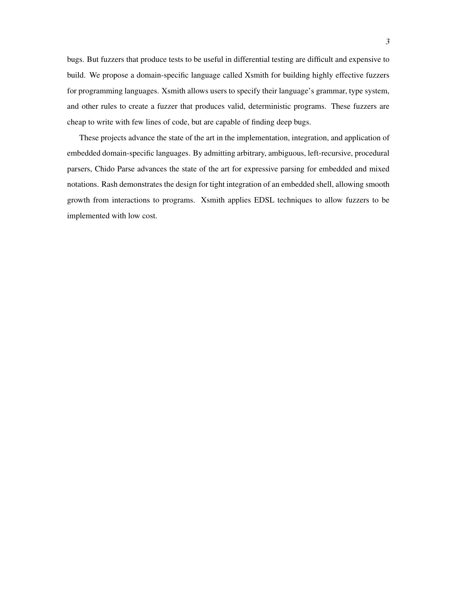bugs. But fuzzers that produce tests to be useful in differential testing are difficult and expensive to build. We propose a domain-specific language called Xsmith for building highly effective fuzzers for programming languages. Xsmith allows users to specify their language's grammar, type system, and other rules to create a fuzzer that produces valid, deterministic programs. These fuzzers are cheap to write with few lines of code, but are capable of finding deep bugs.

These projects advance the state of the art in the implementation, integration, and application of embedded domain-specific languages. By admitting arbitrary, ambiguous, left-recursive, procedural parsers, Chido Parse advances the state of the art for expressive parsing for embedded and mixed notations. Rash demonstrates the design for tight integration of an embedded shell, allowing smooth growth from interactions to programs. Xsmith applies EDSL techniques to allow fuzzers to be implemented with low cost.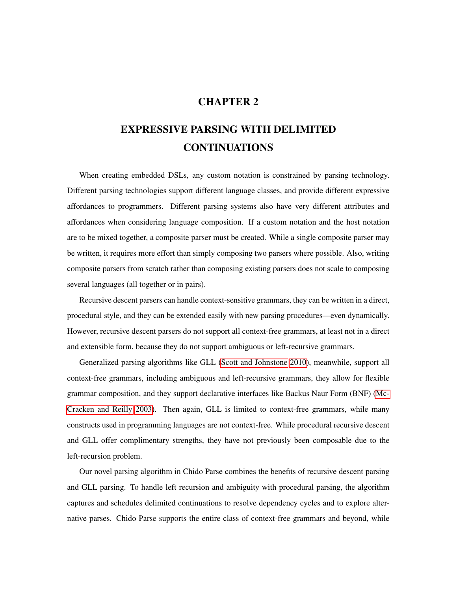## CHAPTER 2

# <span id="page-12-0"></span>EXPRESSIVE PARSING WITH DELIMITED CONTINUATIONS

When creating embedded DSLs, any custom notation is constrained by parsing technology. Different parsing technologies support different language classes, and provide different expressive affordances to programmers. Different parsing systems also have very different attributes and affordances when considering language composition. If a custom notation and the host notation are to be mixed together, a composite parser must be created. While a single composite parser may be written, it requires more effort than simply composing two parsers where possible. Also, writing composite parsers from scratch rather than composing existing parsers does not scale to composing several languages (all together or in pairs).

Recursive descent parsers can handle context-sensitive grammars, they can be written in a direct, procedural style, and they can be extended easily with new parsing procedures—even dynamically. However, recursive descent parsers do not support all context-free grammars, at least not in a direct and extensible form, because they do not support ambiguous or left-recursive grammars.

Generalized parsing algorithms like GLL [\(Scott and Johnstone 2010\)](#page-34-2), meanwhile, support all context-free grammars, including ambiguous and left-recursive grammars, they allow for flexible grammar composition, and they support declarative interfaces like Backus Naur Form (BNF) [\(Mc-](#page-34-2)[Cracken and Reilly 2003\)](#page-34-2). Then again, GLL is limited to context-free grammars, while many constructs used in programming languages are not context-free. While procedural recursive descent and GLL offer complimentary strengths, they have not previously been composable due to the left-recursion problem.

Our novel parsing algorithm in Chido Parse combines the benefits of recursive descent parsing and GLL parsing. To handle left recursion and ambiguity with procedural parsing, the algorithm captures and schedules delimited continuations to resolve dependency cycles and to explore alternative parses. Chido Parse supports the entire class of context-free grammars and beyond, while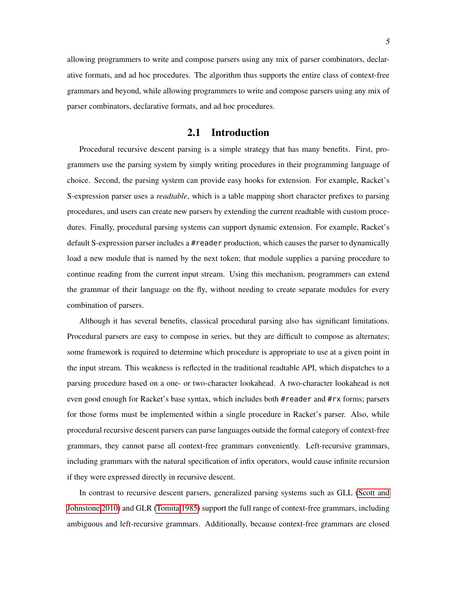allowing programmers to write and compose parsers using any mix of parser combinators, declarative formats, and ad hoc procedures. The algorithm thus supports the entire class of context-free grammars and beyond, while allowing programmers to write and compose parsers using any mix of parser combinators, declarative formats, and ad hoc procedures.

## 2.1 Introduction

<span id="page-13-0"></span>Procedural recursive descent parsing is a simple strategy that has many benefits. First, programmers use the parsing system by simply writing procedures in their programming language of choice. Second, the parsing system can provide easy hooks for extension. For example, Racket's S-expression parser uses a *readtable*, which is a table mapping short character prefixes to parsing procedures, and users can create new parsers by extending the current readtable with custom procedures. Finally, procedural parsing systems can support dynamic extension. For example, Racket's default S-expression parser includes a #reader production, which causes the parser to dynamically load a new module that is named by the next token; that module supplies a parsing procedure to continue reading from the current input stream. Using this mechanism, programmers can extend the grammar of their language on the fly, without needing to create separate modules for every combination of parsers.

Although it has several benefits, classical procedural parsing also has significant limitations. Procedural parsers are easy to compose in series, but they are difficult to compose as alternates; some framework is required to determine which procedure is appropriate to use at a given point in the input stream. This weakness is reflected in the traditional readtable API, which dispatches to a parsing procedure based on a one- or two-character lookahead. A two-character lookahead is not even good enough for Racket's base syntax, which includes both #reader and #rx forms; parsers for those forms must be implemented within a single procedure in Racket's parser. Also, while procedural recursive descent parsers can parse languages outside the formal category of context-free grammars, they cannot parse all context-free grammars conveniently. Left-recursive grammars, including grammars with the natural specification of infix operators, would cause infinite recursion if they were expressed directly in recursive descent.

In contrast to recursive descent parsers, generalized parsing systems such as GLL [\(Scott and](#page-34-2) [Johnstone 2010\)](#page-34-2) and GLR [\(Tomita 1985\)](#page-34-2) support the full range of context-free grammars, including ambiguous and left-recursive grammars. Additionally, because context-free grammars are closed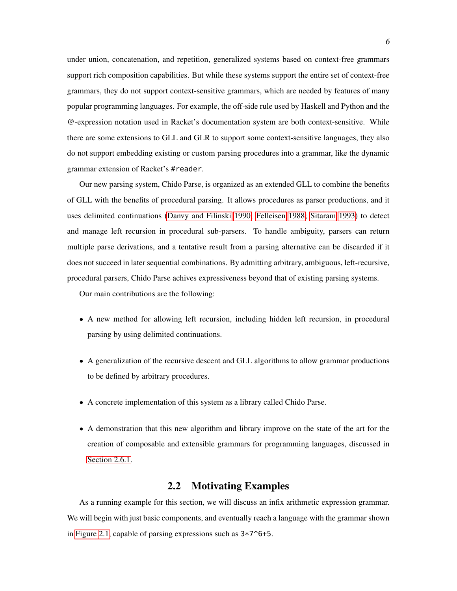under union, concatenation, and repetition, generalized systems based on context-free grammars support rich composition capabilities. But while these systems support the entire set of context-free grammars, they do not support context-sensitive grammars, which are needed by features of many popular programming languages. For example, the off-side rule used by Haskell and Python and the @-expression notation used in Racket's documentation system are both context-sensitive. While there are some extensions to GLL and GLR to support some context-sensitive languages, they also do not support embedding existing or custom parsing procedures into a grammar, like the dynamic grammar extension of Racket's #reader.

Our new parsing system, Chido Parse, is organized as an extended GLL to combine the benefits of GLL with the benefits of procedural parsing. It allows procedures as parser productions, and it uses delimited continuations [\(Danvy and Filinski 1990; Felleisen 1988; Sitaram 1993\)](#page-34-2) to detect and manage left recursion in procedural sub-parsers. To handle ambiguity, parsers can return multiple parse derivations, and a tentative result from a parsing alternative can be discarded if it does not succeed in later sequential combinations. By admitting arbitrary, ambiguous, left-recursive, procedural parsers, Chido Parse achives expressiveness beyond that of existing parsing systems.

Our main contributions are the following:

- ' A new method for allowing left recursion, including hidden left recursion, in procedural parsing by using delimited continuations.
- ' A generalization of the recursive descent and GLL algorithms to allow grammar productions to be defined by arbitrary procedures.
- ' A concrete implementation of this system as a library called Chido Parse.
- ' A demonstration that this new algorithm and library improve on the state of the art for the creation of composable and extensible grammars for programming languages, discussed in [Section 2.6.1.](#page-28-1)

## 2.2 Motivating Examples

<span id="page-14-0"></span>As a running example for this section, we will discuss an infix arithmetic expression grammar. We will begin with just basic components, and eventually reach a language with the grammar shown in [Figure 2.1,](#page-38-0) capable of parsing expressions such as  $3*7^6+5$ .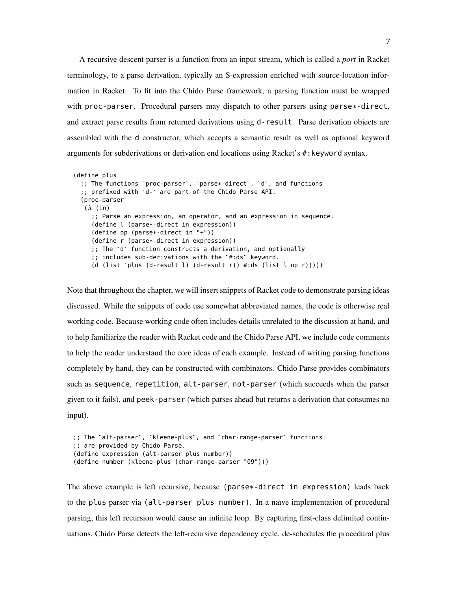A recursive descent parser is a function from an input stream, which is called a *port* in Racket terminology, to a parse derivation, typically an S-expression enriched with source-location information in Racket. To fit into the Chido Parse framework, a parsing function must be wrapped with proc-parser. Procedural parsers may dispatch to other parsers using parse\*-direct, and extract parse results from returned derivations using d-result. Parse derivation objects are assembled with the d constructor, which accepts a semantic result as well as optional keyword arguments for subderivations or derivation end locations using Racket's #:keyword syntax.

```
(define plus
  ;; The functions `proc-parser`, `parse*-direct`, `d`, and functions
  ;; prefixed with `d-` are part of the Chido Parse API.
  (proc-parser
  (λ (in)
     ;; Parse an expression, an operator, and an expression in sequence.
     (define l (parse*-direct in expression))
     (define op (parse*-direct in "+"))
     (define r (parse*-direct in expression))
     ;; The `d` function constructs a derivation, and optionally
     ;; includes sub-derivations with the `#:ds` keyword.
     (d (list 'plus (d-result l) (d-result r)) #:ds (list l op r)))))
```
Note that throughout the chapter, we will insert snippets of Racket code to demonstrate parsing ideas discussed. While the snippets of code use somewhat abbreviated names, the code is otherwise real working code. Because working code often includes details unrelated to the discussion at hand, and to help familiarize the reader with Racket code and the Chido Parse API, we include code comments to help the reader understand the core ideas of each example. Instead of writing parsing functions completely by hand, they can be constructed with combinators. Chido Parse provides combinators such as sequence, repetition, alt-parser, not-parser (which succeeds when the parser given to it fails), and peek-parser (which parses ahead but returns a derivation that consumes no input).

```
;; The `alt-parser`, `kleene-plus`, and `char-range-parser` functions
;; are provided by Chido Parse.
(define expression (alt-parser plus number))
(define number (kleene-plus (char-range-parser "09")))
```
The above example is left recursive, because (parse\*-direct in expression) leads back to the plus parser via (alt-parser plus number). In a naïve implementation of procedural parsing, this left recursion would cause an infinite loop. By capturing first-class delimited continuations, Chido Parse detects the left-recursive dependency cycle, de-schedules the procedural plus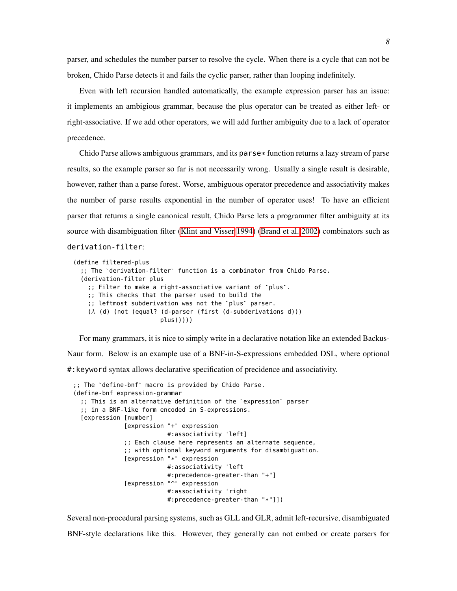parser, and schedules the number parser to resolve the cycle. When there is a cycle that can not be broken, Chido Parse detects it and fails the cyclic parser, rather than looping indefinitely.

Even with left recursion handled automatically, the example expression parser has an issue: it implements an ambigious grammar, because the plus operator can be treated as either left- or right-associative. If we add other operators, we will add further ambiguity due to a lack of operator precedence.

Chido Parse allows ambiguous grammars, and its parse\* function returns a lazy stream of parse results, so the example parser so far is not necessarily wrong. Usually a single result is desirable, however, rather than a parse forest. Worse, ambiguous operator precedence and associativity makes the number of parse results exponential in the number of operator uses! To have an efficient parser that returns a single canonical result, Chido Parse lets a programmer filter ambiguity at its source with disambiguation filter [\(Klint and Visser 1994\)](#page-34-2) [\(Brand et al. 2002\)](#page-34-2) combinators such as derivation-filter:

```
(define filtered-plus
  ;; The `derivation-filter` function is a combinator from Chido Parse.
  (derivation-filter plus
    ;; Filter to make a right-associative variant of `plus`.
    ;; This checks that the parser used to build the
    ;; leftmost subderivation was not the `plus` parser.
    (λ (d) (not (equal? (d-parser (first (d-subderivations d)))
                        plus))))
```
For many grammars, it is nice to simply write in a declarative notation like an extended Backus-Naur form. Below is an example use of a BNF-in-S-expressions embedded DSL, where optional #:keyword syntax allows declarative specification of precidence and associativity.

```
;; The `define-bnf` macro is provided by Chido Parse.
(define-bnf expression-grammar
 ;; This is an alternative definition of the `expression` parser
  ;; in a BNF-like form encoded in S-expressions.
  [expression [number]
             [expression "+" expression
                         #:associativity 'left]
              ;; Each clause here represents an alternate sequence,
              ;; with optional keyword arguments for disambiguation.
              [expression "*" expression
                         #:associativity 'left
                          #:precedence-greater-than "+"]
              [expression "^" expression
                          #:associativity 'right
                          #:precedence-greater-than "*"]])
```
Several non-procedural parsing systems, such as GLL and GLR, admit left-recursive, disambiguated BNF-style declarations like this. However, they generally can not embed or create parsers for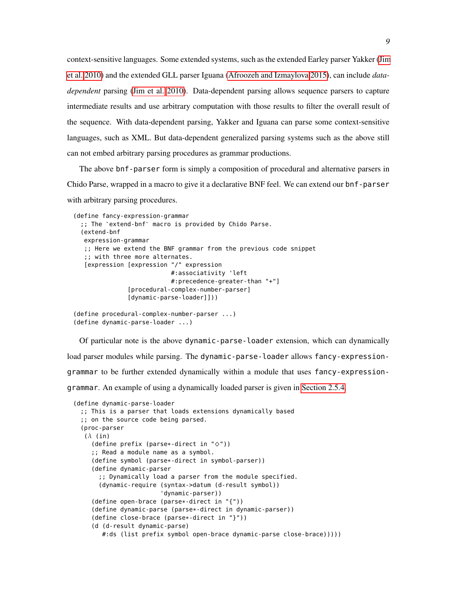context-sensitive languages. Some extended systems, such as the extended Earley parser Yakker [\(Jim](#page-34-2) [et al. 2010\)](#page-34-2) and the extended GLL parser Iguana [\(Afroozeh and Izmaylova 2015\)](#page-34-2), can include *datadependent* parsing [\(Jim et al. 2010\)](#page-34-2). Data-dependent parsing allows sequence parsers to capture intermediate results and use arbitrary computation with those results to filter the overall result of the sequence. With data-dependent parsing, Yakker and Iguana can parse some context-sensitive languages, such as XML. But data-dependent generalized parsing systems such as the above still can not embed arbitrary parsing procedures as grammar productions.

The above bnf-parser form is simply a composition of procedural and alternative parsers in Chido Parse, wrapped in a macro to give it a declarative BNF feel. We can extend our bnf-parser with arbitrary parsing procedures.

```
(define fancy-expression-grammar
 ;; The `extend-bnf` macro is provided by Chido Parse.
  (extend-bnf
  expression-grammar
  ;; Here we extend the BNF grammar from the previous code snippet
  ;; with three more alternates.
  [expression [expression "/" expression
                           #:associativity 'left
                           #:precedence-greater-than "+"]
               [procedural-complex-number-parser]
               [dynamic-parse-loader]]))
(define procedural-complex-number-parser ...)
(define dynamic-parse-loader ...)
```
Of particular note is the above dynamic-parse-loader extension, which can dynamically load parser modules while parsing. The dynamic-parse-loader allows fancy-expressiongrammar to be further extended dynamically within a module that uses fancy-expressiongrammar. An example of using a dynamically loaded parser is given in [Section 2.5.4.](#page-27-0)

```
(define dynamic-parse-loader
  ;; This is a parser that loads extensions dynamically based
  ;; on the source code being parsed.
  (proc-parser
  (λ (in)
     (define prefix (parse*-direct in "\diamond"))
     ;; Read a module name as a symbol.
     (define symbol (parse*-direct in symbol-parser))
     (define dynamic-parser
       ;; Dynamically load a parser from the module specified.
       (dynamic-require (syntax->datum (d-result symbol))
                         'dynamic-parser))
     (define open-brace (parse*-direct in "{"))
     (define dynamic-parse (parse*-direct in dynamic-parser))
     (define close-brace (parse*-direct in "}"))
     (d (d-result dynamic-parse)
        #:ds (list prefix symbol open-brace dynamic-parse close-brace)))))
```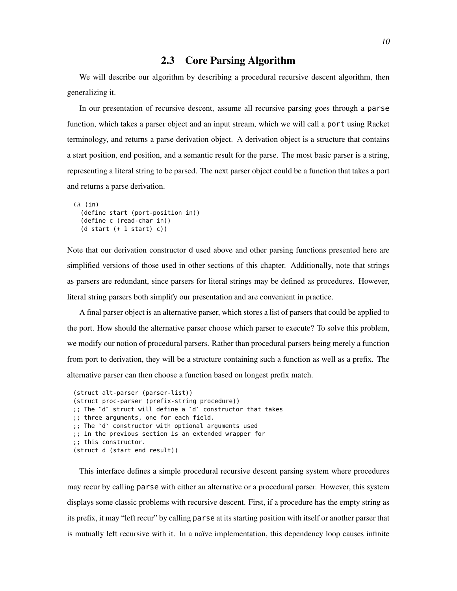### 2.3 Core Parsing Algorithm

<span id="page-18-0"></span>We will describe our algorithm by describing a procedural recursive descent algorithm, then generalizing it.

In our presentation of recursive descent, assume all recursive parsing goes through a parse function, which takes a parser object and an input stream, which we will call a port using Racket terminology, and returns a parse derivation object. A derivation object is a structure that contains a start position, end position, and a semantic result for the parse. The most basic parser is a string, representing a literal string to be parsed. The next parser object could be a function that takes a port and returns a parse derivation.

```
(λ (in)
  (define start (port-position in))
  (define c (read-char in))
  (d start (+ 1 start) c))
```
Note that our derivation constructor d used above and other parsing functions presented here are simplified versions of those used in other sections of this chapter. Additionally, note that strings as parsers are redundant, since parsers for literal strings may be defined as procedures. However, literal string parsers both simplify our presentation and are convenient in practice.

A final parser object is an alternative parser, which stores a list of parsers that could be applied to the port. How should the alternative parser choose which parser to execute? To solve this problem, we modify our notion of procedural parsers. Rather than procedural parsers being merely a function from port to derivation, they will be a structure containing such a function as well as a prefix. The alternative parser can then choose a function based on longest prefix match.

```
(struct alt-parser (parser-list))
(struct proc-parser (prefix-string procedure))
;; The `d` struct will define a `d` constructor that takes
;; three arguments, one for each field.
;; The `d` constructor with optional arguments used
;; in the previous section is an extended wrapper for
;; this constructor.
(struct d (start end result))
```
This interface defines a simple procedural recursive descent parsing system where procedures may recur by calling parse with either an alternative or a procedural parser. However, this system displays some classic problems with recursive descent. First, if a procedure has the empty string as its prefix, it may "left recur" by calling parse at its starting position with itself or another parser that is mutually left recursive with it. In a naïve implementation, this dependency loop causes infinite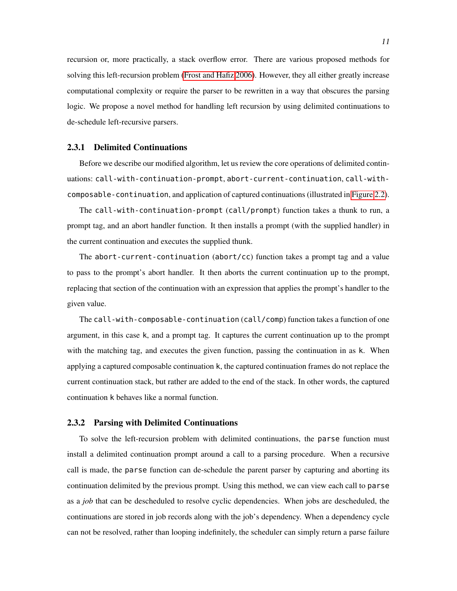recursion or, more practically, a stack overflow error. There are various proposed methods for solving this left-recursion problem [\(Frost and Hafiz 2006\)](#page-34-2). However, they all either greatly increase computational complexity or require the parser to be rewritten in a way that obscures the parsing logic. We propose a novel method for handling left recursion by using delimited continuations to de-schedule left-recursive parsers.

#### <span id="page-19-0"></span>2.3.1 Delimited Continuations

Before we describe our modified algorithm, let us review the core operations of delimited continuations: call-with-continuation-prompt, abort-current-continuation, call-withcomposable-continuation, and application of captured continuations (illustrated in [Figure 2.2\)](#page-38-1).

The call-with-continuation-prompt (call/prompt) function takes a thunk to run, a prompt tag, and an abort handler function. It then installs a prompt (with the supplied handler) in the current continuation and executes the supplied thunk.

The abort-current-continuation (abort/cc) function takes a prompt tag and a value to pass to the prompt's abort handler. It then aborts the current continuation up to the prompt, replacing that section of the continuation with an expression that applies the prompt's handler to the given value.

The call-with-composable-continuation (call/comp) function takes a function of one argument, in this case k, and a prompt tag. It captures the current continuation up to the prompt with the matching tag, and executes the given function, passing the continuation in as k. When applying a captured composable continuation k, the captured continuation frames do not replace the current continuation stack, but rather are added to the end of the stack. In other words, the captured continuation k behaves like a normal function.

#### <span id="page-19-1"></span>2.3.2 Parsing with Delimited Continuations

To solve the left-recursion problem with delimited continuations, the parse function must install a delimited continuation prompt around a call to a parsing procedure. When a recursive call is made, the parse function can de-schedule the parent parser by capturing and aborting its continuation delimited by the previous prompt. Using this method, we can view each call to parse as a *job* that can be descheduled to resolve cyclic dependencies. When jobs are descheduled, the continuations are stored in job records along with the job's dependency. When a dependency cycle can not be resolved, rather than looping indefinitely, the scheduler can simply return a parse failure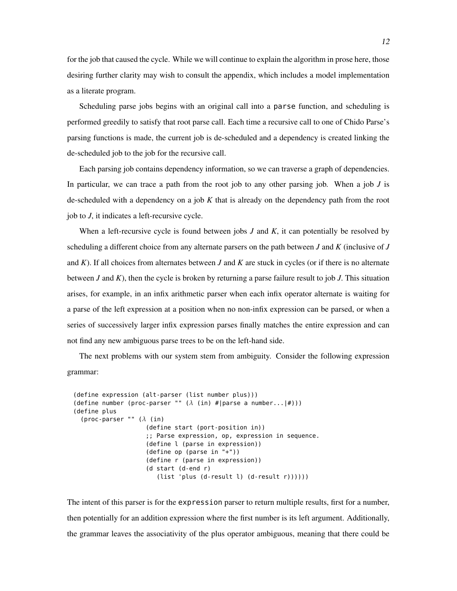for the job that caused the cycle. While we will continue to explain the algorithm in prose here, those desiring further clarity may wish to consult the appendix, which includes a model implementation as a literate program.

Scheduling parse jobs begins with an original call into a parse function, and scheduling is performed greedily to satisfy that root parse call. Each time a recursive call to one of Chido Parse's parsing functions is made, the current job is de-scheduled and a dependency is created linking the de-scheduled job to the job for the recursive call.

Each parsing job contains dependency information, so we can traverse a graph of dependencies. In particular, we can trace a path from the root job to any other parsing job. When a job *J* is de-scheduled with a dependency on a job *K* that is already on the dependency path from the root job to *J*, it indicates a left-recursive cycle.

When a left-recursive cycle is found between jobs *J* and *K*, it can potentially be resolved by scheduling a different choice from any alternate parsers on the path between *J* and *K* (inclusive of *J* and *K*). If all choices from alternates between *J* and *K* are stuck in cycles (or if there is no alternate between *J* and *K*), then the cycle is broken by returning a parse failure result to job *J*. This situation arises, for example, in an infix arithmetic parser when each infix operator alternate is waiting for a parse of the left expression at a position when no non-infix expression can be parsed, or when a series of successively larger infix expression parses finally matches the entire expression and can not find any new ambiguous parse trees to be on the left-hand side.

The next problems with our system stem from ambiguity. Consider the following expression grammar:

```
(define expression (alt-parser (list number plus)))
(define number (proc-parser "" (λ (in) #|parse a number...|#)))
(define plus
  (proc-parser "" (λ (in)
                    (define start (port-position in))
                    ;; Parse expression, op, expression in sequence.
                    (define l (parse in expression))
                    (define op (parse in "+"))
                    (define r (parse in expression))
                    (d start (d-end r)
                       (list 'plus (d-result l) (d-result r))))))
```
The intent of this parser is for the expression parser to return multiple results, first for a number, then potentially for an addition expression where the first number is its left argument. Additionally, the grammar leaves the associativity of the plus operator ambiguous, meaning that there could be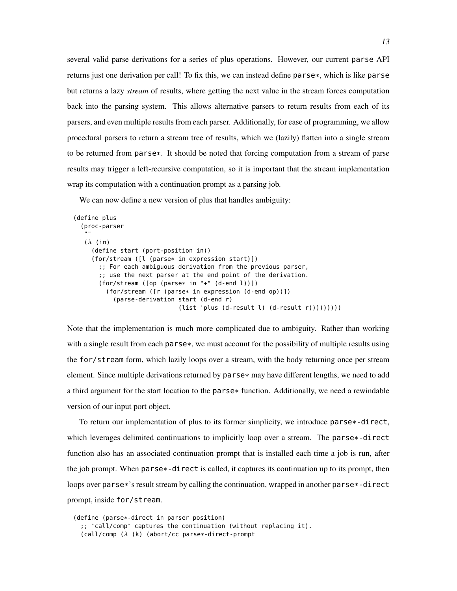several valid parse derivations for a series of plus operations. However, our current parse API returns just one derivation per call! To fix this, we can instead define parse\*, which is like parse but returns a lazy *stream* of results, where getting the next value in the stream forces computation back into the parsing system. This allows alternative parsers to return results from each of its parsers, and even multiple results from each parser. Additionally, for ease of programming, we allow procedural parsers to return a stream tree of results, which we (lazily) flatten into a single stream to be returned from parse\*. It should be noted that forcing computation from a stream of parse results may trigger a left-recursive computation, so it is important that the stream implementation wrap its computation with a continuation prompt as a parsing job.

We can now define a new version of plus that handles ambiguity:

```
(define plus
  (proc-parser
   ""
  (λ (in)
     (define start (port-position in))
     (for/stream ([l (parse* in expression start)])
       ;; For each ambiguous derivation from the previous parser,
       ;; use the next parser at the end point of the derivation.
       (for/stream ([op (parse* in "+" (d-end l))])
         (for/stream ([r (parse* in expression (d-end op))])
           (parse-derivation start (d-end r)
                             (list 'plus (d-result l) (d-result r)))))))))
```
Note that the implementation is much more complicated due to ambiguity. Rather than working with a single result from each parse\*, we must account for the possibility of multiple results using the for/stream form, which lazily loops over a stream, with the body returning once per stream element. Since multiple derivations returned by parse\* may have different lengths, we need to add a third argument for the start location to the parse\* function. Additionally, we need a rewindable version of our input port object.

To return our implementation of plus to its former simplicity, we introduce parse\*-direct, which leverages delimited continuations to implicitly loop over a stream. The parse\*-direct function also has an associated continuation prompt that is installed each time a job is run, after the job prompt. When  $parse*-direct$  is called, it captures its continuation up to its prompt, then loops over parse\*'s result stream by calling the continuation, wrapped in another parse\*-direct prompt, inside for/stream.

(define (parse\*-direct in parser position) ;; `call/comp` captures the continuation (without replacing it). (call/comp (*λ* (k) (abort/cc parse\*-direct-prompt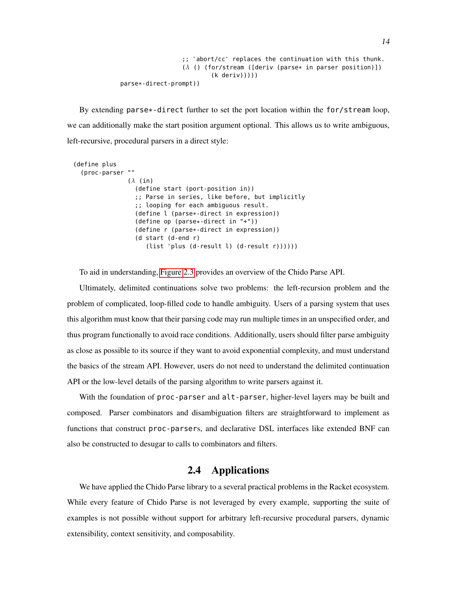```
;; `abort/cc` replaces the continuation with this thunk.
                 (λ () (for/stream ([deriv (parse* in parser position)])
                         (k deriv)))))
parse*-direct-prompt))
```
By extending parse\*-direct further to set the port location within the for/stream loop, we can additionally make the start position argument optional. This allows us to write ambiguous, left-recursive, procedural parsers in a direct style:

```
(define plus
  (proc-parser ""
               (λ (in)
                 (define start (port-position in))
                 ;; Parse in series, like before, but implicitly
                 ;; looping for each ambiguous result.
                 (define l (parse*-direct in expression))
                 (define op (parse*-direct in "+"))
                 (define r (parse*-direct in expression))
                 (d start (d-end r)
                    (list 'plus (d-result l) (d-result r))))))
```
To aid in understanding, [Figure 2.3](#page-39-0) provides an overview of the Chido Parse API.

Ultimately, delimited continuations solve two problems: the left-recursion problem and the problem of complicated, loop-filled code to handle ambiguity. Users of a parsing system that uses this algorithm must know that their parsing code may run multiple times in an unspecified order, and thus program functionally to avoid race conditions. Additionally, users should filter parse ambiguity as close as possible to its source if they want to avoid exponential complexity, and must understand the basics of the stream API. However, users do not need to understand the delimited continuation API or the low-level details of the parsing algorithm to write parsers against it.

With the foundation of proc-parser and alt-parser, higher-level layers may be built and composed. Parser combinators and disambiguation filters are straightforward to implement as functions that construct proc-parsers, and declarative DSL interfaces like extended BNF can also be constructed to desugar to calls to combinators and filters.

## 2.4 Applications

<span id="page-22-0"></span>We have applied the Chido Parse library to a several practical problems in the Racket ecosystem. While every feature of Chido Parse is not leveraged by every example, supporting the suite of examples is not possible without support for arbitrary left-recursive procedural parsers, dynamic extensibility, context sensitivity, and composability.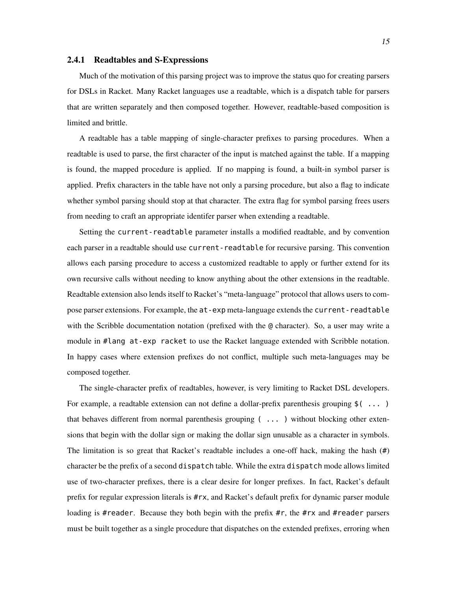#### <span id="page-23-0"></span>2.4.1 Readtables and S-Expressions

Much of the motivation of this parsing project was to improve the status quo for creating parsers for DSLs in Racket. Many Racket languages use a readtable, which is a dispatch table for parsers that are written separately and then composed together. However, readtable-based composition is limited and brittle.

A readtable has a table mapping of single-character prefixes to parsing procedures. When a readtable is used to parse, the first character of the input is matched against the table. If a mapping is found, the mapped procedure is applied. If no mapping is found, a built-in symbol parser is applied. Prefix characters in the table have not only a parsing procedure, but also a flag to indicate whether symbol parsing should stop at that character. The extra flag for symbol parsing frees users from needing to craft an appropriate identifer parser when extending a readtable.

Setting the current-readtable parameter installs a modified readtable, and by convention each parser in a readtable should use current-readtable for recursive parsing. This convention allows each parsing procedure to access a customized readtable to apply or further extend for its own recursive calls without needing to know anything about the other extensions in the readtable. Readtable extension also lends itself to Racket's "meta-language" protocol that allows users to compose parser extensions. For example, the at-exp meta-language extends the current-readtable with the Scribble documentation notation (prefixed with the @ character). So, a user may write a module in #lang at-exp racket to use the Racket language extended with Scribble notation. In happy cases where extension prefixes do not conflict, multiple such meta-languages may be composed together.

The single-character prefix of readtables, however, is very limiting to Racket DSL developers. For example, a readtable extension can not define a dollar-prefix parenthesis grouping  $\frac{1}{2}$  ( ... ) that behaves different from normal parenthesis grouping ( ... ) without blocking other extensions that begin with the dollar sign or making the dollar sign unusable as a character in symbols. The limitation is so great that Racket's readtable includes a one-off hack, making the hash  $(\#)$ character be the prefix of a second dispatch table. While the extra dispatch mode allows limited use of two-character prefixes, there is a clear desire for longer prefixes. In fact, Racket's default prefix for regular expression literals is #rx, and Racket's default prefix for dynamic parser module loading is #reader. Because they both begin with the prefix #r, the #rx and #reader parsers must be built together as a single procedure that dispatches on the extended prefixes, erroring when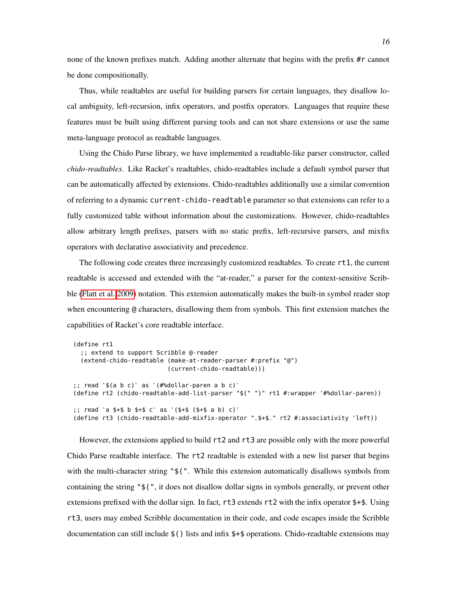none of the known prefixes match. Adding another alternate that begins with the prefix #r cannot be done compositionally.

Thus, while readtables are useful for building parsers for certain languages, they disallow local ambiguity, left-recursion, infix operators, and postfix operators. Languages that require these features must be built using different parsing tools and can not share extensions or use the same meta-language protocol as readtable languages.

Using the Chido Parse library, we have implemented a readtable-like parser constructor, called *chido-readtables*. Like Racket's readtables, chido-readtables include a default symbol parser that can be automatically affected by extensions. Chido-readtables additionally use a similar convention of referring to a dynamic current-chido-readtable parameter so that extensions can refer to a fully customized table without information about the customizations. However, chido-readtables allow arbitrary length prefixes, parsers with no static prefix, left-recursive parsers, and mixfix operators with declarative associativity and precedence.

The following code creates three increasingly customized readtables. To create rt1, the current readtable is accessed and extended with the "at-reader," a parser for the context-sensitive Scribble [\(Flatt et al. 2009\)](#page-34-2) notation. This extension automatically makes the built-in symbol reader stop when encountering @ characters, disallowing them from symbols. This first extension matches the capabilities of Racket's core readtable interface.

```
(define rt1
  ;; extend to support Scribble @-reader
  (extend-chido-readtable (make-at-reader-parser #:prefix "@")
                          (current-chido-readtable)))
;; read `$(a b c)` as `(#%dollar-paren a b c)`
(define rt2 (chido-readtable-add-list-parser "$(" ")" rt1 #:wrapper '#%dollar-paren))
;; read `a $+$ b $+$ c` as `($+$ ($+$ a b) c)`
(define rt3 (chido-readtable-add-mixfix-operator "_$+$_" rt2 #:associativity 'left))
```
However, the extensions applied to build rt2 and rt3 are possible only with the more powerful Chido Parse readtable interface. The rt2 readtable is extended with a new list parser that begins with the multi-character string " $\frac{1}{2}$ ". While this extension automatically disallows symbols from containing the string "\$(", it does not disallow dollar signs in symbols generally, or prevent other extensions prefixed with the dollar sign. In fact, rt3 extends rt2 with the infix operator \$+\$. Using rt3, users may embed Scribble documentation in their code, and code escapes inside the Scribble documentation can still include \$() lists and infix \$+\$ operations. Chido-readtable extensions may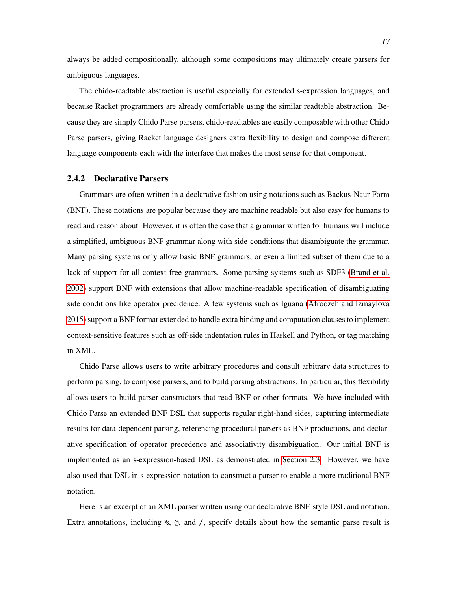always be added compositionally, although some compositions may ultimately create parsers for ambiguous languages.

The chido-readtable abstraction is useful especially for extended s-expression languages, and because Racket programmers are already comfortable using the similar readtable abstraction. Because they are simply Chido Parse parsers, chido-readtables are easily composable with other Chido Parse parsers, giving Racket language designers extra flexibility to design and compose different language components each with the interface that makes the most sense for that component.

#### <span id="page-25-0"></span>2.4.2 Declarative Parsers

Grammars are often written in a declarative fashion using notations such as Backus-Naur Form (BNF). These notations are popular because they are machine readable but also easy for humans to read and reason about. However, it is often the case that a grammar written for humans will include a simplified, ambiguous BNF grammar along with side-conditions that disambiguate the grammar. Many parsing systems only allow basic BNF grammars, or even a limited subset of them due to a lack of support for all context-free grammars. Some parsing systems such as SDF3 [\(Brand et al.](#page-34-2) [2002\)](#page-34-2) support BNF with extensions that allow machine-readable specification of disambiguating side conditions like operator precidence. A few systems such as Iguana [\(Afroozeh and Izmaylova](#page-34-2) [2015\)](#page-34-2) support a BNF format extended to handle extra binding and computation clauses to implement context-sensitive features such as off-side indentation rules in Haskell and Python, or tag matching in XML.

Chido Parse allows users to write arbitrary procedures and consult arbitrary data structures to perform parsing, to compose parsers, and to build parsing abstractions. In particular, this flexibility allows users to build parser constructors that read BNF or other formats. We have included with Chido Parse an extended BNF DSL that supports regular right-hand sides, capturing intermediate results for data-dependent parsing, referencing procedural parsers as BNF productions, and declarative specification of operator precedence and associativity disambiguation. Our initial BNF is implemented as an s-expression-based DSL as demonstrated in [Section 2.3.](#page-14-0) However, we have also used that DSL in s-expression notation to construct a parser to enable a more traditional BNF notation.

Here is an excerpt of an XML parser written using our declarative BNF-style DSL and notation. Extra annotations, including %, @, and /, specify details about how the semantic parse result is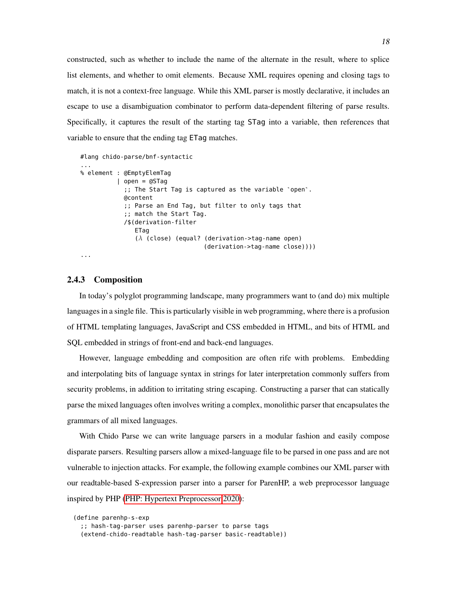constructed, such as whether to include the name of the alternate in the result, where to splice list elements, and whether to omit elements. Because XML requires opening and closing tags to match, it is not a context-free language. While this XML parser is mostly declarative, it includes an escape to use a disambiguation combinator to perform data-dependent filtering of parse results. Specifically, it captures the result of the starting tag STag into a variable, then references that variable to ensure that the ending tag ETag matches.

```
#lang chido-parse/bnf-syntactic
...
% element : @EmptyElemTag
          | open = @STaq;; The Start Tag is captured as the variable `open`.
           @content
            ;; Parse an End Tag, but filter to only tags that
            ;; match the Start Tag.
            /$(derivation-filter
               ETag
               (λ (close) (equal? (derivation->tag-name open)
                                  (derivation->tag-name close))))
...
```
#### <span id="page-26-0"></span>2.4.3 Composition

In today's polyglot programming landscape, many programmers want to (and do) mix multiple languages in a single file. This is particularly visible in web programming, where there is a profusion of HTML templating languages, JavaScript and CSS embedded in HTML, and bits of HTML and SQL embedded in strings of front-end and back-end languages.

However, language embedding and composition are often rife with problems. Embedding and interpolating bits of language syntax in strings for later interpretation commonly suffers from security problems, in addition to irritating string escaping. Constructing a parser that can statically parse the mixed languages often involves writing a complex, monolithic parser that encapsulates the grammars of all mixed languages.

With Chido Parse we can write language parsers in a modular fashion and easily compose disparate parsers. Resulting parsers allow a mixed-language file to be parsed in one pass and are not vulnerable to injection attacks. For example, the following example combines our XML parser with our readtable-based S-expression parser into a parser for ParenHP, a web preprocessor language inspired by PHP [\(PHP: Hypertext Preprocessor 2020\)](#page-34-2):

```
(define parenhp-s-exp
```

```
;; hash-tag-parser uses parenhp-parser to parse tags
```

```
(extend-chido-readtable hash-tag-parser basic-readtable))
```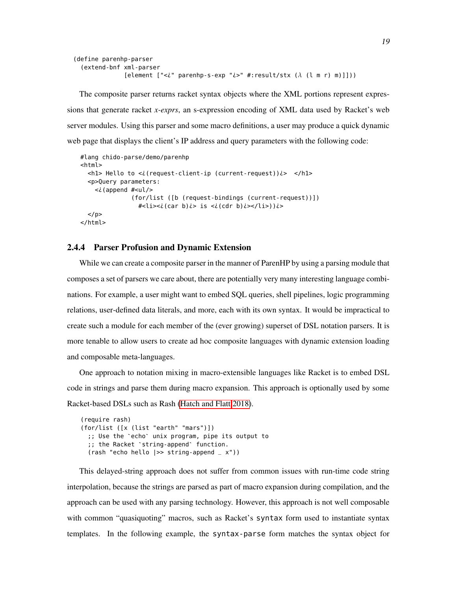```
(define parenhp-parser
  (extend-bnf xml-parser
              [element ["<¿" parenhp-s-exp "¿>" #:result/stx (λ (l m r) m)]]))
```
The composite parser returns racket syntax objects where the XML portions represent expressions that generate racket *x-exprs*, an s-expression encoding of XML data used by Racket's web server modules. Using this parser and some macro definitions, a user may produce a quick dynamic web page that displays the client's IP address and query parameters with the following code:

```
#lang chido-parse/demo/parenhp
<html>
  <h1> Hello to <¿(request-client-ip (current-request))¿> </h1>
  <p>Query parameters:
   <¿(append #<ul/>
             (for/list ([b (request-bindings (current-request))])
               #<li><¿(car b)¿> is <¿(cdr b)¿></li>))¿>
  </p>
</html>
```
### <span id="page-27-0"></span>2.4.4 Parser Profusion and Dynamic Extension

While we can create a composite parser in the manner of ParenHP by using a parsing module that composes a set of parsers we care about, there are potentially very many interesting language combinations. For example, a user might want to embed SQL queries, shell pipelines, logic programming relations, user-defined data literals, and more, each with its own syntax. It would be impractical to create such a module for each member of the (ever growing) superset of DSL notation parsers. It is more tenable to allow users to create ad hoc composite languages with dynamic extension loading and composable meta-languages.

One approach to notation mixing in macro-extensible languages like Racket is to embed DSL code in strings and parse them during macro expansion. This approach is optionally used by some Racket-based DSLs such as Rash [\(Hatch and Flatt 2018\)](#page-34-2).

```
(require rash)
(for/list ([x (list "earth" "mars")])
  ;; Use the `echo` unix program, pipe its output to
  ;; the Racket `string-append` function.
  (rash "echo hello |>> string-append _ x"))
```
This delayed-string approach does not suffer from common issues with run-time code string interpolation, because the strings are parsed as part of macro expansion during compilation, and the approach can be used with any parsing technology. However, this approach is not well composable with common "quasiquoting" macros, such as Racket's syntax form used to instantiate syntax templates. In the following example, the syntax-parse form matches the syntax object for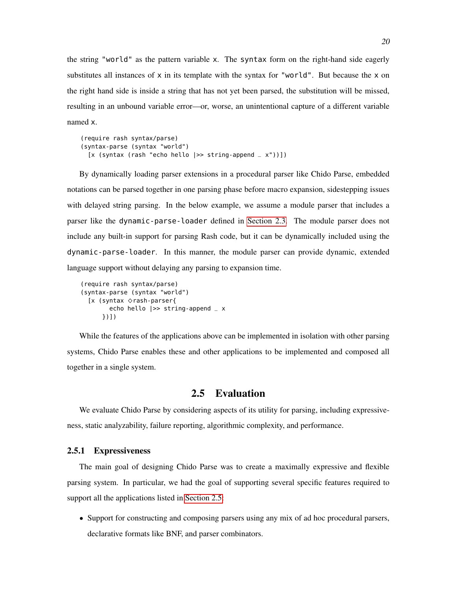the string "world" as the pattern variable x. The syntax form on the right-hand side eagerly substitutes all instances of  $x$  in its template with the syntax for "world". But because the  $x$  on the right hand side is inside a string that has not yet been parsed, the substitution will be missed, resulting in an unbound variable error—or, worse, an unintentional capture of a different variable named x.

```
(require rash syntax/parse)
(syntax-parse (syntax "world")
  [x (syntax (rash "echo hello |>> string.append _ x"))])
```
By dynamically loading parser extensions in a procedural parser like Chido Parse, embedded notations can be parsed together in one parsing phase before macro expansion, sidestepping issues with delayed string parsing. In the below example, we assume a module parser that includes a parser like the dynamic-parse-loader defined in [Section 2.3.](#page-14-0) The module parser does not include any built-in support for parsing Rash code, but it can be dynamically included using the dynamic-parse-loader. In this manner, the module parser can provide dynamic, extended language support without delaying any parsing to expansion time.

```
(require rash syntax/parse)
(syntax-parse (syntax "world")
  [x (syntax \Diamondrash-parser{
        echo hello |>> string-append _ x
      })])
```
While the features of the applications above can be implemented in isolation with other parsing systems, Chido Parse enables these and other applications to be implemented and composed all together in a single system.

### 2.5 Evaluation

<span id="page-28-0"></span>We evaluate Chido Parse by considering aspects of its utility for parsing, including expressiveness, static analyzability, failure reporting, algorithmic complexity, and performance.

#### <span id="page-28-1"></span>2.5.1 Expressiveness

The main goal of designing Chido Parse was to create a maximally expressive and flexible parsing system. In particular, we had the goal of supporting several specific features required to support all the applications listed in [Section 2.5:](#page-22-0)

' Support for constructing and composing parsers using any mix of ad hoc procedural parsers, declarative formats like BNF, and parser combinators.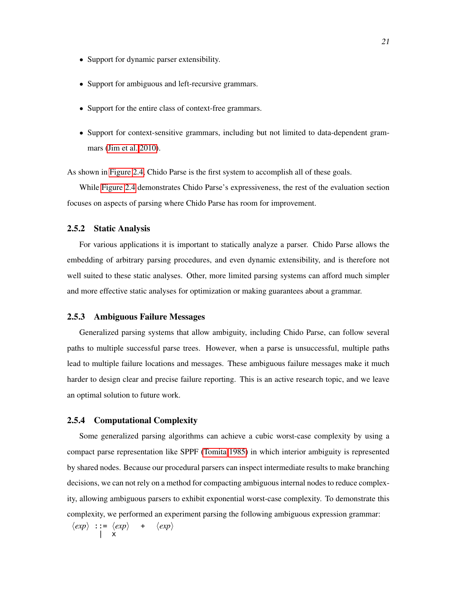- ' Support for dynamic parser extensibility.
- ' Support for ambiguous and left-recursive grammars.
- ' Support for the entire class of context-free grammars.
- ' Support for context-sensitive grammars, including but not limited to data-dependent grammars [\(Jim et al. 2010\)](#page-34-2).

As shown in [Figure 2.4,](#page-40-0) Chido Parse is the first system to accomplish all of these goals.

While [Figure 2.4](#page-40-0) demonstrates Chido Parse's expressiveness, the rest of the evaluation section focuses on aspects of parsing where Chido Parse has room for improvement.

#### <span id="page-29-0"></span>2.5.2 Static Analysis

For various applications it is important to statically analyze a parser. Chido Parse allows the embedding of arbitrary parsing procedures, and even dynamic extensibility, and is therefore not well suited to these static analyses. Other, more limited parsing systems can afford much simpler and more effective static analyses for optimization or making guarantees about a grammar.

#### <span id="page-29-1"></span>2.5.3 Ambiguous Failure Messages

Generalized parsing systems that allow ambiguity, including Chido Parse, can follow several paths to multiple successful parse trees. However, when a parse is unsuccessful, multiple paths lead to multiple failure locations and messages. These ambiguous failure messages make it much harder to design clear and precise failure reporting. This is an active research topic, and we leave an optimal solution to future work.

#### <span id="page-29-2"></span>2.5.4 Computational Complexity

Some generalized parsing algorithms can achieve a cubic worst-case complexity by using a compact parse representation like SPPF [\(Tomita 1985\)](#page-34-2) in which interior ambiguity is represented by shared nodes. Because our procedural parsers can inspect intermediate results to make branching decisions, we can not rely on a method for compacting ambiguous internal nodes to reduce complexity, allowing ambiguous parsers to exhibit exponential worst-case complexity. To demonstrate this complexity, we performed an experiment parsing the following ambiguous expression grammar:

 $\langle exp \rangle$  ::=  $\langle exp \rangle$  +  $\langle exp \rangle$ | x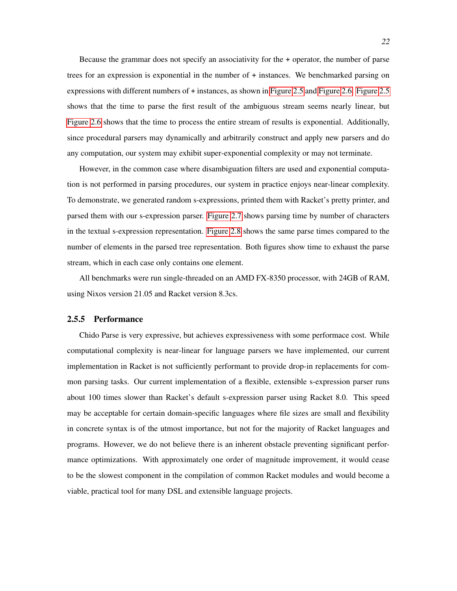Because the grammar does not specify an associativity for the + operator, the number of parse trees for an expression is exponential in the number of + instances. We benchmarked parsing on expressions with different numbers of + instances, as shown in [Figure 2.5](#page-41-0) and [Figure 2.6.](#page-42-0) [Figure 2.5](#page-41-0) shows that the time to parse the first result of the ambiguous stream seems nearly linear, but [Figure 2.6](#page-42-0) shows that the time to process the entire stream of results is exponential. Additionally, since procedural parsers may dynamically and arbitrarily construct and apply new parsers and do any computation, our system may exhibit super-exponential complexity or may not terminate.

However, in the common case where disambiguation filters are used and exponential computation is not performed in parsing procedures, our system in practice enjoys near-linear complexity. To demonstrate, we generated random s-expressions, printed them with Racket's pretty printer, and parsed them with our s-expression parser. [Figure 2.7](#page-43-0) shows parsing time by number of characters in the textual s-expression representation. [Figure 2.8](#page-44-0) shows the same parse times compared to the number of elements in the parsed tree representation. Both figures show time to exhaust the parse stream, which in each case only contains one element.

All benchmarks were run single-threaded on an AMD FX-8350 processor, with 24GB of RAM, using Nixos version 21.05 and Racket version 8.3cs.

#### <span id="page-30-0"></span>2.5.5 Performance

<span id="page-30-1"></span>Chido Parse is very expressive, but achieves expressiveness with some performace cost. While computational complexity is near-linear for language parsers we have implemented, our current implementation in Racket is not sufficiently performant to provide drop-in replacements for common parsing tasks. Our current implementation of a flexible, extensible s-expression parser runs about 100 times slower than Racket's default s-expression parser using Racket 8.0. This speed may be acceptable for certain domain-specific languages where file sizes are small and flexibility in concrete syntax is of the utmost importance, but not for the majority of Racket languages and programs. However, we do not believe there is an inherent obstacle preventing significant performance optimizations. With approximately one order of magnitude improvement, it would cease to be the slowest component in the compilation of common Racket modules and would become a viable, practical tool for many DSL and extensible language projects.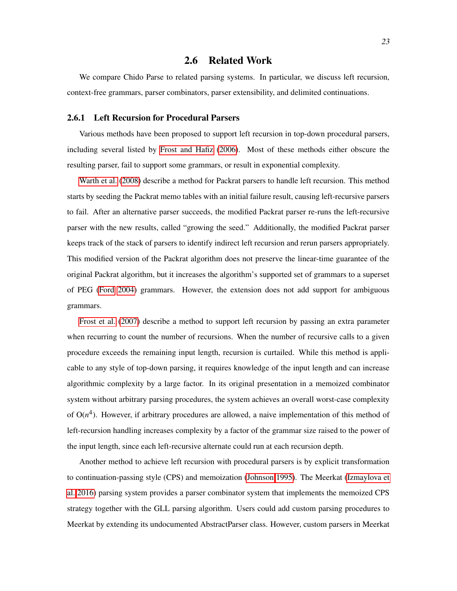### 2.6 Related Work

We compare Chido Parse to related parsing systems. In particular, we discuss left recursion, context-free grammars, parser combinators, parser extensibility, and delimited continuations.

#### <span id="page-31-0"></span>2.6.1 Left Recursion for Procedural Parsers

Various methods have been proposed to support left recursion in top-down procedural parsers, including several listed by [Frost and Hafiz](#page-34-2) [\(2006\)](#page-34-2). Most of these methods either obscure the resulting parser, fail to support some grammars, or result in exponential complexity.

[Warth et al.](#page-34-2) [\(2008\)](#page-34-2) describe a method for Packrat parsers to handle left recursion. This method starts by seeding the Packrat memo tables with an initial failure result, causing left-recursive parsers to fail. After an alternative parser succeeds, the modified Packrat parser re-runs the left-recursive parser with the new results, called "growing the seed." Additionally, the modified Packrat parser keeps track of the stack of parsers to identify indirect left recursion and rerun parsers appropriately. This modified version of the Packrat algorithm does not preserve the linear-time guarantee of the original Packrat algorithm, but it increases the algorithm's supported set of grammars to a superset of PEG [\(Ford 2004\)](#page-34-2) grammars. However, the extension does not add support for ambiguous grammars.

[Frost et al.](#page-34-2) [\(2007\)](#page-34-2) describe a method to support left recursion by passing an extra parameter when recurring to count the number of recursions. When the number of recursive calls to a given procedure exceeds the remaining input length, recursion is curtailed. While this method is applicable to any style of top-down parsing, it requires knowledge of the input length and can increase algorithmic complexity by a large factor. In its original presentation in a memoized combinator system without arbitrary parsing procedures, the system achieves an overall worst-case complexity of  $O(n^4)$ . However, if arbitrary procedures are allowed, a naive implementation of this method of left-recursion handling increases complexity by a factor of the grammar size raised to the power of the input length, since each left-recursive alternate could run at each recursion depth.

Another method to achieve left recursion with procedural parsers is by explicit transformation to continuation-passing style (CPS) and memoization [\(Johnson 1995\)](#page-34-2). The Meerkat [\(Izmaylova et](#page-34-2) [al. 2016\)](#page-34-2) parsing system provides a parser combinator system that implements the memoized CPS strategy together with the GLL parsing algorithm. Users could add custom parsing procedures to Meerkat by extending its undocumented AbstractParser class. However, custom parsers in Meerkat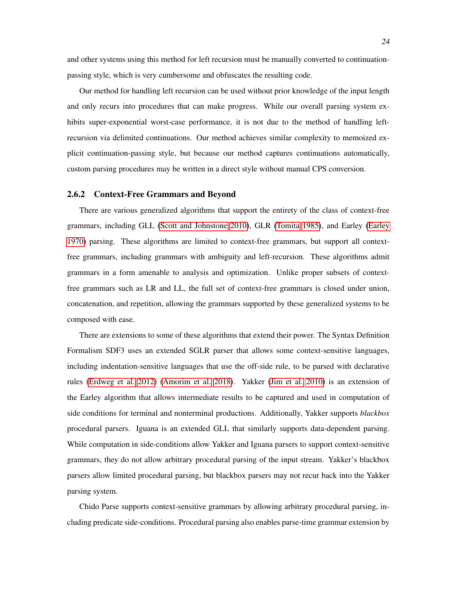and other systems using this method for left recursion must be manually converted to continuationpassing style, which is very cumbersome and obfuscates the resulting code.

Our method for handling left recursion can be used without prior knowledge of the input length and only recurs into procedures that can make progress. While our overall parsing system exhibits super-exponential worst-case performance, it is not due to the method of handling leftrecursion via delimited continuations. Our method achieves similar complexity to memoized explicit continuation-passing style, but because our method captures continuations automatically, custom parsing procedures may be written in a direct style without manual CPS conversion.

#### <span id="page-32-0"></span>2.6.2 Context-Free Grammars and Beyond

There are various generalized algorithms that support the entirety of the class of context-free grammars, including GLL [\(Scott and Johnstone 2010\)](#page-34-2), GLR [\(Tomita 1985\)](#page-34-2), and Earley [\(Earley](#page-34-2) [1970\)](#page-34-2) parsing. These algorithms are limited to context-free grammars, but support all contextfree grammars, including grammars with ambiguity and left-recursion. These algorithms admit grammars in a form amenable to analysis and optimization. Unlike proper subsets of contextfree grammars such as LR and LL, the full set of context-free grammars is closed under union, concatenation, and repetition, allowing the grammars supported by these generalized systems to be composed with ease.

There are extensions to some of these algorithms that extend their power. The Syntax Definition Formalism SDF3 uses an extended SGLR parser that allows some context-sensitive languages, including indentation-sensitive languages that use the off-side rule, to be parsed with declarative rules [\(Erdweg et al. 2012\)](#page-34-2) [\(Amorim et al. 2018\)](#page-34-2). Yakker [\(Jim et al. 2010\)](#page-34-2) is an extension of the Earley algorithm that allows intermediate results to be captured and used in computation of side conditions for terminal and nonterminal productions. Additionally, Yakker supports *blackbox* procedural parsers. Iguana is an extended GLL that similarly supports data-dependent parsing. While computation in side-conditions allow Yakker and Iguana parsers to support context-sensitive grammars, they do not allow arbitrary procedural parsing of the input stream. Yakker's blackbox parsers allow limited procedural parsing, but blackbox parsers may not recur back into the Yakker parsing system.

Chido Parse supports context-sensitive grammars by allowing arbitrary procedural parsing, including predicate side-conditions. Procedural parsing also enables parse-time grammar extension by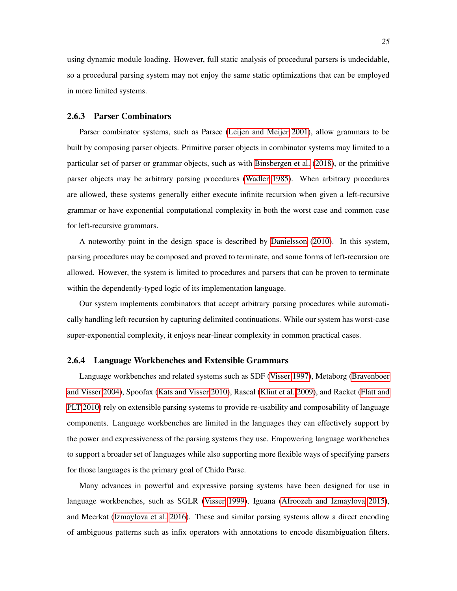using dynamic module loading. However, full static analysis of procedural parsers is undecidable, so a procedural parsing system may not enjoy the same static optimizations that can be employed in more limited systems.

#### <span id="page-33-0"></span>2.6.3 Parser Combinators

Parser combinator systems, such as Parsec [\(Leijen and Meijer 2001\)](#page-34-2), allow grammars to be built by composing parser objects. Primitive parser objects in combinator systems may limited to a particular set of parser or grammar objects, such as with [Binsbergen et al.](#page-34-2) [\(2018\)](#page-34-2), or the primitive parser objects may be arbitrary parsing procedures [\(Wadler 1985\)](#page-34-2). When arbitrary procedures are allowed, these systems generally either execute infinite recursion when given a left-recursive grammar or have exponential computational complexity in both the worst case and common case for left-recursive grammars.

A noteworthy point in the design space is described by [Danielsson](#page-34-2) [\(2010\)](#page-34-2). In this system, parsing procedures may be composed and proved to terminate, and some forms of left-recursion are allowed. However, the system is limited to procedures and parsers that can be proven to terminate within the dependently-typed logic of its implementation language.

Our system implements combinators that accept arbitrary parsing procedures while automatically handling left-recursion by capturing delimited continuations. While our system has worst-case super-exponential complexity, it enjoys near-linear complexity in common practical cases.

#### <span id="page-33-1"></span>2.6.4 Language Workbenches and Extensible Grammars

Language workbenches and related systems such as SDF [\(Visser 1997\)](#page-34-2), Metaborg [\(Bravenboer](#page-34-2) [and Visser 2004\)](#page-34-2), Spoofax [\(Kats and Visser 2010\)](#page-34-2), Rascal [\(Klint et al. 2009\)](#page-34-2), and Racket [\(Flatt and](#page-34-2) [PLT 2010\)](#page-34-2) rely on extensible parsing systems to provide re-usability and composability of language components. Language workbenches are limited in the languages they can effectively support by the power and expressiveness of the parsing systems they use. Empowering language workbenches to support a broader set of languages while also supporting more flexible ways of specifying parsers for those languages is the primary goal of Chido Parse.

Many advances in powerful and expressive parsing systems have been designed for use in language workbenches, such as SGLR [\(Visser 1999\)](#page-34-2), Iguana [\(Afroozeh and Izmaylova 2015\)](#page-34-2), and Meerkat [\(Izmaylova et al. 2016\)](#page-34-2). These and similar parsing systems allow a direct encoding of ambiguous patterns such as infix operators with annotations to encode disambiguation filters.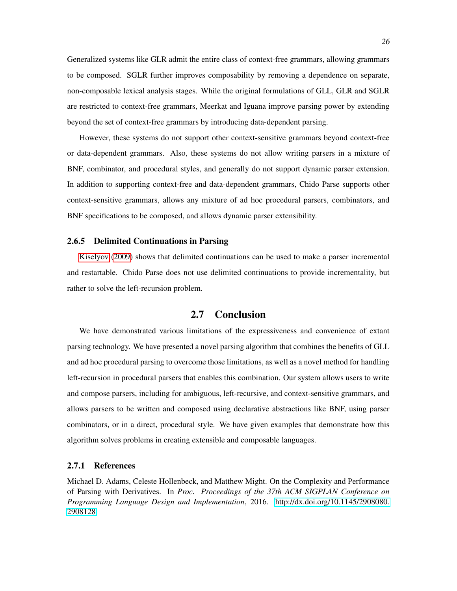Generalized systems like GLR admit the entire class of context-free grammars, allowing grammars to be composed. SGLR further improves composability by removing a dependence on separate, non-composable lexical analysis stages. While the original formulations of GLL, GLR and SGLR are restricted to context-free grammars, Meerkat and Iguana improve parsing power by extending beyond the set of context-free grammars by introducing data-dependent parsing.

However, these systems do not support other context-sensitive grammars beyond context-free or data-dependent grammars. Also, these systems do not allow writing parsers in a mixture of BNF, combinator, and procedural styles, and generally do not support dynamic parser extension. In addition to supporting context-free and data-dependent grammars, Chido Parse supports other context-sensitive grammars, allows any mixture of ad hoc procedural parsers, combinators, and BNF specifications to be composed, and allows dynamic parser extensibility.

### <span id="page-34-0"></span>2.6.5 Delimited Continuations in Parsing

[Kiselyov](#page-34-2) [\(2009\)](#page-34-2) shows that delimited continuations can be used to make a parser incremental and restartable. Chido Parse does not use delimited continuations to provide incrementality, but rather to solve the left-recursion problem.

### 2.7 Conclusion

<span id="page-34-1"></span>We have demonstrated various limitations of the expressiveness and convenience of extant parsing technology. We have presented a novel parsing algorithm that combines the benefits of GLL and ad hoc procedural parsing to overcome those limitations, as well as a novel method for handling left-recursion in procedural parsers that enables this combination. Our system allows users to write and compose parsers, including for ambiguous, left-recursive, and context-sensitive grammars, and allows parsers to be written and composed using declarative abstractions like BNF, using parser combinators, or in a direct, procedural style. We have given examples that demonstrate how this algorithm solves problems in creating extensible and composable languages.

### <span id="page-34-2"></span>2.7.1 References

Michael D. Adams, Celeste Hollenbeck, and Matthew Might. On the Complexity and Performance of Parsing with Derivatives. In *Proc. Proceedings of the 37th ACM SIGPLAN Conference on Programming Language Design and Implementation*, 2016. [http://dx.doi.org/10.1145/2908080.](http://dx.doi.org/10.1145/2908080.2908128) [2908128](http://dx.doi.org/10.1145/2908080.2908128)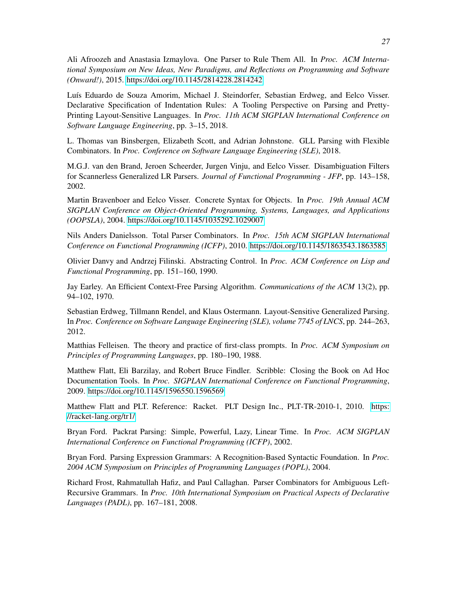Ali Afroozeh and Anastasia Izmaylova. One Parser to Rule Them All. In *Proc. ACM International Symposium on New Ideas, New Paradigms, and Reflections on Programming and Software (Onward!)*, 2015.<https://doi.org/10.1145/2814228.2814242>

Luís Eduardo de Souza Amorim, Michael J. Steindorfer, Sebastian Erdweg, and Eelco Visser. Declarative Specification of Indentation Rules: A Tooling Perspective on Parsing and Pretty-Printing Layout-Sensitive Languages. In *Proc. 11th ACM SIGPLAN International Conference on Software Language Engineering*, pp. 3–15, 2018.

L. Thomas van Binsbergen, Elizabeth Scott, and Adrian Johnstone. GLL Parsing with Flexible Combinators. In *Proc. Conference on Software Language Engineering (SLE)*, 2018.

M.G.J. van den Brand, Jeroen Scheerder, Jurgen Vinju, and Eelco Visser. Disambiguation Filters for Scannerless Generalized LR Parsers. *Journal of Functional Programming - JFP*, pp. 143–158, 2002.

Martin Bravenboer and Eelco Visser. Concrete Syntax for Objects. In *Proc. 19th Annual ACM SIGPLAN Conference on Object-Oriented Programming, Systems, Languages, and Applications (OOPSLA)*, 2004.<https://doi.org/10.1145/1035292.1029007>

Nils Anders Danielsson. Total Parser Combinators. In *Proc. 15th ACM SIGPLAN International Conference on Functional Programming (ICFP)*, 2010.<https://doi.org/10.1145/1863543.1863585>

Olivier Danvy and Andrzej Filinski. Abstracting Control. In *Proc. ACM Conference on Lisp and Functional Programming*, pp. 151–160, 1990.

Jay Earley. An Efficient Context-Free Parsing Algorithm. *Communications of the ACM* 13(2), pp. 94–102, 1970.

Sebastian Erdweg, Tillmann Rendel, and Klaus Ostermann. Layout-Sensitive Generalized Parsing. In *Proc. Conference on Software Language Engineering (SLE), volume 7745 of LNCS*, pp. 244–263, 2012.

Matthias Felleisen. The theory and practice of first-class prompts. In *Proc. ACM Symposium on Principles of Programming Languages*, pp. 180–190, 1988.

Matthew Flatt, Eli Barzilay, and Robert Bruce Findler. Scribble: Closing the Book on Ad Hoc Documentation Tools. In *Proc. SIGPLAN International Conference on Functional Programming*, 2009.<https://doi.org/10.1145/1596550.1596569>

Matthew Flatt and PLT. Reference: Racket. PLT Design Inc., PLT-TR-2010-1, 2010. [https:](https://racket-lang.org/tr1/) [//racket-lang.org/tr1/](https://racket-lang.org/tr1/)

Bryan Ford. Packrat Parsing: Simple, Powerful, Lazy, Linear Time. In *Proc. ACM SIGPLAN International Conference on Functional Programming (ICFP)*, 2002.

Bryan Ford. Parsing Expression Grammars: A Recognition-Based Syntactic Foundation. In *Proc. 2004 ACM Symposium on Principles of Programming Languages (POPL)*, 2004.

Richard Frost, Rahmatullah Hafiz, and Paul Callaghan. Parser Combinators for Ambiguous Left-Recursive Grammars. In *Proc. 10th International Symposium on Practical Aspects of Declarative Languages (PADL)*, pp. 167–181, 2008.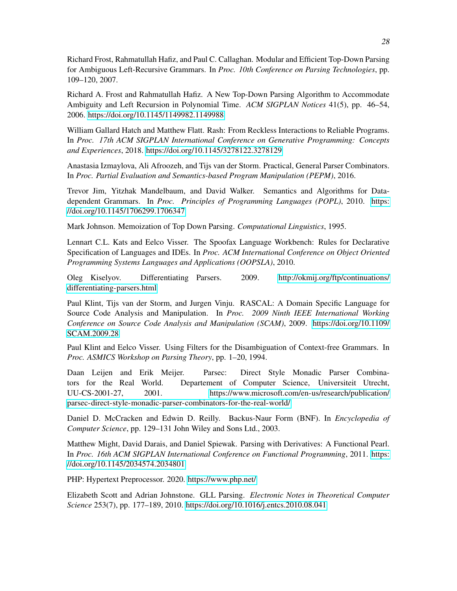Richard Frost, Rahmatullah Hafiz, and Paul C. Callaghan. Modular and Efficient Top-Down Parsing for Ambiguous Left-Recursive Grammars. In *Proc. 10th Conference on Parsing Technologies*, pp. 109–120, 2007.

Richard A. Frost and Rahmatullah Hafiz. A New Top-Down Parsing Algorithm to Accommodate Ambiguity and Left Recursion in Polynomial Time. *ACM SIGPLAN Notices* 41(5), pp. 46–54, 2006.<https://doi.org/10.1145/1149982.1149988>

William Gallard Hatch and Matthew Flatt. Rash: From Reckless Interactions to Reliable Programs. In *Proc. 17th ACM SIGPLAN International Conference on Generative Programming: Concepts and Experiences*, 2018.<https://doi.org/10.1145/3278122.3278129>

Anastasia Izmaylova, Ali Afroozeh, and Tijs van der Storm. Practical, General Parser Combinators. In *Proc. Partial Evaluation and Semantics-based Program Manipulation (PEPM)*, 2016.

Trevor Jim, Yitzhak Mandelbaum, and David Walker. Semantics and Algorithms for Datadependent Grammars. In *Proc. Principles of Programming Languages (POPL)*, 2010. [https:](https://doi.org/10.1145/1706299.1706347) [//doi.org/10.1145/1706299.1706347](https://doi.org/10.1145/1706299.1706347)

Mark Johnson. Memoization of Top Down Parsing. *Computational Linguistics*, 1995.

Lennart C.L. Kats and Eelco Visser. The Spoofax Language Workbench: Rules for Declarative Specification of Languages and IDEs. In *Proc. ACM International Conference on Object Oriented Programming Systems Languages and Applications (OOPSLA)*, 2010.

Oleg Kiselyov. Differentiating Parsers. 2009. [http://okmij.org/ftp/continuations/](http://okmij.org/ftp/continuations/differentiating-parsers.html) [differentiating-parsers.html](http://okmij.org/ftp/continuations/differentiating-parsers.html)

Paul Klint, Tijs van der Storm, and Jurgen Vinju. RASCAL: A Domain Specific Language for Source Code Analysis and Manipulation. In *Proc. 2009 Ninth IEEE International Working Conference on Source Code Analysis and Manipulation (SCAM)*, 2009. [https://doi.org/10.1109/](https://doi.org/10.1109/SCAM.2009.28) [SCAM.2009.28](https://doi.org/10.1109/SCAM.2009.28)

Paul Klint and Eelco Visser. Using Filters for the Disambiguation of Context-free Grammars. In *Proc. ASMICS Workshop on Parsing Theory*, pp. 1–20, 1994.

Daan Leijen and Erik Meijer. Parsec: Direct Style Monadic Parser Combinators for the Real World. Departement of Computer Science, Universiteit Utrecht, UU-CS-2001-27, 2001. [https://www.microsoft.com/en-us/research/publication/](https://www.microsoft.com/en-us/research/publication/parsec-direct-style-monadic-parser-combinators-for-the-real-world/) [parsec-direct-style-monadic-parser-combinators-for-the-real-world/](https://www.microsoft.com/en-us/research/publication/parsec-direct-style-monadic-parser-combinators-for-the-real-world/)

Daniel D. McCracken and Edwin D. Reilly. Backus-Naur Form (BNF). In *Encyclopedia of Computer Science*, pp. 129–131 John Wiley and Sons Ltd., 2003.

Matthew Might, David Darais, and Daniel Spiewak. Parsing with Derivatives: A Functional Pearl. In *Proc. 16th ACM SIGPLAN International Conference on Functional Programming*, 2011. [https:](https://doi.org/10.1145/2034574.2034801) [//doi.org/10.1145/2034574.2034801](https://doi.org/10.1145/2034574.2034801)

PHP: Hypertext Preprocessor. 2020.<https://www.php.net/>

Elizabeth Scott and Adrian Johnstone. GLL Parsing. *Electronic Notes in Theoretical Computer Science* 253(7), pp. 177–189, 2010.<https://doi.org/10.1016/j.entcs.2010.08.041>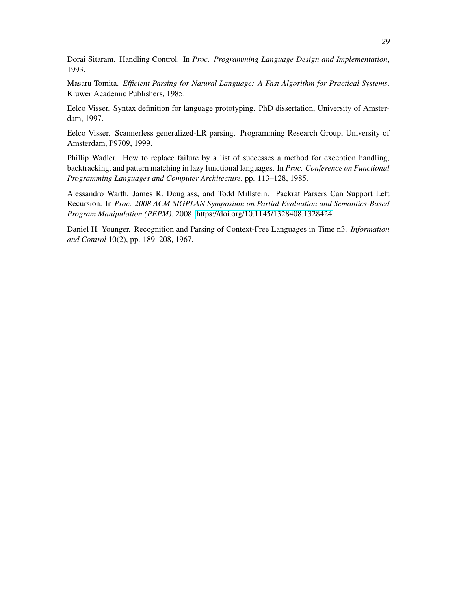Dorai Sitaram. Handling Control. In *Proc. Programming Language Design and Implementation*, 1993.

Masaru Tomita. *Efficient Parsing for Natural Language: A Fast Algorithm for Practical Systems*. Kluwer Academic Publishers, 1985.

Eelco Visser. Syntax definition for language prototyping. PhD dissertation, University of Amsterdam, 1997.

Eelco Visser. Scannerless generalized-LR parsing. Programming Research Group, University of Amsterdam, P9709, 1999.

Phillip Wadler. How to replace failure by a list of successes a method for exception handling, backtracking, and pattern matching in lazy functional languages. In *Proc. Conference on Functional Programming Languages and Computer Architecture*, pp. 113–128, 1985.

Alessandro Warth, James R. Douglass, and Todd Millstein. Packrat Parsers Can Support Left Recursion. In *Proc. 2008 ACM SIGPLAN Symposium on Partial Evaluation and Semantics-Based Program Manipulation (PEPM)*, 2008.<https://doi.org/10.1145/1328408.1328424>

Daniel H. Younger. Recognition and Parsing of Context-Free Languages in Time n3. *Information and Control* 10(2), pp. 189–208, 1967.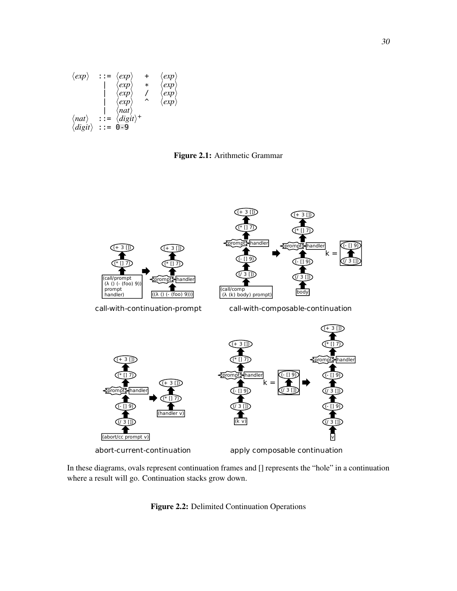$$
\langle exp \rangle : := \langle exp \rangle + \langle exp \rangle
$$
  
\n
$$
\langle exp \rangle * \langle exp \rangle
$$
  
\n
$$
\langle exp \rangle / \langle exp \rangle
$$
  
\n
$$
\langle exp \rangle / \langle exp \rangle
$$
  
\n
$$
\langle exp \rangle / \langle exp \rangle
$$
  
\n
$$
\langle map \rangle : := \langle digit \rangle + \langle digit \rangle
$$

Figure 2.1: Arithmetic Grammar



In these diagrams, ovals represent continuation frames and [] represents the "hole" in a continuation where a result will go. Continuation stacks grow down.

Figure 2.2: Delimited Continuation Operations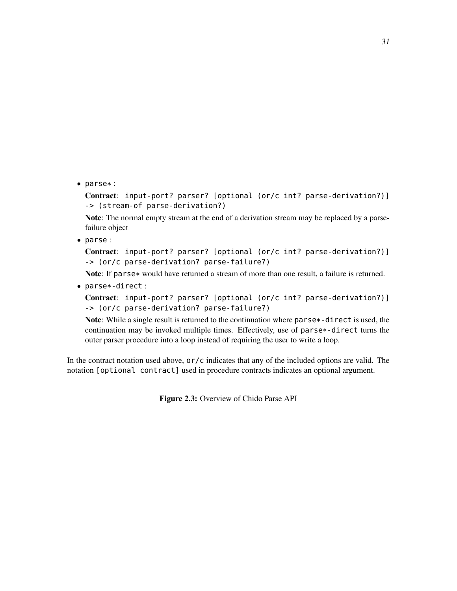' parse\* :

Contract: input-port? parser? [optional (or/c int? parse-derivation?)] -> (stream-of parse-derivation?)

Note: The normal empty stream at the end of a derivation stream may be replaced by a parsefailure object

' parse :

Contract: input-port? parser? [optional (or/c int? parse-derivation?)] -> (or/c parse-derivation? parse-failure?)

Note: If parse\* would have returned a stream of more than one result, a failure is returned.

' parse\*-direct :

Contract: input-port? parser? [optional (or/c int? parse-derivation?)] -> (or/c parse-derivation? parse-failure?)

Note: While a single result is returned to the continuation where parse\*-direct is used, the continuation may be invoked multiple times. Effectively, use of parse\*-direct turns the outer parser procedure into a loop instead of requiring the user to write a loop.

In the contract notation used above,  $\sigma r/c$  indicates that any of the included options are valid. The notation [optional contract] used in procedure contracts indicates an optional argument.

Figure 2.3: Overview of Chido Parse API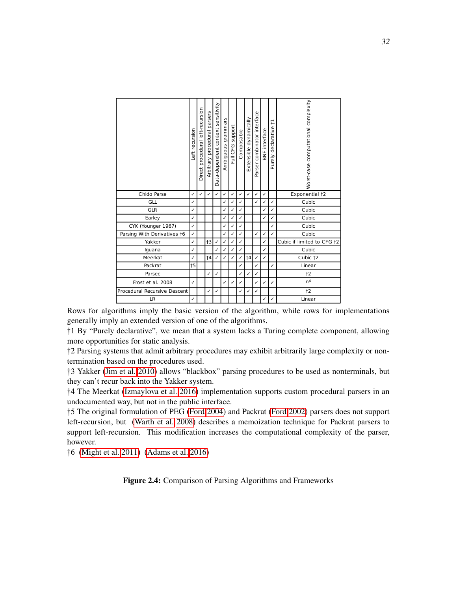|                              | Left recursion | procedural left-recursion | Arbitrary procedural parsers | Data-dependent context sensitivity | grammars  | Full CFG support | Composable | Extensible dynamically | Parser combinator interface | BNF interface | $\pm$              | Worst-case computational complexity |
|------------------------------|----------------|---------------------------|------------------------------|------------------------------------|-----------|------------------|------------|------------------------|-----------------------------|---------------|--------------------|-------------------------------------|
|                              |                | Direct                    |                              |                                    | Ambiguous |                  |            |                        |                             |               | Purely declarative |                                     |
| Chido Parse                  | ✓              | ✓                         | ✓                            | ✓                                  | ✓         | $\checkmark$     |            | ✓                      | ✓                           | $\checkmark$  |                    | Exponential +2                      |
| GLL                          | ✓              |                           |                              |                                    | ✓         | $\checkmark$     | ✓          |                        | ✓                           | ✓             | $\checkmark$       | Cubic                               |
| <b>GLR</b>                   | ✓              |                           |                              |                                    | ✓         | ✓                | J          |                        |                             | ✓             | ✓                  | Cubic                               |
| Earley                       | ✓              |                           |                              |                                    | ✓         | $\checkmark$     | ✓          |                        |                             | ✓             | $\checkmark$       | Cubic                               |
| CYK (Younger 1967)           | ✓              |                           |                              |                                    | ✓         | ✓                |            |                        |                             |               | ✓                  | Cubic                               |
| Parsing With Derivatives †6  | ✓              |                           |                              |                                    | J         | ✓                | J          |                        | $\checkmark$                | ✓             | $\checkmark$       | Cubic                               |
| Yakker                       | ✓              |                           | $+3$                         | ✓                                  | ✓         | ✓                | J          |                        |                             | ✓             |                    | Cubic if limited to CFG +2          |
| Iguana                       | ✓              |                           |                              | J                                  | ✓         | ✓                |            |                        |                             | ✓             |                    | Cubic                               |
| Meerkat                      | ✓              |                           | $14$                         | ✓                                  | ✓         | ✓                |            | $14$                   | ✓                           | ✓             |                    | Cubic <sup>+2</sup>                 |
| Packrat                      | $+5$           |                           |                              |                                    |           |                  | ✓          |                        | $\checkmark$                |               | $\checkmark$       | Linear                              |
| Parsec                       |                |                           | $\checkmark$                 | $\checkmark$                       |           |                  | ✓          | $\checkmark$           | ✓                           |               |                    | 12                                  |
| Frost et al. 2008            | $\checkmark$   |                           |                              |                                    | ✓         | ✓                | ✓          |                        | ✓                           | ✓             | $\checkmark$       | n <sup>4</sup>                      |
| Procedural Recursive Descent |                |                           | ✓                            | ✓                                  |           |                  | ✓          | ✓                      | ✓                           |               |                    | 12                                  |
| LR                           | ✓              |                           |                              |                                    |           |                  |            |                        |                             | ✓             | $\checkmark$       | Linear                              |

Rows for algorithms imply the basic version of the algorithm, while rows for implementations generally imply an extended version of one of the algorithms.

:1 By "Purely declarative", we mean that a system lacks a Turing complete component, allowing more opportunities for static analysis.

:2 Parsing systems that admit arbitrary procedures may exhibit arbitrarily large complexity or nontermination based on the procedures used.

:3 Yakker [\(Jim et al. 2010\)](#page-34-0) allows "blackbox" parsing procedures to be used as nonterminals, but they can't recur back into the Yakker system.

:4 The Meerkat [\(Izmaylova et al. 2016\)](#page-34-0) implementation supports custom procedural parsers in an undocumented way, but not in the public interface.

:5 The original formulation of PEG [\(Ford 2004\)](#page-34-0) and Packrat [\(Ford 2002\)](#page-34-0) parsers does not support left-recursion, but [\(Warth et al. 2008\)](#page-34-0) describes a memoization technique for Packrat parsers to support left-recursion. This modification increases the computational complexity of the parser, however.

:6 [\(Might et al. 2011\)](#page-34-0) [\(Adams et al. 2016\)](#page-34-0)

Figure 2.4: Comparison of Parsing Algorithms and Frameworks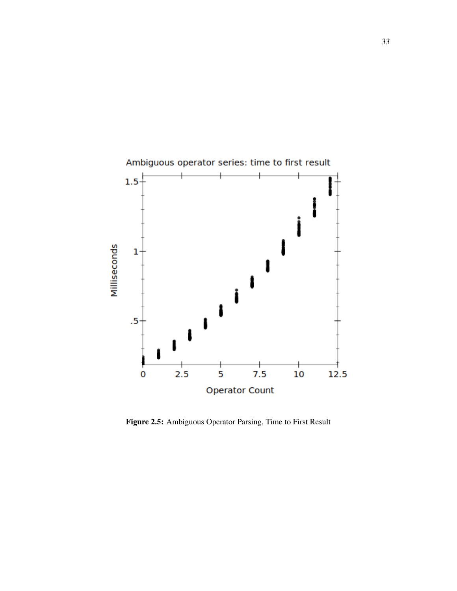

Figure 2.5: Ambiguous Operator Parsing, Time to First Result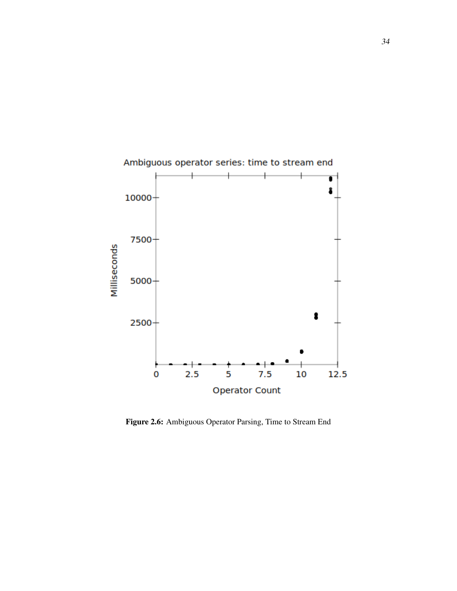

Figure 2.6: Ambiguous Operator Parsing, Time to Stream End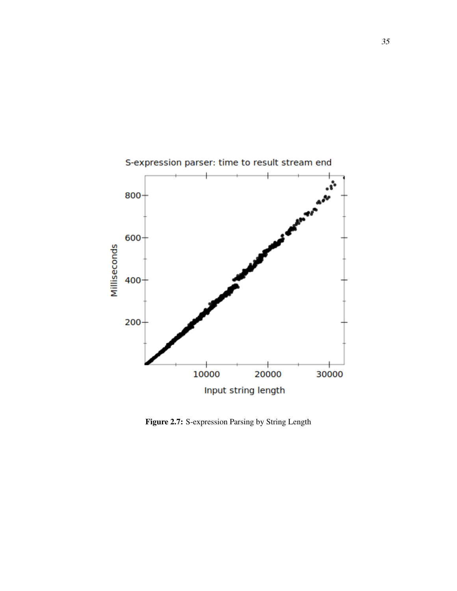

Figure 2.7: S-expression Parsing by String Length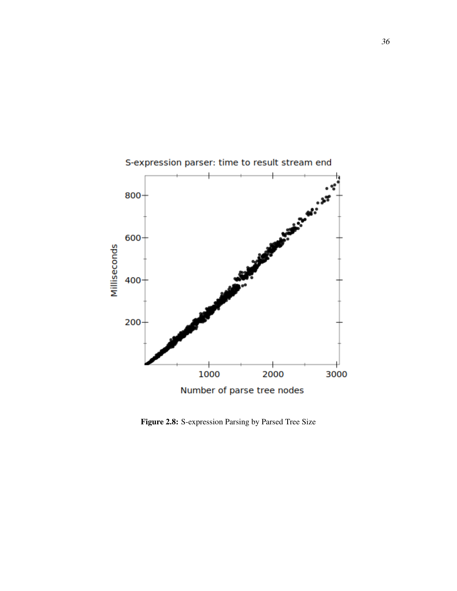

Figure 2.8: S-expression Parsing by Parsed Tree Size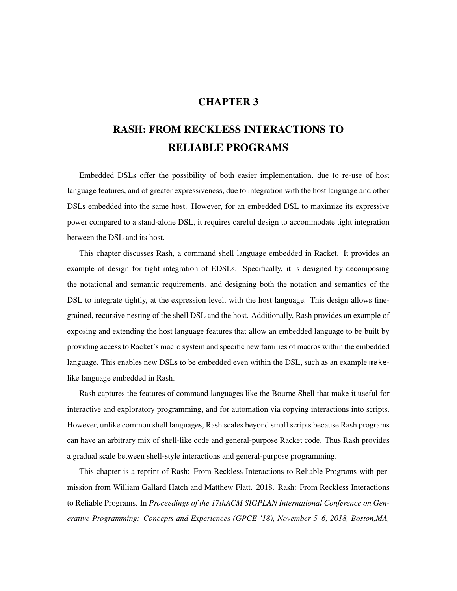# CHAPTER 3

# RASH: FROM RECKLESS INTERACTIONS TO RELIABLE PROGRAMS

Embedded DSLs offer the possibility of both easier implementation, due to re-use of host language features, and of greater expressiveness, due to integration with the host language and other DSLs embedded into the same host. However, for an embedded DSL to maximize its expressive power compared to a stand-alone DSL, it requires careful design to accommodate tight integration between the DSL and its host.

This chapter discusses Rash, a command shell language embedded in Racket. It provides an example of design for tight integration of EDSLs. Specifically, it is designed by decomposing the notational and semantic requirements, and designing both the notation and semantics of the DSL to integrate tightly, at the expression level, with the host language. This design allows finegrained, recursive nesting of the shell DSL and the host. Additionally, Rash provides an example of exposing and extending the host language features that allow an embedded language to be built by providing access to Racket's macro system and specific new families of macros within the embedded language. This enables new DSLs to be embedded even within the DSL, such as an example makelike language embedded in Rash.

Rash captures the features of command languages like the Bourne Shell that make it useful for interactive and exploratory programming, and for automation via copying interactions into scripts. However, unlike common shell languages, Rash scales beyond small scripts because Rash programs can have an arbitrary mix of shell-like code and general-purpose Racket code. Thus Rash provides a gradual scale between shell-style interactions and general-purpose programming.

This chapter is a reprint of Rash: From Reckless Interactions to Reliable Programs with permission from William Gallard Hatch and Matthew Flatt. 2018. Rash: From Reckless Interactions to Reliable Programs. In *Proceedings of the 17thACM SIGPLAN International Conference on Generative Programming: Concepts and Experiences (GPCE '18), November 5–6, 2018, Boston,MA,*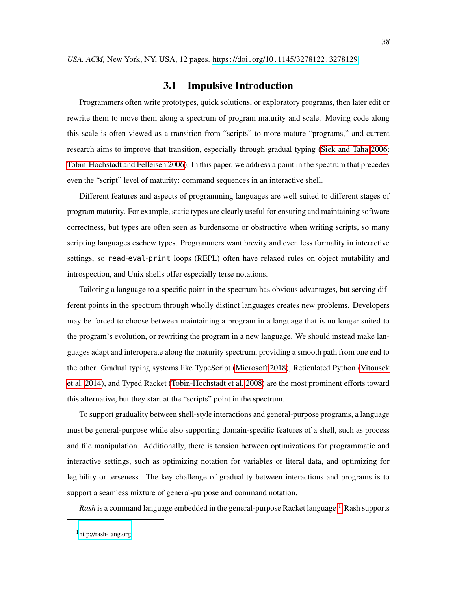#### *USA. ACM,* New York, NY, USA, 12 pages. https://doi.org/10.[1145/3278122](https://doi.org/10.1145/3278122.3278129).3278129

## 3.1 Impulsive Introduction

Programmers often write prototypes, quick solutions, or exploratory programs, then later edit or rewrite them to move them along a spectrum of program maturity and scale. Moving code along this scale is often viewed as a transition from "scripts" to more mature "programs," and current research aims to improve that transition, especially through gradual typing [\(Siek and Taha 2006;](#page-69-0) [Tobin-Hochstadt and Felleisen 2006\)](#page-69-0). In this paper, we address a point in the spectrum that precedes even the "script" level of maturity: command sequences in an interactive shell.

Different features and aspects of programming languages are well suited to different stages of program maturity. For example, static types are clearly useful for ensuring and maintaining software correctness, but types are often seen as burdensome or obstructive when writing scripts, so many scripting languages eschew types. Programmers want brevity and even less formality in interactive settings, so read-eval-print loops (REPL) often have relaxed rules on object mutability and introspection, and Unix shells offer especially terse notations.

Tailoring a language to a specific point in the spectrum has obvious advantages, but serving different points in the spectrum through wholly distinct languages creates new problems. Developers may be forced to choose between maintaining a program in a language that is no longer suited to the program's evolution, or rewriting the program in a new language. We should instead make languages adapt and interoperate along the maturity spectrum, providing a smooth path from one end to the other. Gradual typing systems like TypeScript [\(Microsoft 2018\)](#page-69-0), Reticulated Python [\(Vitousek](#page-69-0) [et al. 2014\)](#page-69-0), and Typed Racket [\(Tobin-Hochstadt et al. 2008\)](#page-69-0) are the most prominent efforts toward this alternative, but they start at the "scripts" point in the spectrum.

To support graduality between shell-style interactions and general-purpose programs, a language must be general-purpose while also supporting domain-specific features of a shell, such as process and file manipulation. Additionally, there is tension between optimizations for programmatic and interactive settings, such as optimizing notation for variables or literal data, and optimizing for legibility or terseness. The key challenge of graduality between interactions and programs is to support a seamless mixture of general-purpose and command notation.

*Rash* is a command language embedded in the general-purpose Racket language.<sup>[1](#page-46-0)</sup> Rash supports

<span id="page-46-0"></span><sup>1</sup><http://rash-lang.org>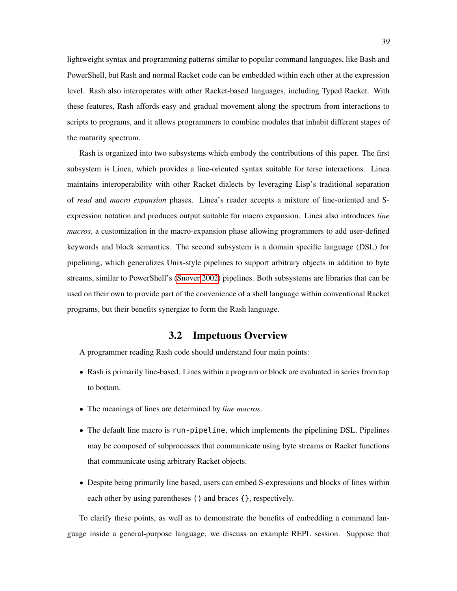lightweight syntax and programming patterns similar to popular command languages, like Bash and PowerShell, but Rash and normal Racket code can be embedded within each other at the expression level. Rash also interoperates with other Racket-based languages, including Typed Racket. With these features, Rash affords easy and gradual movement along the spectrum from interactions to scripts to programs, and it allows programmers to combine modules that inhabit different stages of the maturity spectrum.

Rash is organized into two subsystems which embody the contributions of this paper. The first subsystem is Linea, which provides a line-oriented syntax suitable for terse interactions. Linea maintains interoperability with other Racket dialects by leveraging Lisp's traditional separation of *read* and *macro expansion* phases. Linea's reader accepts a mixture of line-oriented and Sexpression notation and produces output suitable for macro expansion. Linea also introduces *line macros*, a customization in the macro-expansion phase allowing programmers to add user-defined keywords and block semantics. The second subsystem is a domain specific language (DSL) for pipelining, which generalizes Unix-style pipelines to support arbitrary objects in addition to byte streams, similar to PowerShell's [\(Snover 2002\)](#page-69-0) pipelines. Both subsystems are libraries that can be used on their own to provide part of the convenience of a shell language within conventional Racket programs, but their benefits synergize to form the Rash language.

## 3.2 Impetuous Overview

A programmer reading Rash code should understand four main points:

- ' Rash is primarily line-based. Lines within a program or block are evaluated in series from top to bottom.
- ' The meanings of lines are determined by *line macros*.
- The default line macro is run-pipeline, which implements the pipelining DSL. Pipelines may be composed of subprocesses that communicate using byte streams or Racket functions that communicate using arbitrary Racket objects.
- ' Despite being primarily line based, users can embed S-expressions and blocks of lines within each other by using parentheses () and braces {}, respectively.

To clarify these points, as well as to demonstrate the benefits of embedding a command language inside a general-purpose language, we discuss an example REPL session. Suppose that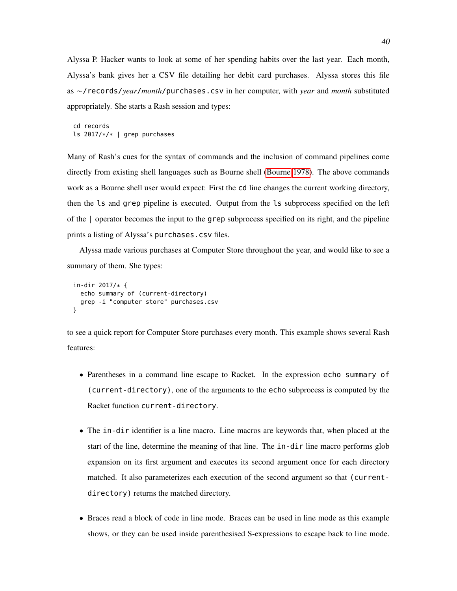Alyssa P. Hacker wants to look at some of her spending habits over the last year. Each month, Alyssa's bank gives her a CSV file detailing her debit card purchases. Alyssa stores this file as "/records/*year*/*month*/purchases.csv in her computer, with *year* and *month* substituted appropriately. She starts a Rash session and types:

cd records ls 2017/\*/\* | grep purchases

Many of Rash's cues for the syntax of commands and the inclusion of command pipelines come directly from existing shell languages such as Bourne shell [\(Bourne 1978\)](#page-69-0). The above commands work as a Bourne shell user would expect: First the cd line changes the current working directory, then the ls and grep pipeline is executed. Output from the ls subprocess specified on the left of the | operator becomes the input to the grep subprocess specified on its right, and the pipeline prints a listing of Alyssa's purchases.csv files.

Alyssa made various purchases at Computer Store throughout the year, and would like to see a summary of them. She types:

```
in-dir 2017/* {
  echo summary of (current-directory)
  grep -i "computer store" purchases.csv
}
```
to see a quick report for Computer Store purchases every month. This example shows several Rash features:

- Parentheses in a command line escape to Racket. In the expression echo summary of (current-directory), one of the arguments to the echo subprocess is computed by the Racket function current-directory.
- The in-dir identifier is a line macro. Line macros are keywords that, when placed at the start of the line, determine the meaning of that line. The in-dir line macro performs glob expansion on its first argument and executes its second argument once for each directory matched. It also parameterizes each execution of the second argument so that (currentdirectory) returns the matched directory.
- ' Braces read a block of code in line mode. Braces can be used in line mode as this example shows, or they can be used inside parenthesised S-expressions to escape back to line mode.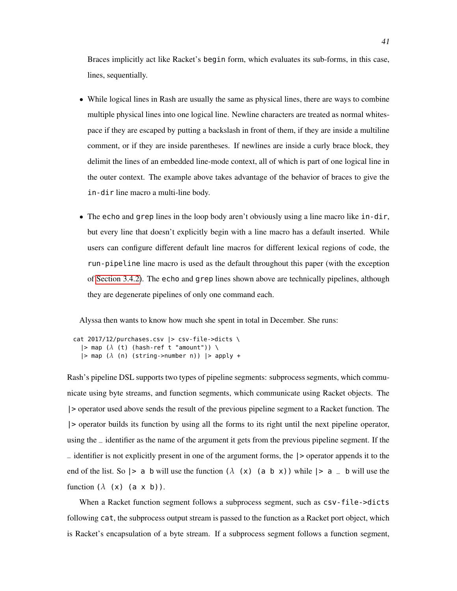Braces implicitly act like Racket's begin form, which evaluates its sub-forms, in this case, lines, sequentially.

- ' While logical lines in Rash are usually the same as physical lines, there are ways to combine multiple physical lines into one logical line. Newline characters are treated as normal whitespace if they are escaped by putting a backslash in front of them, if they are inside a multiline comment, or if they are inside parentheses. If newlines are inside a curly brace block, they delimit the lines of an embedded line-mode context, all of which is part of one logical line in the outer context. The example above takes advantage of the behavior of braces to give the in-dir line macro a multi-line body.
- ' The echo and grep lines in the loop body aren't obviously using a line macro like in-dir, but every line that doesn't explicitly begin with a line macro has a default inserted. While users can configure different default line macros for different lexical regions of code, the run-pipeline line macro is used as the default throughout this paper (with the exception of [Section 3.4.2\)](#page-54-0). The echo and grep lines shown above are technically pipelines, although they are degenerate pipelines of only one command each.

Alyssa then wants to know how much she spent in total in December. She runs:

```
cat 2017/12/purchases.csv |> csv-file->dicts \
  |> map (\lambda (t) (hash-ref t "amount")) \
  |> map (\lambda (n) (string->number n)) |> apply +
```
Rash's pipeline DSL supports two types of pipeline segments: subprocess segments, which communicate using byte streams, and function segments, which communicate using Racket objects. The |> operator used above sends the result of the previous pipeline segment to a Racket function. The |> operator builds its function by using all the forms to its right until the next pipeline operator, using the \_ identifier as the name of the argument it gets from the previous pipeline segment. If the \_ identifier is not explicitly present in one of the argument forms, the |> operator appends it to the end of the list. So  $|> a$  b will use the function  $(\lambda)(x)$  (a b x)) while  $|> a \, |> b$  will use the function  $(\lambda \ (x)$   $(a \times b)$ .

When a Racket function segment follows a subprocess segment, such as  $\text{csv-file}\rightarrow \text{dicts}$ following cat, the subprocess output stream is passed to the function as a Racket port object, which is Racket's encapsulation of a byte stream. If a subprocess segment follows a function segment,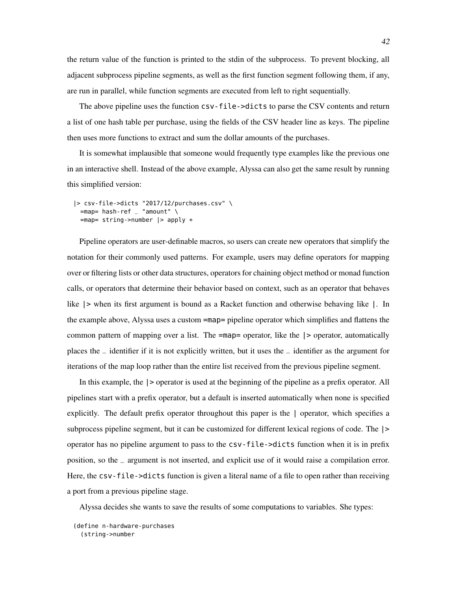the return value of the function is printed to the stdin of the subprocess. To prevent blocking, all adjacent subprocess pipeline segments, as well as the first function segment following them, if any, are run in parallel, while function segments are executed from left to right sequentially.

The above pipeline uses the function csv-file->dicts to parse the CSV contents and return a list of one hash table per purchase, using the fields of the CSV header line as keys. The pipeline then uses more functions to extract and sum the dollar amounts of the purchases.

It is somewhat implausible that someone would frequently type examples like the previous one in an interactive shell. Instead of the above example, Alyssa can also get the same result by running this simplified version:

```
|> csv-file->dicts "2017/12/purchases.csv" \
 =map= hash-ref = "amount" \
 =map= string->number |> apply +
```
Pipeline operators are user-definable macros, so users can create new operators that simplify the notation for their commonly used patterns. For example, users may define operators for mapping over or filtering lists or other data structures, operators for chaining object method or monad function calls, or operators that determine their behavior based on context, such as an operator that behaves like |> when its first argument is bound as a Racket function and otherwise behaving like |. In the example above, Alyssa uses a custom =map= pipeline operator which simplifies and flattens the common pattern of mapping over a list. The =map= operator, like the |> operator, automatically places the  $\overline{\phantom{a}}$  identifier if it is not explicitly written, but it uses the  $\overline{\phantom{a}}$  identifier as the argument for iterations of the map loop rather than the entire list received from the previous pipeline segment.

In this example, the |> operator is used at the beginning of the pipeline as a prefix operator. All pipelines start with a prefix operator, but a default is inserted automatically when none is specified explicitly. The default prefix operator throughout this paper is the | operator, which specifies a subprocess pipeline segment, but it can be customized for different lexical regions of code. The  $|>$ operator has no pipeline argument to pass to the csv-file->dicts function when it is in prefix position, so the \_ argument is not inserted, and explicit use of it would raise a compilation error. Here, the csv-file->dicts function is given a literal name of a file to open rather than receiving a port from a previous pipeline stage.

Alyssa decides she wants to save the results of some computations to variables. She types:

<sup>(</sup>define n-hardware-purchases (string->number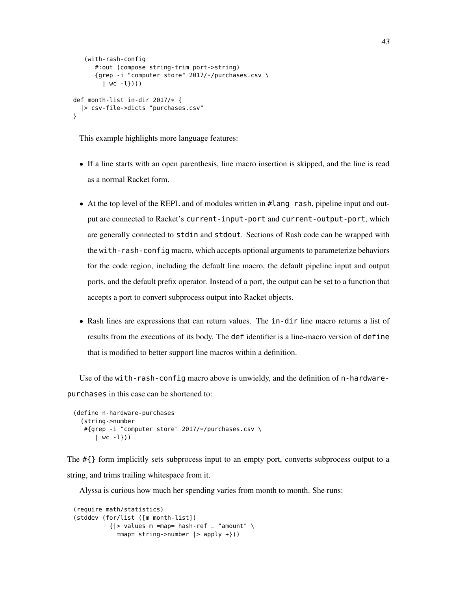```
(with-rash-config
     #:out (compose string-trim port->string)
     {grep -i "computer store" 2017/*/purchases.csv \
        | wc -l})))
def month-list in-dir 2017/* {
  |> csv-file->dicts "purchases.csv"
}
```
This example highlights more language features:

- ' If a line starts with an open parenthesis, line macro insertion is skipped, and the line is read as a normal Racket form.
- ' At the top level of the REPL and of modules written in #lang rash, pipeline input and output are connected to Racket's current-input-port and current-output-port, which are generally connected to stdin and stdout. Sections of Rash code can be wrapped with the with-rash-config macro, which accepts optional arguments to parameterize behaviors for the code region, including the default line macro, the default pipeline input and output ports, and the default prefix operator. Instead of a port, the output can be set to a function that accepts a port to convert subprocess output into Racket objects.
- ' Rash lines are expressions that can return values. The in-dir line macro returns a list of results from the executions of its body. The def identifier is a line-macro version of define that is modified to better support line macros within a definition.

Use of the with-rash-config macro above is unwieldy, and the definition of n-hardwarepurchases in this case can be shortened to:

```
(define n-hardware-purchases
  (string->number
   #{grep -i "computer store" 2017/*/purchases.csv \
      | wc -l}))
```
The #{} form implicitly sets subprocess input to an empty port, converts subprocess output to a string, and trims trailing whitespace from it.

Alyssa is curious how much her spending varies from month to month. She runs:

```
(require math/statistics)
(stddev (for/list ([m month-list])
         \{|> values m =map= hash-ref _ "amount" \
            =map= string->number |> apply +}))
```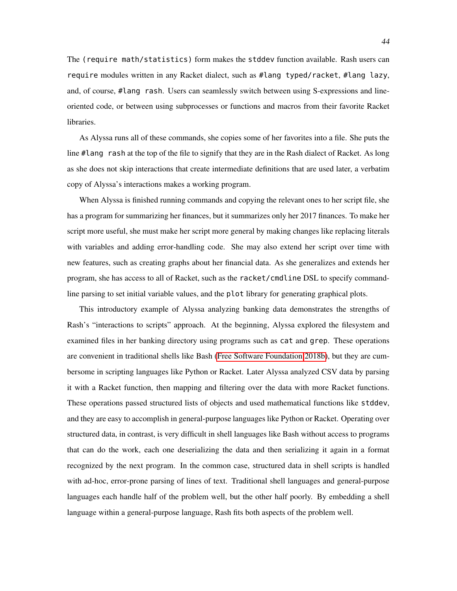The (require math/statistics) form makes the stddev function available. Rash users can require modules written in any Racket dialect, such as #lang typed/racket, #lang lazy, and, of course, #lang rash. Users can seamlessly switch between using S-expressions and lineoriented code, or between using subprocesses or functions and macros from their favorite Racket libraries.

As Alyssa runs all of these commands, she copies some of her favorites into a file. She puts the line #lang rash at the top of the file to signify that they are in the Rash dialect of Racket. As long as she does not skip interactions that create intermediate definitions that are used later, a verbatim copy of Alyssa's interactions makes a working program.

When Alyssa is finished running commands and copying the relevant ones to her script file, she has a program for summarizing her finances, but it summarizes only her 2017 finances. To make her script more useful, she must make her script more general by making changes like replacing literals with variables and adding error-handling code. She may also extend her script over time with new features, such as creating graphs about her financial data. As she generalizes and extends her program, she has access to all of Racket, such as the racket/cmdline DSL to specify commandline parsing to set initial variable values, and the plot library for generating graphical plots.

This introductory example of Alyssa analyzing banking data demonstrates the strengths of Rash's "interactions to scripts" approach. At the beginning, Alyssa explored the filesystem and examined files in her banking directory using programs such as cat and grep. These operations are convenient in traditional shells like Bash [\(Free Software Foundation 2018b\)](#page-69-0), but they are cumbersome in scripting languages like Python or Racket. Later Alyssa analyzed CSV data by parsing it with a Racket function, then mapping and filtering over the data with more Racket functions. These operations passed structured lists of objects and used mathematical functions like stddev, and they are easy to accomplish in general-purpose languages like Python or Racket. Operating over structured data, in contrast, is very difficult in shell languages like Bash without access to programs that can do the work, each one deserializing the data and then serializing it again in a format recognized by the next program. In the common case, structured data in shell scripts is handled with ad-hoc, error-prone parsing of lines of text. Traditional shell languages and general-purpose languages each handle half of the problem well, but the other half poorly. By embedding a shell language within a general-purpose language, Rash fits both aspects of the problem well.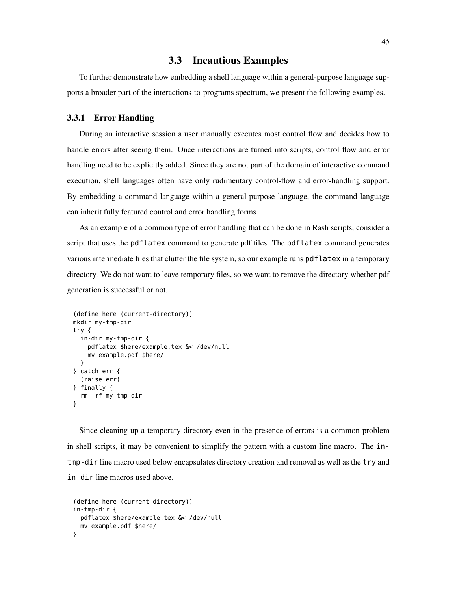### 3.3 Incautious Examples

To further demonstrate how embedding a shell language within a general-purpose language supports a broader part of the interactions-to-programs spectrum, we present the following examples.

#### 3.3.1 Error Handling

During an interactive session a user manually executes most control flow and decides how to handle errors after seeing them. Once interactions are turned into scripts, control flow and error handling need to be explicitly added. Since they are not part of the domain of interactive command execution, shell languages often have only rudimentary control-flow and error-handling support. By embedding a command language within a general-purpose language, the command language can inherit fully featured control and error handling forms.

As an example of a common type of error handling that can be done in Rash scripts, consider a script that uses the pdflatex command to generate pdf files. The pdflatex command generates various intermediate files that clutter the file system, so our example runs pdflatex in a temporary directory. We do not want to leave temporary files, so we want to remove the directory whether pdf generation is successful or not.

```
(define here (current-directory))
mkdir my-tmp-dir
try {
  in-dir my-tmp-dir {
   pdflatex $here/example.tex &< /dev/null
   mv example.pdf $here/
  }
} catch err {
  (raise err)
} finally {
  rm -rf my-tmp-dir
}
```
Since cleaning up a temporary directory even in the presence of errors is a common problem in shell scripts, it may be convenient to simplify the pattern with a custom line macro. The intmp-dir line macro used below encapsulates directory creation and removal as well as the try and in-dir line macros used above.

```
(define here (current-directory))
in-tmp-dir {
  pdflatex $here/example.tex &< /dev/null
 mv example.pdf $here/
}
```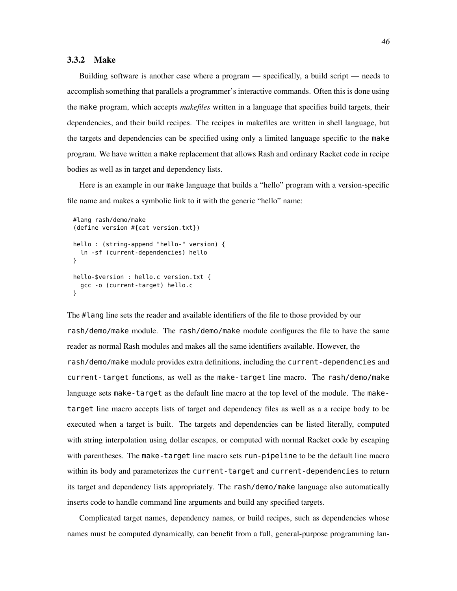### <span id="page-54-0"></span>3.3.2 Make

Building software is another case where a program — specifically, a build script — needs to accomplish something that parallels a programmer's interactive commands. Often this is done using the make program, which accepts *makefiles* written in a language that specifies build targets, their dependencies, and their build recipes. The recipes in makefiles are written in shell language, but the targets and dependencies can be specified using only a limited language specific to the make program. We have written a make replacement that allows Rash and ordinary Racket code in recipe bodies as well as in target and dependency lists.

Here is an example in our make language that builds a "hello" program with a version-specific file name and makes a symbolic link to it with the generic "hello" name:

```
#lang rash/demo/make
(define version #{cat version.txt})
hello : (string-append "hello-" version) {
  ln -sf (current-dependencies) hello
}
hello-$version : hello.c version.txt {
  gcc -o (current-target) hello.c
}
```
The #lang line sets the reader and available identifiers of the file to those provided by our rash/demo/make module. The rash/demo/make module configures the file to have the same reader as normal Rash modules and makes all the same identifiers available. However, the rash/demo/make module provides extra definitions, including the current-dependencies and current-target functions, as well as the make-target line macro. The rash/demo/make language sets make-target as the default line macro at the top level of the module. The maketarget line macro accepts lists of target and dependency files as well as a a recipe body to be executed when a target is built. The targets and dependencies can be listed literally, computed with string interpolation using dollar escapes, or computed with normal Racket code by escaping with parentheses. The make-target line macro sets run-pipeline to be the default line macro within its body and parameterizes the current-target and current-dependencies to return its target and dependency lists appropriately. The rash/demo/make language also automatically inserts code to handle command line arguments and build any specified targets.

Complicated target names, dependency names, or build recipes, such as dependencies whose names must be computed dynamically, can benefit from a full, general-purpose programming lan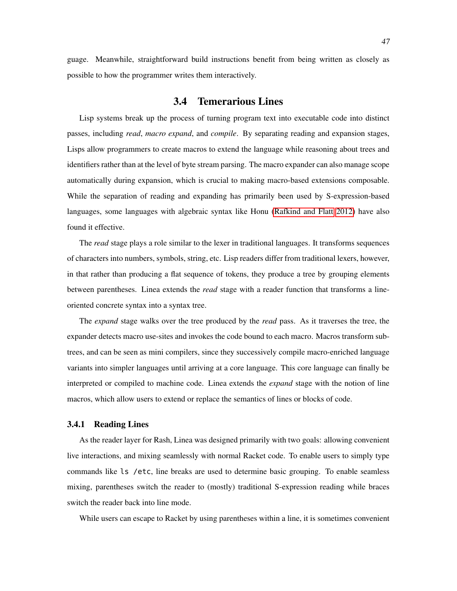guage. Meanwhile, straightforward build instructions benefit from being written as closely as possible to how the programmer writes them interactively.

### 3.4 Temerarious Lines

Lisp systems break up the process of turning program text into executable code into distinct passes, including *read*, *macro expand*, and *compile*. By separating reading and expansion stages, Lisps allow programmers to create macros to extend the language while reasoning about trees and identifiers rather than at the level of byte stream parsing. The macro expander can also manage scope automatically during expansion, which is crucial to making macro-based extensions composable. While the separation of reading and expanding has primarily been used by S-expression-based languages, some languages with algebraic syntax like Honu [\(Rafkind and Flatt 2012\)](#page-69-0) have also found it effective.

The *read* stage plays a role similar to the lexer in traditional languages. It transforms sequences of characters into numbers, symbols, string, etc. Lisp readers differ from traditional lexers, however, in that rather than producing a flat sequence of tokens, they produce a tree by grouping elements between parentheses. Linea extends the *read* stage with a reader function that transforms a lineoriented concrete syntax into a syntax tree.

The *expand* stage walks over the tree produced by the *read* pass. As it traverses the tree, the expander detects macro use-sites and invokes the code bound to each macro. Macros transform subtrees, and can be seen as mini compilers, since they successively compile macro-enriched language variants into simpler languages until arriving at a core language. This core language can finally be interpreted or compiled to machine code. Linea extends the *expand* stage with the notion of line macros, which allow users to extend or replace the semantics of lines or blocks of code.

#### 3.4.1 Reading Lines

As the reader layer for Rash, Linea was designed primarily with two goals: allowing convenient live interactions, and mixing seamlessly with normal Racket code. To enable users to simply type commands like ls /etc, line breaks are used to determine basic grouping. To enable seamless mixing, parentheses switch the reader to (mostly) traditional S-expression reading while braces switch the reader back into line mode.

While users can escape to Racket by using parentheses within a line, it is sometimes convenient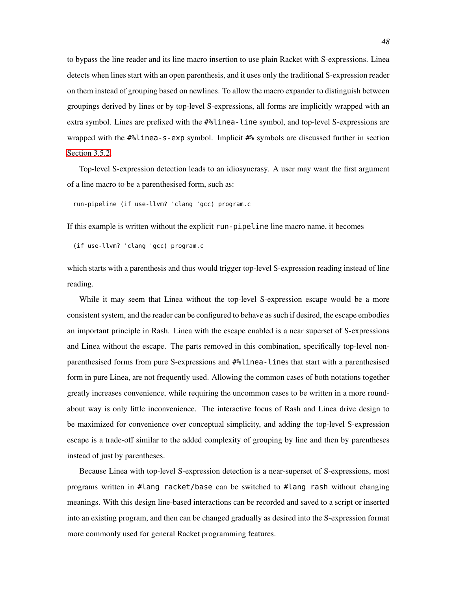to bypass the line reader and its line macro insertion to use plain Racket with S-expressions. Linea detects when lines start with an open parenthesis, and it uses only the traditional S-expression reader on them instead of grouping based on newlines. To allow the macro expander to distinguish between groupings derived by lines or by top-level S-expressions, all forms are implicitly wrapped with an extra symbol. Lines are prefixed with the #%linea-line symbol, and top-level S-expressions are wrapped with the #%linea-s-exp symbol. Implicit #% symbols are discussed further in section [Section 3.5.2.](#page-57-0)

Top-level S-expression detection leads to an idiosyncrasy. A user may want the first argument of a line macro to be a parenthesised form, such as:

run-pipeline (if use-llvm? 'clang 'gcc) program.c

If this example is written without the explicit run-pipeline line macro name, it becomes

(if use-llvm? 'clang 'gcc) program.c

which starts with a parenthesis and thus would trigger top-level S-expression reading instead of line reading.

While it may seem that Linea without the top-level S-expression escape would be a more consistent system, and the reader can be configured to behave as such if desired, the escape embodies an important principle in Rash. Linea with the escape enabled is a near superset of S-expressions and Linea without the escape. The parts removed in this combination, specifically top-level nonparenthesised forms from pure S-expressions and #%linea-lines that start with a parenthesised form in pure Linea, are not frequently used. Allowing the common cases of both notations together greatly increases convenience, while requiring the uncommon cases to be written in a more roundabout way is only little inconvenience. The interactive focus of Rash and Linea drive design to be maximized for convenience over conceptual simplicity, and adding the top-level S-expression escape is a trade-off similar to the added complexity of grouping by line and then by parentheses instead of just by parentheses.

Because Linea with top-level S-expression detection is a near-superset of S-expressions, most programs written in #lang racket/base can be switched to #lang rash without changing meanings. With this design line-based interactions can be recorded and saved to a script or inserted into an existing program, and then can be changed gradually as desired into the S-expression format more commonly used for general Racket programming features.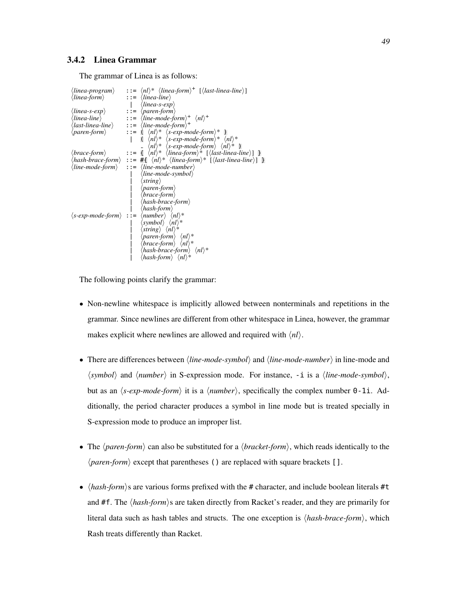### <span id="page-57-0"></span>3.4.2 Linea Grammar

The grammar of Linea is as follows:

| $\langle$ linea-program $\rangle$                                                                          | $\therefore$ = $\langle nl \rangle^*$ $\langle linear-form \rangle^+$ $[\langle last-linea-line \rangle]$                                                                                                                                                                                                                                                                                                                                                                                                                                                                                           |
|------------------------------------------------------------------------------------------------------------|-----------------------------------------------------------------------------------------------------------------------------------------------------------------------------------------------------------------------------------------------------------------------------------------------------------------------------------------------------------------------------------------------------------------------------------------------------------------------------------------------------------------------------------------------------------------------------------------------------|
| $\langle linea-form \rangle$                                                                               | $\cdot$ = $\langle$ linea-line $\rangle$                                                                                                                                                                                                                                                                                                                                                                                                                                                                                                                                                            |
|                                                                                                            | $\langle line a-s-exp \rangle$                                                                                                                                                                                                                                                                                                                                                                                                                                                                                                                                                                      |
| $\langle linea$ -s-exp $\rangle$                                                                           | $\cdot := \langle parent-form \rangle$                                                                                                                                                                                                                                                                                                                                                                                                                                                                                                                                                              |
| $\langle$ linea-line $\rangle$                                                                             | $\cdot$ : = $\langle$ <i>line-mode-form</i> $\rangle$ <sup>+</sup> $\langle$ <i>nl</i> $\rangle$ <sup>+</sup>                                                                                                                                                                                                                                                                                                                                                                                                                                                                                       |
|                                                                                                            | $\langle last\text{-}linea\text{-}line \rangle$ : = $\langle line\text{-}mode\text{-}form \rangle^+$                                                                                                                                                                                                                                                                                                                                                                                                                                                                                                |
| $\langle parent-form \rangle$                                                                              | $\begin{array}{lll} \Sigma := & \left( \begin{array}{cc} \langle nl \rangle^* & \langle s\text{-}exp\text{-}mode\text{-}form \rangle^* \end{array} \right) \\ &   & \left( \begin{array}{cc} \langle nl \rangle^* & \langle s\text{-}exp\text{-}mode\text{-}form \rangle^* \end{array} \langle nl \rangle^* \right) \\ &   & \left( \begin{array}{cc} \langle nl \rangle^* & \langle s\text{-}exp\text{-}mode\text{-}form \rangle \end{array} \langle nl \rangle^* \right) \\ \Sigma := & \left\{ \begin{array}{cc} \langle nl \rangle^* & \langle linear\text{-}form \rangle^* \end{array} \left[$ |
|                                                                                                            |                                                                                                                                                                                                                                                                                                                                                                                                                                                                                                                                                                                                     |
|                                                                                                            |                                                                                                                                                                                                                                                                                                                                                                                                                                                                                                                                                                                                     |
| $\langle brace-form \rangle$                                                                               |                                                                                                                                                                                                                                                                                                                                                                                                                                                                                                                                                                                                     |
|                                                                                                            | $\langle hash-brace-form \rangle$ ::= #{ $\langle nl \rangle^*$ $\langle linear-form \rangle^*$ [ $\langle last-linea-line \rangle$ ] }                                                                                                                                                                                                                                                                                                                                                                                                                                                             |
|                                                                                                            | $\langle line-mode-form \rangle$ ::= $\langle line-mode-number \rangle$                                                                                                                                                                                                                                                                                                                                                                                                                                                                                                                             |
|                                                                                                            | $\langle$ line-mode-symbol $\rangle$                                                                                                                                                                                                                                                                                                                                                                                                                                                                                                                                                                |
|                                                                                                            | $\langle string \rangle$                                                                                                                                                                                                                                                                                                                                                                                                                                                                                                                                                                            |
|                                                                                                            | $\langle$ paren-form $\rangle$                                                                                                                                                                                                                                                                                                                                                                                                                                                                                                                                                                      |
|                                                                                                            | $\langle brace\text{-}form\rangle$                                                                                                                                                                                                                                                                                                                                                                                                                                                                                                                                                                  |
|                                                                                                            | (hash-brace-form)                                                                                                                                                                                                                                                                                                                                                                                                                                                                                                                                                                                   |
|                                                                                                            | $\langle hash\text{-}form \rangle$                                                                                                                                                                                                                                                                                                                                                                                                                                                                                                                                                                  |
| $\langle s\text{-}exp\text{-}mode\text{-}form \rangle$ ::= $\langle number \rangle$ $\langle nl \rangle^*$ |                                                                                                                                                                                                                                                                                                                                                                                                                                                                                                                                                                                                     |
|                                                                                                            | $\langle symbol \rangle \langle nl \rangle^*$                                                                                                                                                                                                                                                                                                                                                                                                                                                                                                                                                       |
|                                                                                                            | string $\langle nl \rangle^*$                                                                                                                                                                                                                                                                                                                                                                                                                                                                                                                                                                       |
|                                                                                                            | $\langle \textit{parent-form} \rangle \langle \textit{nl} \rangle^*$                                                                                                                                                                                                                                                                                                                                                                                                                                                                                                                                |
|                                                                                                            | $\langle brace\text{-}form \rangle \langle nl \rangle^*$                                                                                                                                                                                                                                                                                                                                                                                                                                                                                                                                            |
|                                                                                                            | $\langle hash\text{-}brace\text{-}form \rangle \langle nl \rangle^*$                                                                                                                                                                                                                                                                                                                                                                                                                                                                                                                                |
|                                                                                                            | $\langle hash-form \rangle \langle nl \rangle^*$                                                                                                                                                                                                                                                                                                                                                                                                                                                                                                                                                    |

The following points clarify the grammar:

- ' Non-newline whitespace is implicitly allowed between nonterminals and repetitions in the grammar. Since newlines are different from other whitespace in Linea, however, the grammar makes explicit where newlines are allowed and required with  $\langle nl \rangle$ .
- $\bullet$  There are differences between  $\langle line-mode-symbol \rangle$  and  $\langle line-mode-number \rangle$  in line-mode and  $\langle symbol \rangle$  and  $\langle number \rangle$  in S-expression mode. For instance, -i is a  $\langle line-mode-symbol \rangle$ , but as an  $\langle$ *s-exp-mode-form* $\rangle$  it is a  $\langle$ *number* $\rangle$ , specifically the complex number 0-1i. Additionally, the period character produces a symbol in line mode but is treated specially in S-expression mode to produce an improper list.
- The  $\langle parent-form \rangle$  can also be substituted for a  $\langle bracket-form \rangle$ , which reads identically to the  $\langle parent-form \rangle$  except that parentheses () are replaced with square brackets [].
- $\bullet$   $\langle hash-form\rangle$ s are various forms prefixed with the # character, and include boolean literals #t and #f. The  $\langle hash-form \rangle$ s are taken directly from Racket's reader, and they are primarily for literal data such as hash tables and structs. The one exception is  $\langle \textit{hash-brace-form} \rangle$ , which Rash treats differently than Racket.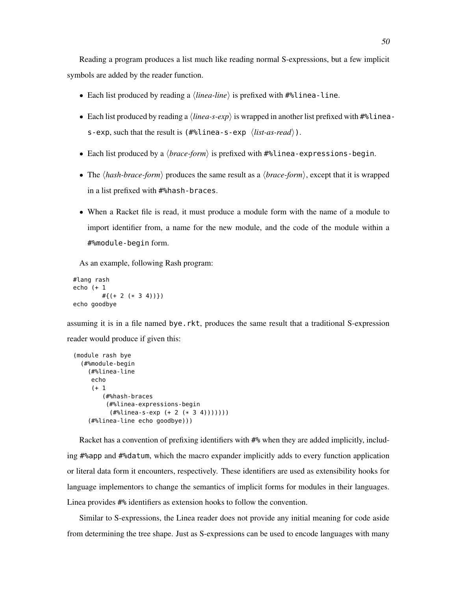Reading a program produces a list much like reading normal S-expressions, but a few implicit symbols are added by the reader function.

- Each list produced by reading a  $\langle$ *linea-line* $\rangle$  is prefixed with #%linea-line.
- Each list produced by reading a  $\langle linea-s-exp \rangle$  is wrapped in another list prefixed with #%lineas-exp, such that the result is (#%linea-s-exp h*list-as-read*i).
- Each list produced by a  $\langle bracc\text{-}form \rangle$  is prefixed with #%linea-expressions-begin.
- $\bullet$  The  $\langle hash\text{-}brace\text{-}form \rangle$  produces the same result as a  $\langle brace\text{-}form \rangle$ , except that it is wrapped in a list prefixed with #%hash-braces.
- ' When a Racket file is read, it must produce a module form with the name of a module to import identifier from, a name for the new module, and the code of the module within a #%module-begin form.

As an example, following Rash program:

```
#lang rash
echo (+ 1
        #{(+ 2 (* 3 4))})
echo goodbye
```
assuming it is in a file named bye.rkt, produces the same result that a traditional S-expression reader would produce if given this:

```
(module rash bye
  (#%module-begin
    (#%linea-line
    echo
     (+ 1)(#%hash-braces
         (#%linea-expressions-begin
          (#%linea-s-exp (+ 2 (* 3 4)))))))
    (#%linea-line echo goodbye)))
```
Racket has a convention of prefixing identifiers with #% when they are added implicitly, including #%app and #%datum, which the macro expander implicitly adds to every function application or literal data form it encounters, respectively. These identifiers are used as extensibility hooks for language implementors to change the semantics of implicit forms for modules in their languages. Linea provides #% identifiers as extension hooks to follow the convention.

Similar to S-expressions, the Linea reader does not provide any initial meaning for code aside from determining the tree shape. Just as S-expressions can be used to encode languages with many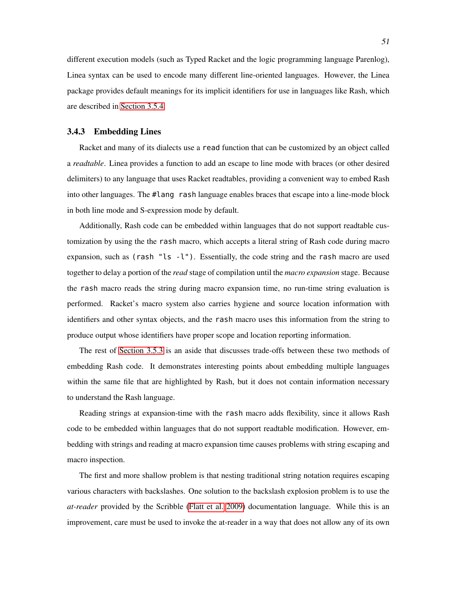different execution models (such as Typed Racket and the logic programming language Parenlog), Linea syntax can be used to encode many different line-oriented languages. However, the Linea package provides default meanings for its implicit identifiers for use in languages like Rash, which are described in [Section 3.5.4.](#page-61-0)

### <span id="page-59-0"></span>3.4.3 Embedding Lines

Racket and many of its dialects use a read function that can be customized by an object called a *readtable*. Linea provides a function to add an escape to line mode with braces (or other desired delimiters) to any language that uses Racket readtables, providing a convenient way to embed Rash into other languages. The #lang rash language enables braces that escape into a line-mode block in both line mode and S-expression mode by default.

Additionally, Rash code can be embedded within languages that do not support readtable customization by using the the rash macro, which accepts a literal string of Rash code during macro expansion, such as (rash "ls -l"). Essentially, the code string and the rash macro are used together to delay a portion of the *read* stage of compilation until the *macro expansion* stage. Because the rash macro reads the string during macro expansion time, no run-time string evaluation is performed. Racket's macro system also carries hygiene and source location information with identifiers and other syntax objects, and the rash macro uses this information from the string to produce output whose identifiers have proper scope and location reporting information.

The rest of [Section 3.5.3](#page-59-0) is an aside that discusses trade-offs between these two methods of embedding Rash code. It demonstrates interesting points about embedding multiple languages within the same file that are highlighted by Rash, but it does not contain information necessary to understand the Rash language.

Reading strings at expansion-time with the rash macro adds flexibility, since it allows Rash code to be embedded within languages that do not support readtable modification. However, embedding with strings and reading at macro expansion time causes problems with string escaping and macro inspection.

The first and more shallow problem is that nesting traditional string notation requires escaping various characters with backslashes. One solution to the backslash explosion problem is to use the *at-reader* provided by the Scribble [\(Flatt et al. 2009\)](#page-69-0) documentation language. While this is an improvement, care must be used to invoke the at-reader in a way that does not allow any of its own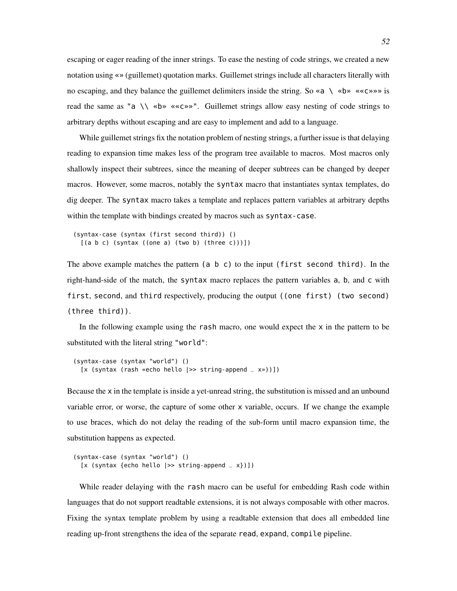escaping or eager reading of the inner strings. To ease the nesting of code strings, we created a new notation using «» (guillemet) quotation marks. Guillemet strings include all characters literally with no escaping, and they balance the guillemet delimiters inside the string. So  $\alpha$  \  $\alpha$  \  $\alpha$  \  $\alpha$  \  $\alpha$  \  $\alpha$  \  $\alpha$  \  $\alpha$  \  $\alpha$  \  $\alpha$  \  $\alpha$  \  $\alpha$  \  $\alpha$  \  $\alpha$  \  $\alpha$  \  $\alpha$  \  $\alpha$  \  $\alpha$  \  $\alpha$  \  $\alpha$  \  $\alpha$ read the same as "a \\ «b» ««c»»". Guillemet strings allow easy nesting of code strings to arbitrary depths without escaping and are easy to implement and add to a language.

While guillemet strings fix the notation problem of nesting strings, a further issue is that delaying reading to expansion time makes less of the program tree available to macros. Most macros only shallowly inspect their subtrees, since the meaning of deeper subtrees can be changed by deeper macros. However, some macros, notably the syntax macro that instantiates syntax templates, do dig deeper. The syntax macro takes a template and replaces pattern variables at arbitrary depths within the template with bindings created by macros such as syntax-case.

(syntax-case (syntax (first second third)) ()  $[(a b c)$  (syntax  $((one a)$  (two b)  $(three c)))]$ )

The above example matches the pattern  $(a \ b \ c)$  to the input (first second third). In the right-hand-side of the match, the syntax macro replaces the pattern variables a, b, and c with first, second, and third respectively, producing the output ((one first) (two second) (three third)).

In the following example using the rash macro, one would expect the x in the pattern to be substituted with the literal string "world":

```
(syntax-case (syntax "world") ()
  [x (syntax (rash «echo hello |>> string-append = x \times))])
```
Because the x in the template is inside a yet-unread string, the substitution is missed and an unbound variable error, or worse, the capture of some other x variable, occurs. If we change the example to use braces, which do not delay the reading of the sub-form until macro expansion time, the substitution happens as expected.

```
(syntax-case (syntax "world") ()
   [x \text{ (syntax } \{echo \text{ hello } \} \Rightarrow \text{string-append } \_ x \})]
```
While reader delaying with the rash macro can be useful for embedding Rash code within languages that do not support readtable extensions, it is not always composable with other macros. Fixing the syntax template problem by using a readtable extension that does all embedded line reading up-front strengthens the idea of the separate read, expand, compile pipeline.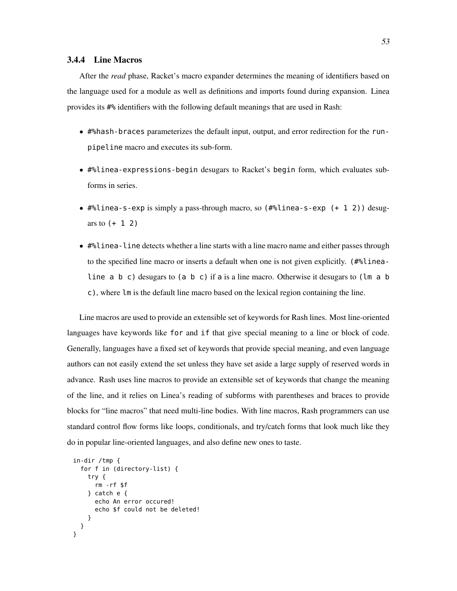### <span id="page-61-0"></span>3.4.4 Line Macros

After the *read* phase, Racket's macro expander determines the meaning of identifiers based on the language used for a module as well as definitions and imports found during expansion. Linea provides its #% identifiers with the following default meanings that are used in Rash:

- ' #%hash-braces parameterizes the default input, output, and error redirection for the runpipeline macro and executes its sub-form.
- ' #%linea-expressions-begin desugars to Racket's begin form, which evaluates subforms in series.
- ' #%linea-s-exp is simply a pass-through macro, so (#%linea-s-exp (+ 1 2)) desugars to  $(+ 1 2)$
- #%linea-line detects whether a line starts with a line macro name and either passes through to the specified line macro or inserts a default when one is not given explicitly. (#%linealine a b c) desugars to (a b c) if a is a line macro. Otherwise it desugars to (lm a b c), where lm is the default line macro based on the lexical region containing the line.

Line macros are used to provide an extensible set of keywords for Rash lines. Most line-oriented languages have keywords like for and if that give special meaning to a line or block of code. Generally, languages have a fixed set of keywords that provide special meaning, and even language authors can not easily extend the set unless they have set aside a large supply of reserved words in advance. Rash uses line macros to provide an extensible set of keywords that change the meaning of the line, and it relies on Linea's reading of subforms with parentheses and braces to provide blocks for "line macros" that need multi-line bodies. With line macros, Rash programmers can use standard control flow forms like loops, conditionals, and try/catch forms that look much like they do in popular line-oriented languages, and also define new ones to taste.

```
in-dir /tmp {
  for f in (directory-list) {
   try {
      rm -rf $f
    } catch e {
      echo An error occured!
      echo $f could not be deleted!
    }
 }
}
```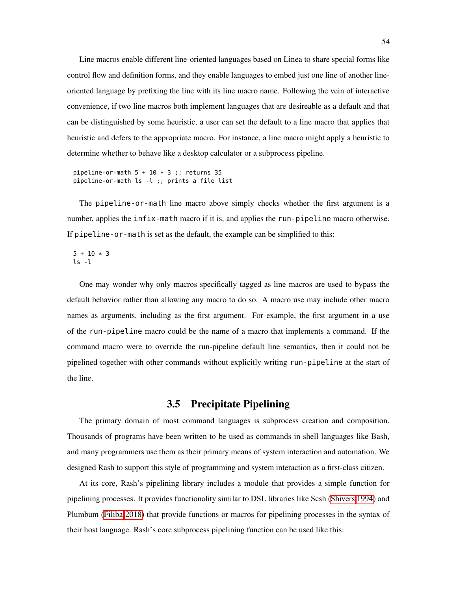Line macros enable different line-oriented languages based on Linea to share special forms like control flow and definition forms, and they enable languages to embed just one line of another lineoriented language by prefixing the line with its line macro name. Following the vein of interactive convenience, if two line macros both implement languages that are desireable as a default and that can be distinguished by some heuristic, a user can set the default to a line macro that applies that heuristic and defers to the appropriate macro. For instance, a line macro might apply a heuristic to determine whether to behave like a desktop calculator or a subprocess pipeline.

pipeline-or-math  $5 + 10 * 3$ ; returns 35 pipeline-or-math ls -l ;; prints a file list

The pipeline-or-math line macro above simply checks whether the first argument is a number, applies the infix-math macro if it is, and applies the run-pipeline macro otherwise. If pipeline-or-math is set as the default, the example can be simplified to this:

 $5 + 10 * 3$ ls -l

One may wonder why only macros specifically tagged as line macros are used to bypass the default behavior rather than allowing any macro to do so. A macro use may include other macro names as arguments, including as the first argument. For example, the first argument in a use of the run-pipeline macro could be the name of a macro that implements a command. If the command macro were to override the run-pipeline default line semantics, then it could not be pipelined together with other commands without explicitly writing run-pipeline at the start of the line.

# 3.5 Precipitate Pipelining

The primary domain of most command languages is subprocess creation and composition. Thousands of programs have been written to be used as commands in shell languages like Bash, and many programmers use them as their primary means of system interaction and automation. We designed Rash to support this style of programming and system interaction as a first-class citizen.

At its core, Rash's pipelining library includes a module that provides a simple function for pipelining processes. It provides functionality similar to DSL libraries like Scsh [\(Shivers 1994\)](#page-69-0) and Plumbum [\(Filiba 2018\)](#page-69-0) that provide functions or macros for pipelining processes in the syntax of their host language. Rash's core subprocess pipelining function can be used like this: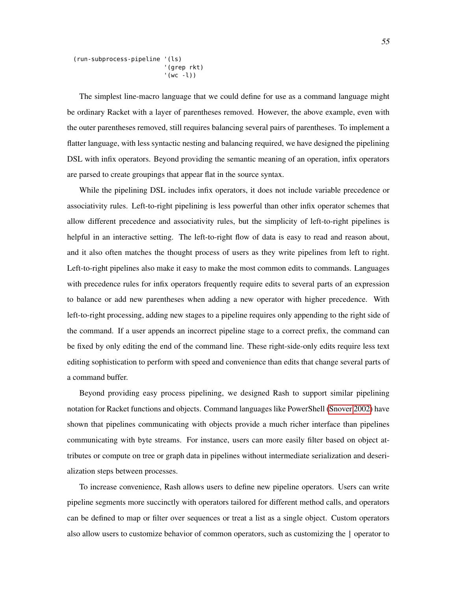(run-subprocess-pipeline '(ls) '(grep rkt)  $'(wc - l))$ 

The simplest line-macro language that we could define for use as a command language might be ordinary Racket with a layer of parentheses removed. However, the above example, even with the outer parentheses removed, still requires balancing several pairs of parentheses. To implement a flatter language, with less syntactic nesting and balancing required, we have designed the pipelining DSL with infix operators. Beyond providing the semantic meaning of an operation, infix operators are parsed to create groupings that appear flat in the source syntax.

While the pipelining DSL includes infix operators, it does not include variable precedence or associativity rules. Left-to-right pipelining is less powerful than other infix operator schemes that allow different precedence and associativity rules, but the simplicity of left-to-right pipelines is helpful in an interactive setting. The left-to-right flow of data is easy to read and reason about, and it also often matches the thought process of users as they write pipelines from left to right. Left-to-right pipelines also make it easy to make the most common edits to commands. Languages with precedence rules for infix operators frequently require edits to several parts of an expression to balance or add new parentheses when adding a new operator with higher precedence. With left-to-right processing, adding new stages to a pipeline requires only appending to the right side of the command. If a user appends an incorrect pipeline stage to a correct prefix, the command can be fixed by only editing the end of the command line. These right-side-only edits require less text editing sophistication to perform with speed and convenience than edits that change several parts of a command buffer.

Beyond providing easy process pipelining, we designed Rash to support similar pipelining notation for Racket functions and objects. Command languages like PowerShell [\(Snover 2002\)](#page-69-0) have shown that pipelines communicating with objects provide a much richer interface than pipelines communicating with byte streams. For instance, users can more easily filter based on object attributes or compute on tree or graph data in pipelines without intermediate serialization and deserialization steps between processes.

To increase convenience, Rash allows users to define new pipeline operators. Users can write pipeline segments more succinctly with operators tailored for different method calls, and operators can be defined to map or filter over sequences or treat a list as a single object. Custom operators also allow users to customize behavior of common operators, such as customizing the | operator to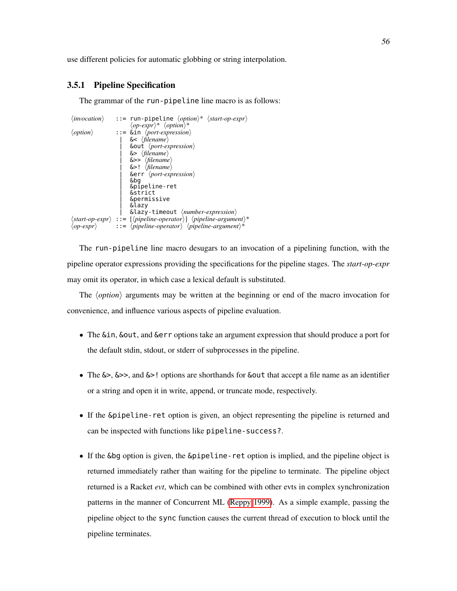use different policies for automatic globbing or string interpolation.

#### 3.5.1 Pipeline Specification

The grammar of the run-pipeline line macro is as follows:

| $\langle invocation \rangle$ | $\cdot$ : = run-pipeline $\langle option \rangle^*$ $\langle start-op-expr \rangle$<br>$\langle op-expr \rangle^*$ $\langle option \rangle^*$ |
|------------------------------|-----------------------------------------------------------------------------------------------------------------------------------------------|
| $\langle option \rangle$     | ::= $\∈$ /port-expression)                                                                                                                    |
|                              | $\< \langle filename \rangle$                                                                                                                 |
|                              | Sout $\langle$ <i>port-expression</i> $\rangle$                                                                                               |
|                              | $> \langle filename \rangle$                                                                                                                  |
|                              | $&>> \langle filename \rangle$                                                                                                                |
|                              | $\>$ ! (filename)                                                                                                                             |
|                              | $\&err \ (port-expression)$                                                                                                                   |
|                              | &bq                                                                                                                                           |
|                              | &pipeline-ret                                                                                                                                 |
|                              | <b>&amp;strict</b>                                                                                                                            |
|                              | &permissive                                                                                                                                   |
|                              | &lazy                                                                                                                                         |
|                              | $\&$ lazy-timeout $\langle number-expression \rangle$                                                                                         |
|                              | $\langle start-op-expr \rangle$ ::= $[\langle pipeline-operator \rangle]$ $\langle pipeline-argument \rangle^*$                               |
| $\langle op-expr \rangle$    | $\therefore$ = $\langle pipeline\text{-}operator\rangle$ $\langle pipeline\text{-}argument\rangle^*$                                          |

The run-pipeline line macro desugars to an invocation of a pipelining function, with the pipeline operator expressions providing the specifications for the pipeline stages. The *start-op-expr* may omit its operator, in which case a lexical default is substituted.

The  $\langle option \rangle$  arguments may be written at the beginning or end of the macro invocation for convenience, and influence various aspects of pipeline evaluation.

- ' The &in, &out, and &err options take an argument expression that should produce a port for the default stdin, stdout, or stderr of subprocesses in the pipeline.
- The  $&>$ ,  $&>$ , and  $&>$ ! options are shorthands for  $&**out**$  that accept a file name as an identifier or a string and open it in write, append, or truncate mode, respectively.
- ' If the &pipeline-ret option is given, an object representing the pipeline is returned and can be inspected with functions like pipeline-success?.
- ' If the &bg option is given, the &pipeline-ret option is implied, and the pipeline object is returned immediately rather than waiting for the pipeline to terminate. The pipeline object returned is a Racket *evt*, which can be combined with other evts in complex synchronization patterns in the manner of Concurrent ML [\(Reppy 1999\)](#page-69-0). As a simple example, passing the pipeline object to the sync function causes the current thread of execution to block until the pipeline terminates.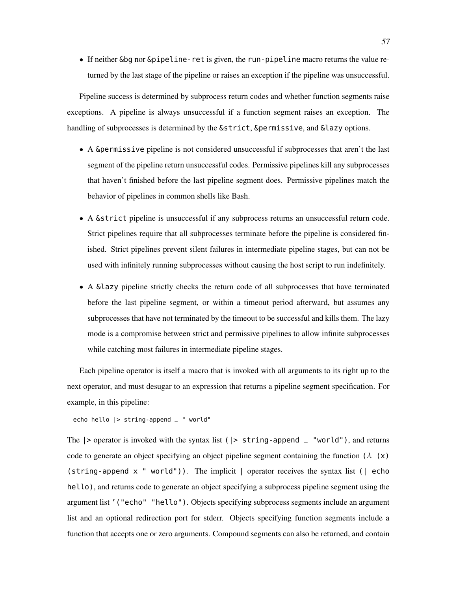' If neither &bg nor &pipeline-ret is given, the run-pipeline macro returns the value returned by the last stage of the pipeline or raises an exception if the pipeline was unsuccessful.

Pipeline success is determined by subprocess return codes and whether function segments raise exceptions. A pipeline is always unsuccessful if a function segment raises an exception. The handling of subprocesses is determined by the &strict, &permissive, and &lazy options.

- ' A &permissive pipeline is not considered unsuccessful if subprocesses that aren't the last segment of the pipeline return unsuccessful codes. Permissive pipelines kill any subprocesses that haven't finished before the last pipeline segment does. Permissive pipelines match the behavior of pipelines in common shells like Bash.
- ' A &strict pipeline is unsuccessful if any subprocess returns an unsuccessful return code. Strict pipelines require that all subprocesses terminate before the pipeline is considered finished. Strict pipelines prevent silent failures in intermediate pipeline stages, but can not be used with infinitely running subprocesses without causing the host script to run indefinitely.
- ' A &lazy pipeline strictly checks the return code of all subprocesses that have terminated before the last pipeline segment, or within a timeout period afterward, but assumes any subprocesses that have not terminated by the timeout to be successful and kills them. The lazy mode is a compromise between strict and permissive pipelines to allow infinite subprocesses while catching most failures in intermediate pipeline stages.

Each pipeline operator is itself a macro that is invoked with all arguments to its right up to the next operator, and must desugar to an expression that returns a pipeline segment specification. For example, in this pipeline:

```
echo hello |> string-append _ " world"
```
The  $|>$  operator is invoked with the syntax list  $(|>$  string-append  $=$  "world"), and returns code to generate an object specifying an object pipeline segment containing the function  $(\lambda \alpha)$ (string-append x " world")). The implicit | operator receives the syntax list (| echo hello), and returns code to generate an object specifying a subprocess pipeline segment using the argument list '("echo" "hello"). Objects specifying subprocess segments include an argument list and an optional redirection port for stderr. Objects specifying function segments include a function that accepts one or zero arguments. Compound segments can also be returned, and contain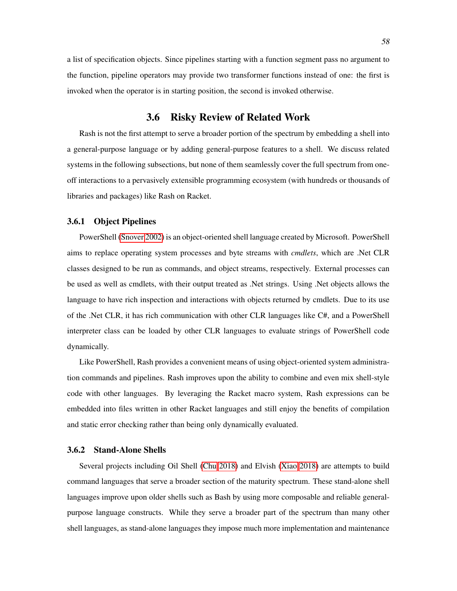a list of specification objects. Since pipelines starting with a function segment pass no argument to the function, pipeline operators may provide two transformer functions instead of one: the first is invoked when the operator is in starting position, the second is invoked otherwise.

### 3.6 Risky Review of Related Work

Rash is not the first attempt to serve a broader portion of the spectrum by embedding a shell into a general-purpose language or by adding general-purpose features to a shell. We discuss related systems in the following subsections, but none of them seamlessly cover the full spectrum from oneoff interactions to a pervasively extensible programming ecosystem (with hundreds or thousands of libraries and packages) like Rash on Racket.

### 3.6.1 Object Pipelines

PowerShell [\(Snover 2002\)](#page-69-0) is an object-oriented shell language created by Microsoft. PowerShell aims to replace operating system processes and byte streams with *cmdlets*, which are .Net CLR classes designed to be run as commands, and object streams, respectively. External processes can be used as well as cmdlets, with their output treated as .Net strings. Using .Net objects allows the language to have rich inspection and interactions with objects returned by cmdlets. Due to its use of the .Net CLR, it has rich communication with other CLR languages like C#, and a PowerShell interpreter class can be loaded by other CLR languages to evaluate strings of PowerShell code dynamically.

Like PowerShell, Rash provides a convenient means of using object-oriented system administration commands and pipelines. Rash improves upon the ability to combine and even mix shell-style code with other languages. By leveraging the Racket macro system, Rash expressions can be embedded into files written in other Racket languages and still enjoy the benefits of compilation and static error checking rather than being only dynamically evaluated.

#### 3.6.2 Stand-Alone Shells

Several projects including Oil Shell [\(Chu 2018\)](#page-69-0) and Elvish [\(Xiao 2018\)](#page-69-0) are attempts to build command languages that serve a broader section of the maturity spectrum. These stand-alone shell languages improve upon older shells such as Bash by using more composable and reliable generalpurpose language constructs. While they serve a broader part of the spectrum than many other shell languages, as stand-alone languages they impose much more implementation and maintenance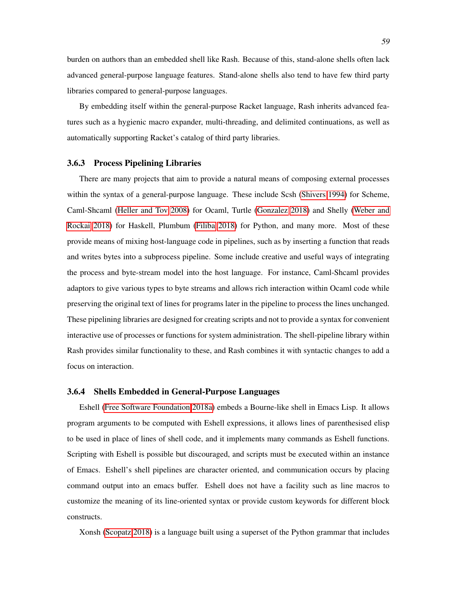burden on authors than an embedded shell like Rash. Because of this, stand-alone shells often lack advanced general-purpose language features. Stand-alone shells also tend to have few third party libraries compared to general-purpose languages.

By embedding itself within the general-purpose Racket language, Rash inherits advanced features such as a hygienic macro expander, multi-threading, and delimited continuations, as well as automatically supporting Racket's catalog of third party libraries.

#### 3.6.3 Process Pipelining Libraries

There are many projects that aim to provide a natural means of composing external processes within the syntax of a general-purpose language. These include Scsh [\(Shivers 1994\)](#page-69-0) for Scheme, Caml-Shcaml [\(Heller and Tov 2008\)](#page-69-0) for Ocaml, Turtle [\(Gonzalez 2018\)](#page-69-0) and Shelly [\(Weber and](#page-69-0) [Rockai 2018\)](#page-69-0) for Haskell, Plumbum [\(Filiba 2018\)](#page-69-0) for Python, and many more. Most of these provide means of mixing host-language code in pipelines, such as by inserting a function that reads and writes bytes into a subprocess pipeline. Some include creative and useful ways of integrating the process and byte-stream model into the host language. For instance, Caml-Shcaml provides adaptors to give various types to byte streams and allows rich interaction within Ocaml code while preserving the original text of lines for programs later in the pipeline to process the lines unchanged. These pipelining libraries are designed for creating scripts and not to provide a syntax for convenient interactive use of processes or functions for system administration. The shell-pipeline library within Rash provides similar functionality to these, and Rash combines it with syntactic changes to add a focus on interaction.

### 3.6.4 Shells Embedded in General-Purpose Languages

Eshell [\(Free Software Foundation 2018a\)](#page-69-0) embeds a Bourne-like shell in Emacs Lisp. It allows program arguments to be computed with Eshell expressions, it allows lines of parenthesised elisp to be used in place of lines of shell code, and it implements many commands as Eshell functions. Scripting with Eshell is possible but discouraged, and scripts must be executed within an instance of Emacs. Eshell's shell pipelines are character oriented, and communication occurs by placing command output into an emacs buffer. Eshell does not have a facility such as line macros to customize the meaning of its line-oriented syntax or provide custom keywords for different block constructs.

Xonsh [\(Scopatz 2018\)](#page-69-0) is a language built using a superset of the Python grammar that includes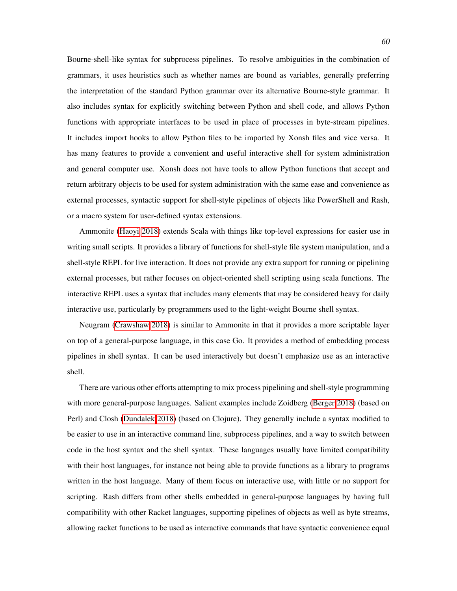Bourne-shell-like syntax for subprocess pipelines. To resolve ambiguities in the combination of grammars, it uses heuristics such as whether names are bound as variables, generally preferring the interpretation of the standard Python grammar over its alternative Bourne-style grammar. It also includes syntax for explicitly switching between Python and shell code, and allows Python functions with appropriate interfaces to be used in place of processes in byte-stream pipelines. It includes import hooks to allow Python files to be imported by Xonsh files and vice versa. It has many features to provide a convenient and useful interactive shell for system administration and general computer use. Xonsh does not have tools to allow Python functions that accept and return arbitrary objects to be used for system administration with the same ease and convenience as external processes, syntactic support for shell-style pipelines of objects like PowerShell and Rash, or a macro system for user-defined syntax extensions.

Ammonite [\(Haoyi 2018\)](#page-69-0) extends Scala with things like top-level expressions for easier use in writing small scripts. It provides a library of functions for shell-style file system manipulation, and a shell-style REPL for live interaction. It does not provide any extra support for running or pipelining external processes, but rather focuses on object-oriented shell scripting using scala functions. The interactive REPL uses a syntax that includes many elements that may be considered heavy for daily interactive use, particularly by programmers used to the light-weight Bourne shell syntax.

Neugram [\(Crawshaw 2018\)](#page-69-0) is similar to Ammonite in that it provides a more scriptable layer on top of a general-purpose language, in this case Go. It provides a method of embedding process pipelines in shell syntax. It can be used interactively but doesn't emphasize use as an interactive shell.

There are various other efforts attempting to mix process pipelining and shell-style programming with more general-purpose languages. Salient examples include Zoidberg [\(Berger 2018\)](#page-69-0) (based on Perl) and Closh [\(Dundalek 2018\)](#page-69-0) (based on Clojure). They generally include a syntax modified to be easier to use in an interactive command line, subprocess pipelines, and a way to switch between code in the host syntax and the shell syntax. These languages usually have limited compatibility with their host languages, for instance not being able to provide functions as a library to programs written in the host language. Many of them focus on interactive use, with little or no support for scripting. Rash differs from other shells embedded in general-purpose languages by having full compatibility with other Racket languages, supporting pipelines of objects as well as byte streams, allowing racket functions to be used as interactive commands that have syntactic convenience equal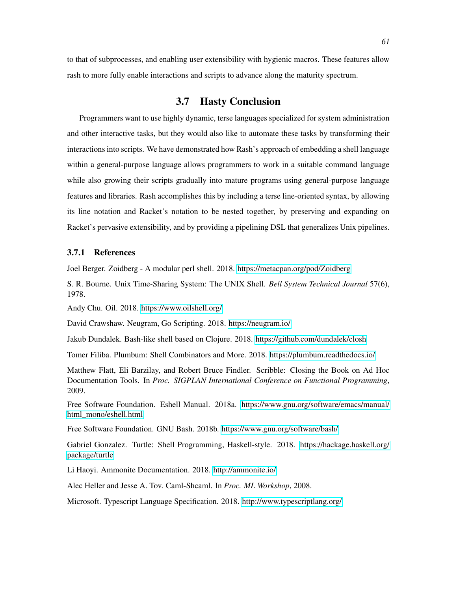to that of subprocesses, and enabling user extensibility with hygienic macros. These features allow rash to more fully enable interactions and scripts to advance along the maturity spectrum.

### 3.7 Hasty Conclusion

Programmers want to use highly dynamic, terse languages specialized for system administration and other interactive tasks, but they would also like to automate these tasks by transforming their interactions into scripts. We have demonstrated how Rash's approach of embedding a shell language within a general-purpose language allows programmers to work in a suitable command language while also growing their scripts gradually into mature programs using general-purpose language features and libraries. Rash accomplishes this by including a terse line-oriented syntax, by allowing its line notation and Racket's notation to be nested together, by preserving and expanding on Racket's pervasive extensibility, and by providing a pipelining DSL that generalizes Unix pipelines.

### <span id="page-69-0"></span>3.7.1 References

Joel Berger. Zoidberg - A modular perl shell. 2018.<https://metacpan.org/pod/Zoidberg>

S. R. Bourne. Unix Time-Sharing System: The UNIX Shell. *Bell System Technical Journal* 57(6), 1978.

Andy Chu. Oil. 2018.<https://www.oilshell.org/>

David Crawshaw. Neugram, Go Scripting. 2018.<https://neugram.io/>

Jakub Dundalek. Bash-like shell based on Clojure. 2018.<https://github.com/dundalek/closh>

Tomer Filiba. Plumbum: Shell Combinators and More. 2018.<https://plumbum.readthedocs.io/>

Matthew Flatt, Eli Barzilay, and Robert Bruce Findler. Scribble: Closing the Book on Ad Hoc Documentation Tools. In *Proc. SIGPLAN International Conference on Functional Programming*, 2009.

Free Software Foundation. Eshell Manual. 2018a. [https://www.gnu.org/software/emacs/manual/](https://www.gnu.org/software/emacs/manual/html_mono/eshell.html) [html\\_mono/eshell.html](https://www.gnu.org/software/emacs/manual/html_mono/eshell.html)

Free Software Foundation. GNU Bash. 2018b.<https://www.gnu.org/software/bash/>

Gabriel Gonzalez. Turtle: Shell Programming, Haskell-style. 2018. [https://hackage.haskell.org/](https://hackage.haskell.org/package/turtle) [package/turtle](https://hackage.haskell.org/package/turtle)

Li Haoyi. Ammonite Documentation. 2018.<http://ammonite.io/>

Alec Heller and Jesse A. Tov. Caml-Shcaml. In *Proc. ML Workshop*, 2008.

Microsoft. Typescript Language Specification. 2018.<http://www.typescriptlang.org/>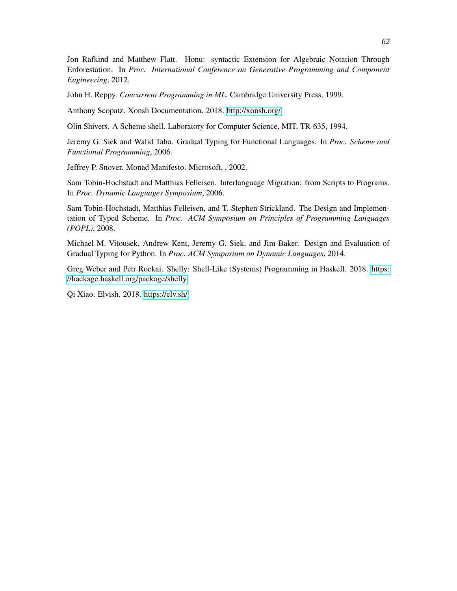Jon Rafkind and Matthew Flatt. Honu: syntactic Extension for Algebraic Notation Through Enforestation. In *Proc. International Conference on Generative Programming and Component Engineering*, 2012.

John H. Reppy. *Concurrent Programming in ML.* Cambridge University Press, 1999.

Anthony Scopatz. Xonsh Documentation. 2018.<http://xonsh.org/>

Olin Shivers. A Scheme shell. Laboratory for Computer Science, MIT, TR-635, 1994.

Jeremy G. Siek and Walid Taha. Gradual Typing for Functional Languages. In *Proc. Scheme and Functional Programming*, 2006.

Jeffrey P. Snover. Monad Manifesto. Microsoft, , 2002.

Sam Tobin-Hochstadt and Matthias Felleisen. Interlanguage Migration: from Scripts to Programs. In *Proc. Dynamic Languages Symposium*, 2006.

Sam Tobin-Hochstadt, Matthias Felleisen, and T. Stephen Strickland. The Design and Implementation of Typed Scheme. In *Proc. ACM Symposium on Principles of Programming Languages (POPL)*, 2008.

Michael M. Vitousek, Andrew Kent, Jeremy G. Siek, and Jim Baker. Design and Evaluation of Gradual Typing for Python. In *Proc. ACM Symposium on Dynamic Languages*, 2014.

Greg Weber and Petr Rockai. Shelly: Shell-Like (Systems) Programming in Haskell. 2018. [https:](https://hackage.haskell.org/package/shelly) [//hackage.haskell.org/package/shelly](https://hackage.haskell.org/package/shelly)

Qi Xiao. Elvish. 2018.<https://elv.sh/>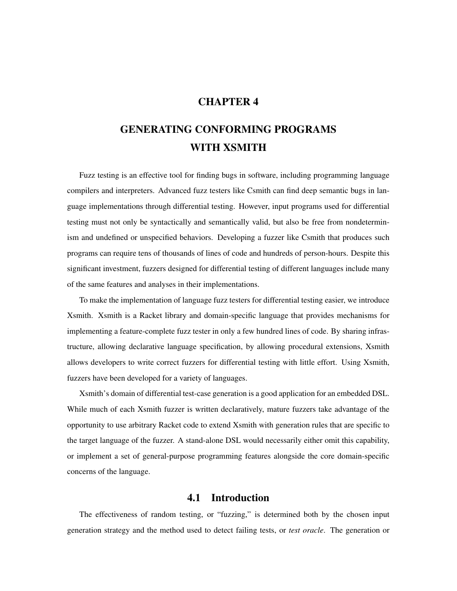# CHAPTER 4

# GENERATING CONFORMING PROGRAMS WITH XSMITH

Fuzz testing is an effective tool for finding bugs in software, including programming language compilers and interpreters. Advanced fuzz testers like Csmith can find deep semantic bugs in language implementations through differential testing. However, input programs used for differential testing must not only be syntactically and semantically valid, but also be free from nondeterminism and undefined or unspecified behaviors. Developing a fuzzer like Csmith that produces such programs can require tens of thousands of lines of code and hundreds of person-hours. Despite this significant investment, fuzzers designed for differential testing of different languages include many of the same features and analyses in their implementations.

To make the implementation of language fuzz testers for differential testing easier, we introduce Xsmith. Xsmith is a Racket library and domain-specific language that provides mechanisms for implementing a feature-complete fuzz tester in only a few hundred lines of code. By sharing infrastructure, allowing declarative language specification, by allowing procedural extensions, Xsmith allows developers to write correct fuzzers for differential testing with little effort. Using Xsmith, fuzzers have been developed for a variety of languages.

Xsmith's domain of differential test-case generation is a good application for an embedded DSL. While much of each Xsmith fuzzer is written declaratively, mature fuzzers take advantage of the opportunity to use arbitrary Racket code to extend Xsmith with generation rules that are specific to the target language of the fuzzer. A stand-alone DSL would necessarily either omit this capability, or implement a set of general-purpose programming features alongside the core domain-specific concerns of the language.

### 4.1 Introduction

The effectiveness of random testing, or "fuzzing," is determined both by the chosen input generation strategy and the method used to detect failing tests, or *test oracle*. The generation or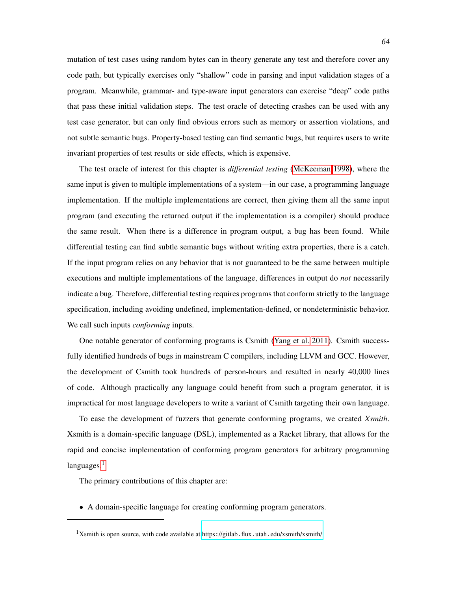mutation of test cases using random bytes can in theory generate any test and therefore cover any code path, but typically exercises only "shallow" code in parsing and input validation stages of a program. Meanwhile, grammar- and type-aware input generators can exercise "deep" code paths that pass these initial validation steps. The test oracle of detecting crashes can be used with any test case generator, but can only find obvious errors such as memory or assertion violations, and not subtle semantic bugs. Property-based testing can find semantic bugs, but requires users to write invariant properties of test results or side effects, which is expensive.

The test oracle of interest for this chapter is *differential testing* [\(McKeeman 1998\)](#page-97-0), where the same input is given to multiple implementations of a system—in our case, a programming language implementation. If the multiple implementations are correct, then giving them all the same input program (and executing the returned output if the implementation is a compiler) should produce the same result. When there is a difference in program output, a bug has been found. While differential testing can find subtle semantic bugs without writing extra properties, there is a catch. If the input program relies on any behavior that is not guaranteed to be the same between multiple executions and multiple implementations of the language, differences in output do *not* necessarily indicate a bug. Therefore, differential testing requires programs that conform strictly to the language specification, including avoiding undefined, implementation-defined, or nondeterministic behavior. We call such inputs *conforming* inputs.

One notable generator of conforming programs is Csmith [\(Yang et al. 2011\)](#page-97-0). Csmith successfully identified hundreds of bugs in mainstream C compilers, including LLVM and GCC. However, the development of Csmith took hundreds of person-hours and resulted in nearly 40,000 lines of code. Although practically any language could benefit from such a program generator, it is impractical for most language developers to write a variant of Csmith targeting their own language.

To ease the development of fuzzers that generate conforming programs, we created *Xsmith*. Xsmith is a domain-specific language (DSL), implemented as a Racket library, that allows for the rapid and concise implementation of conforming program generators for arbitrary programming  $lanquages.<sup>1</sup>$  $lanquages.<sup>1</sup>$  $lanquages.<sup>1</sup>$ 

The primary contributions of this chapter are:

' A domain-specific language for creating conforming program generators.

<span id="page-72-0"></span><sup>&</sup>lt;sup>1</sup>Xsmith is open source, with code available at https://gitlab.flux.utah.[edu/xsmith/xsmith/](https://gitlab.flux.utah.edu/xsmith/xsmith/)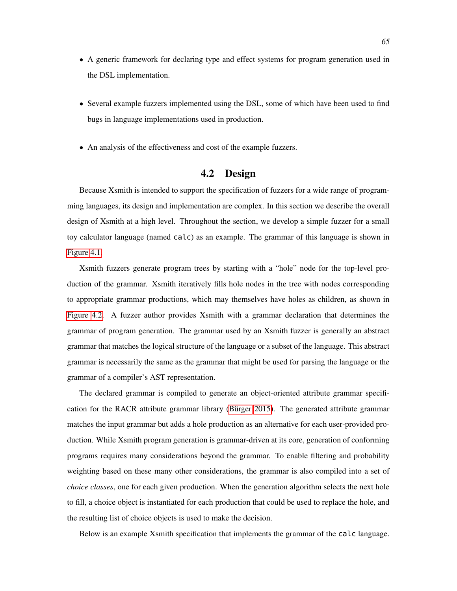- ' A generic framework for declaring type and effect systems for program generation used in the DSL implementation.
- Several example fuzzers implemented using the DSL, some of which have been used to find bugs in language implementations used in production.
- ' An analysis of the effectiveness and cost of the example fuzzers.

# 4.2 Design

Because Xsmith is intended to support the specification of fuzzers for a wide range of programming languages, its design and implementation are complex. In this section we describe the overall design of Xsmith at a high level. Throughout the section, we develop a simple fuzzer for a small toy calculator language (named calc) as an example. The grammar of this language is shown in [Figure 4.1.](#page-99-0)

Xsmith fuzzers generate program trees by starting with a "hole" node for the top-level production of the grammar. Xsmith iteratively fills hole nodes in the tree with nodes corresponding to appropriate grammar productions, which may themselves have holes as children, as shown in [Figure 4.2.](#page-99-1) A fuzzer author provides Xsmith with a grammar declaration that determines the grammar of program generation. The grammar used by an Xsmith fuzzer is generally an abstract grammar that matches the logical structure of the language or a subset of the language. This abstract grammar is necessarily the same as the grammar that might be used for parsing the language or the grammar of a compiler's AST representation.

The declared grammar is compiled to generate an object-oriented attribute grammar specification for the RACR attribute grammar library [\(Bürger 2015\)](#page-97-0). The generated attribute grammar matches the input grammar but adds a hole production as an alternative for each user-provided production. While Xsmith program generation is grammar-driven at its core, generation of conforming programs requires many considerations beyond the grammar. To enable filtering and probability weighting based on these many other considerations, the grammar is also compiled into a set of *choice classes*, one for each given production. When the generation algorithm selects the next hole to fill, a choice object is instantiated for each production that could be used to replace the hole, and the resulting list of choice objects is used to make the decision.

Below is an example Xsmith specification that implements the grammar of the calc language.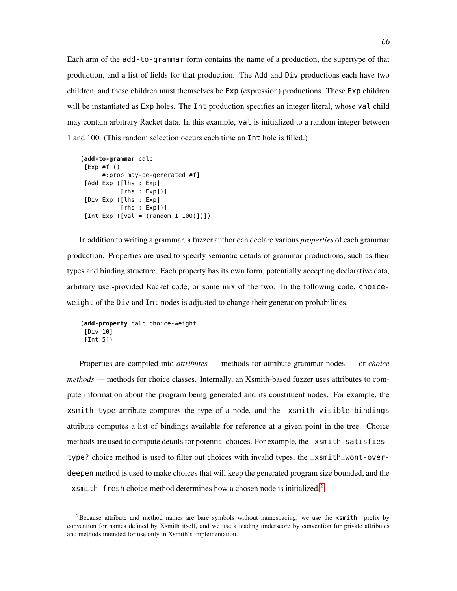Each arm of the add-to-grammar form contains the name of a production, the supertype of that production, and a list of fields for that production. The Add and Div productions each have two children, and these children must themselves be Exp (expression) productions. These Exp children will be instantiated as Exp holes. The Int production specifies an integer literal, whose val child may contain arbitrary Racket data. In this example, val is initialized to a random integer between 1 and 100. (This random selection occurs each time an Int hole is filled.)

```
(add-to-grammar calc
[Exp #f ()
     #:prop may-be-generated #f]
[Add Exp ([lhs : Exp]
          [rhs : Exp])]
[Div Exp ([lhs : Exp]
          [rhs : Exp])]
[Int Exp ([val = (random 1 100)])]
```
In addition to writing a grammar, a fuzzer author can declare various *properties* of each grammar production. Properties are used to specify semantic details of grammar productions, such as their types and binding structure. Each property has its own form, potentially accepting declarative data, arbitrary user-provided Racket code, or some mix of the two. In the following code, choiceweight of the Div and Int nodes is adjusted to change their generation probabilities.

```
(add-property calc choice-weight
[Div 10]
[Int 5])
```
Properties are compiled into *attributes* — methods for attribute grammar nodes — or *choice methods* — methods for choice classes. Internally, an Xsmith-based fuzzer uses attributes to compute information about the program being generated and its constituent nodes. For example, the xsmith\_type attribute computes the type of a node, and the \_xsmith\_visible-bindings attribute computes a list of bindings available for reference at a given point in the tree. Choice methods are used to compute details for potential choices. For example, the \_xsmith\_satisfiestype? choice method is used to filter out choices with invalid types, the \_xsmith\_wont-overdeepen method is used to make choices that will keep the generated program size bounded, and the \_xsmith\_fresh choice method determines how a chosen node is initialized.[2](#page-74-0)

<span id="page-74-0"></span><sup>&</sup>lt;sup>2</sup>Because attribute and method names are bare symbols without namespacing, we use the  $x$ smith<sub>—</sub> prefix by convention for names defined by Xsmith itself, and we use a leading underscore by convention for private attributes and methods intended for use only in Xsmith's implementation.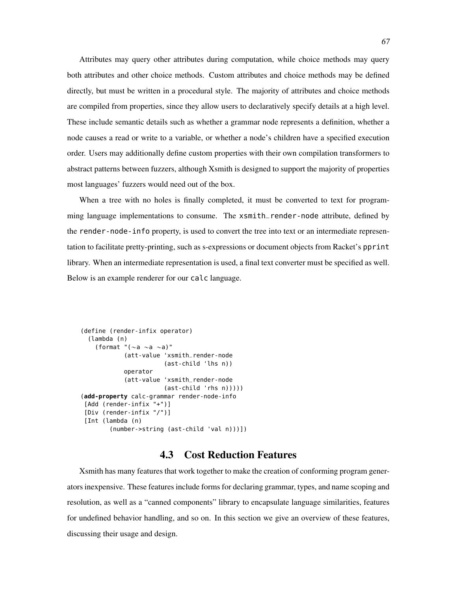Attributes may query other attributes during computation, while choice methods may query both attributes and other choice methods. Custom attributes and choice methods may be defined directly, but must be written in a procedural style. The majority of attributes and choice methods are compiled from properties, since they allow users to declaratively specify details at a high level. These include semantic details such as whether a grammar node represents a definition, whether a node causes a read or write to a variable, or whether a node's children have a specified execution order. Users may additionally define custom properties with their own compilation transformers to abstract patterns between fuzzers, although Xsmith is designed to support the majority of properties most languages' fuzzers would need out of the box.

When a tree with no holes is finally completed, it must be converted to text for programming language implementations to consume. The xsmith\_render-node attribute, defined by the render-node-info property, is used to convert the tree into text or an intermediate representation to facilitate pretty-printing, such as s-expressions or document objects from Racket's pprint library. When an intermediate representation is used, a final text converter must be specified as well. Below is an example renderer for our calc language.

```
(define (render-infix operator)
  (lambda (n)
    (format "(\sim a \sim a \sim a)"
            (att-value 'xsmith_render-node
                       (ast-child 'lhs n))
            operator
            (att-value 'xsmith_render-node
                        (ast-child 'rhs n)))))
(add-property calc-grammar render-node-info
[Add (render-infix "+")]
[Div (render-infix "/")]
[Int (lambda (n)
        (number->string (ast-child 'val n)))])
```
# 4.3 Cost Reduction Features

Xsmith has many features that work together to make the creation of conforming program generators inexpensive. These features include forms for declaring grammar, types, and name scoping and resolution, as well as a "canned components" library to encapsulate language similarities, features for undefined behavior handling, and so on. In this section we give an overview of these features, discussing their usage and design.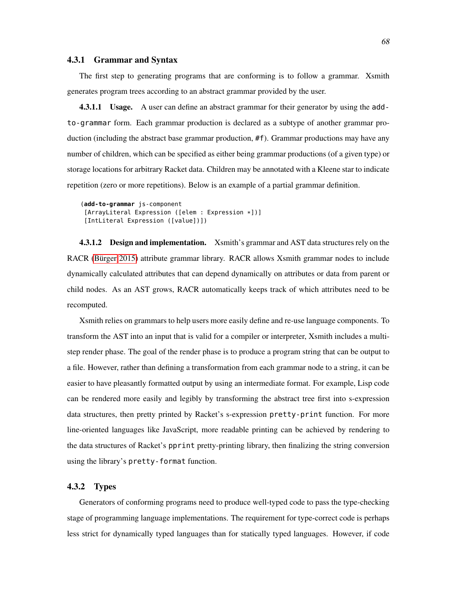#### 4.3.1 Grammar and Syntax

The first step to generating programs that are conforming is to follow a grammar. Xsmith generates program trees according to an abstract grammar provided by the user.

4.3.1.1 Usage. A user can define an abstract grammar for their generator by using the addto-grammar form. Each grammar production is declared as a subtype of another grammar production (including the abstract base grammar production, #f). Grammar productions may have any number of children, which can be specified as either being grammar productions (of a given type) or storage locations for arbitrary Racket data. Children may be annotated with a Kleene star to indicate repetition (zero or more repetitions). Below is an example of a partial grammar definition.

```
(add-to-grammar js-component
[ArrayLiteral Expression ([elem : Expression *])]
[IntLiteral Expression ([value])])
```
**4.3.1.2** Design and implementation. Xsmith's grammar and AST data structures rely on the RACR [\(Bürger 2015\)](#page-97-0) attribute grammar library. RACR allows Xsmith grammar nodes to include dynamically calculated attributes that can depend dynamically on attributes or data from parent or child nodes. As an AST grows, RACR automatically keeps track of which attributes need to be recomputed.

Xsmith relies on grammars to help users more easily define and re-use language components. To transform the AST into an input that is valid for a compiler or interpreter, Xsmith includes a multistep render phase. The goal of the render phase is to produce a program string that can be output to a file. However, rather than defining a transformation from each grammar node to a string, it can be easier to have pleasantly formatted output by using an intermediate format. For example, Lisp code can be rendered more easily and legibly by transforming the abstract tree first into s-expression data structures, then pretty printed by Racket's s-expression pretty-print function. For more line-oriented languages like JavaScript, more readable printing can be achieved by rendering to the data structures of Racket's pprint pretty-printing library, then finalizing the string conversion using the library's pretty-format function.

### 4.3.2 Types

Generators of conforming programs need to produce well-typed code to pass the type-checking stage of programming language implementations. The requirement for type-correct code is perhaps less strict for dynamically typed languages than for statically typed languages. However, if code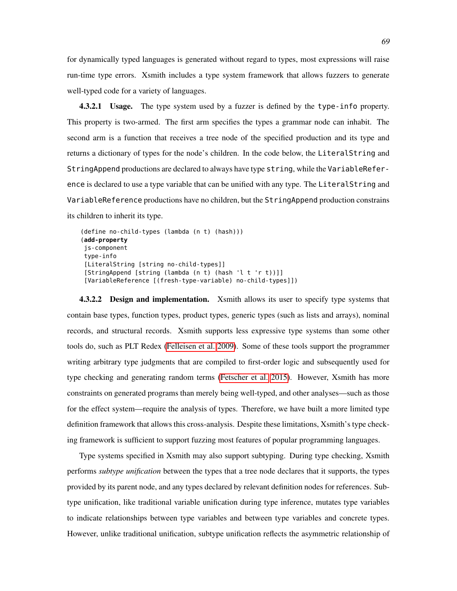for dynamically typed languages is generated without regard to types, most expressions will raise run-time type errors. Xsmith includes a type system framework that allows fuzzers to generate well-typed code for a variety of languages.

4.3.2.1 Usage. The type system used by a fuzzer is defined by the type-info property. This property is two-armed. The first arm specifies the types a grammar node can inhabit. The second arm is a function that receives a tree node of the specified production and its type and returns a dictionary of types for the node's children. In the code below, the LiteralString and StringAppend productions are declared to always have type string, while the VariableReference is declared to use a type variable that can be unified with any type. The LiteralString and VariableReference productions have no children, but the StringAppend production constrains its children to inherit its type.

```
(define no-child-types (lambda (n t) (hash)))
(add-property
js-component
type-info
[LiteralString [string no-child-types]]
 [StringAppend [string (lambda (n t) (hash 'l t 'r t))]]
 [VariableReference [(fresh-type-variable) no-child-types]])
```
**4.3.2.2** Design and implementation. Xsmith allows its user to specify type systems that contain base types, function types, product types, generic types (such as lists and arrays), nominal records, and structural records. Xsmith supports less expressive type systems than some other tools do, such as PLT Redex [\(Felleisen et al. 2009\)](#page-97-0). Some of these tools support the programmer writing arbitrary type judgments that are compiled to first-order logic and subsequently used for type checking and generating random terms [\(Fetscher et al. 2015\)](#page-97-0). However, Xsmith has more constraints on generated programs than merely being well-typed, and other analyses—such as those for the effect system—require the analysis of types. Therefore, we have built a more limited type definition framework that allows this cross-analysis. Despite these limitations, Xsmith's type checking framework is sufficient to support fuzzing most features of popular programming languages.

Type systems specified in Xsmith may also support subtyping. During type checking, Xsmith performs *subtype unification* between the types that a tree node declares that it supports, the types provided by its parent node, and any types declared by relevant definition nodes for references. Subtype unification, like traditional variable unification during type inference, mutates type variables to indicate relationships between type variables and between type variables and concrete types. However, unlike traditional unification, subtype unification reflects the asymmetric relationship of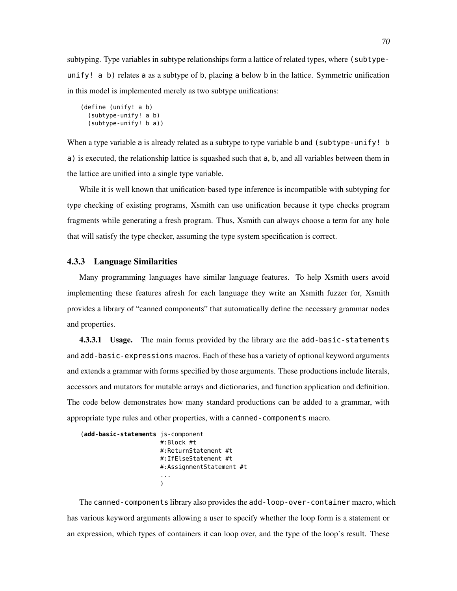subtyping. Type variables in subtype relationships form a lattice of related types, where (subtypeunify! a b) relates a as a subtype of b, placing a below b in the lattice. Symmetric unification in this model is implemented merely as two subtype unifications:

```
(define (unify! a b)
  (subtype-unify! a b)
  (subtype-unify! b a))
```
When a type variable a is already related as a subtype to type variable b and (subtype-unify! b a) is executed, the relationship lattice is squashed such that a, b, and all variables between them in the lattice are unified into a single type variable.

While it is well known that unification-based type inference is incompatible with subtyping for type checking of existing programs, Xsmith can use unification because it type checks program fragments while generating a fresh program. Thus, Xsmith can always choose a term for any hole that will satisfy the type checker, assuming the type system specification is correct.

### 4.3.3 Language Similarities

Many programming languages have similar language features. To help Xsmith users avoid implementing these features afresh for each language they write an Xsmith fuzzer for, Xsmith provides a library of "canned components" that automatically define the necessary grammar nodes and properties.

4.3.3.1 Usage. The main forms provided by the library are the add-basic-statements and add-basic-expressions macros. Each of these has a variety of optional keyword arguments and extends a grammar with forms specified by those arguments. These productions include literals, accessors and mutators for mutable arrays and dictionaries, and function application and definition. The code below demonstrates how many standard productions can be added to a grammar, with appropriate type rules and other properties, with a canned-components macro.

```
(add-basic-statements js-component
                       #:Block #t
                       #:ReturnStatement #t
                       #:IfElseStatement #t
                       #:AssignmentStatement #t
                       ...
                       \lambda
```
The canned-components library also provides the add-loop-over-container macro, which has various keyword arguments allowing a user to specify whether the loop form is a statement or an expression, which types of containers it can loop over, and the type of the loop's result. These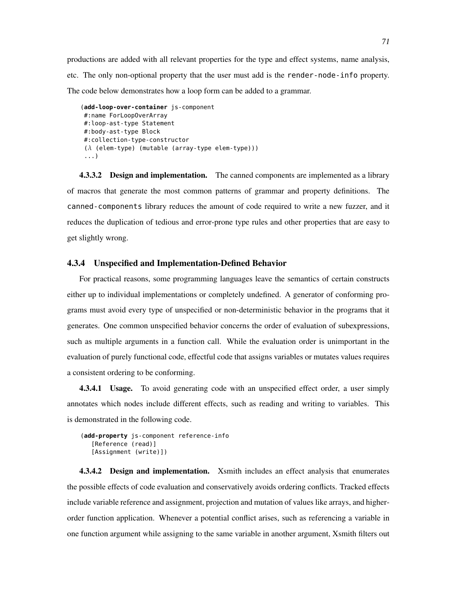productions are added with all relevant properties for the type and effect systems, name analysis, etc. The only non-optional property that the user must add is the render-node-info property. The code below demonstrates how a loop form can be added to a grammar.

```
(add-loop-over-container js-component
#:name ForLoopOverArray
#:loop-ast-type Statement
#:body-ast-type Block
#:collection-type-constructor
(λ (elem-type) (mutable (array-type elem-type)))
...)
```
**4.3.3.2** Design and implementation. The canned components are implemented as a library of macros that generate the most common patterns of grammar and property definitions. The canned-components library reduces the amount of code required to write a new fuzzer, and it reduces the duplication of tedious and error-prone type rules and other properties that are easy to get slightly wrong.

## 4.3.4 Unspecified and Implementation-Defined Behavior

For practical reasons, some programming languages leave the semantics of certain constructs either up to individual implementations or completely undefined. A generator of conforming programs must avoid every type of unspecified or non-deterministic behavior in the programs that it generates. One common unspecified behavior concerns the order of evaluation of subexpressions, such as multiple arguments in a function call. While the evaluation order is unimportant in the evaluation of purely functional code, effectful code that assigns variables or mutates values requires a consistent ordering to be conforming.

**4.3.4.1 Usage.** To avoid generating code with an unspecified effect order, a user simply annotates which nodes include different effects, such as reading and writing to variables. This is demonstrated in the following code.

```
(add-property js-component reference-info
   [Reference (read)]
   [Assignment (write)])
```
**4.3.4.2** Design and implementation. Xsmith includes an effect analysis that enumerates the possible effects of code evaluation and conservatively avoids ordering conflicts. Tracked effects include variable reference and assignment, projection and mutation of values like arrays, and higherorder function application. Whenever a potential conflict arises, such as referencing a variable in one function argument while assigning to the same variable in another argument, Xsmith filters out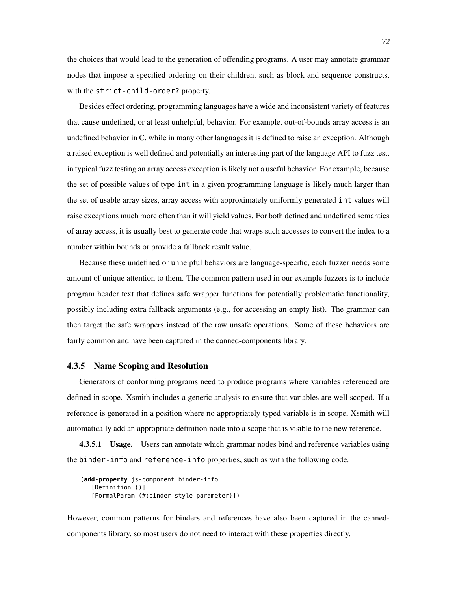the choices that would lead to the generation of offending programs. A user may annotate grammar nodes that impose a specified ordering on their children, such as block and sequence constructs, with the strict-child-order? property.

Besides effect ordering, programming languages have a wide and inconsistent variety of features that cause undefined, or at least unhelpful, behavior. For example, out-of-bounds array access is an undefined behavior in C, while in many other languages it is defined to raise an exception. Although a raised exception is well defined and potentially an interesting part of the language API to fuzz test, in typical fuzz testing an array access exception is likely not a useful behavior. For example, because the set of possible values of type int in a given programming language is likely much larger than the set of usable array sizes, array access with approximately uniformly generated int values will raise exceptions much more often than it will yield values. For both defined and undefined semantics of array access, it is usually best to generate code that wraps such accesses to convert the index to a number within bounds or provide a fallback result value.

Because these undefined or unhelpful behaviors are language-specific, each fuzzer needs some amount of unique attention to them. The common pattern used in our example fuzzers is to include program header text that defines safe wrapper functions for potentially problematic functionality, possibly including extra fallback arguments (e.g., for accessing an empty list). The grammar can then target the safe wrappers instead of the raw unsafe operations. Some of these behaviors are fairly common and have been captured in the canned-components library.

#### 4.3.5 Name Scoping and Resolution

Generators of conforming programs need to produce programs where variables referenced are defined in scope. Xsmith includes a generic analysis to ensure that variables are well scoped. If a reference is generated in a position where no appropriately typed variable is in scope, Xsmith will automatically add an appropriate definition node into a scope that is visible to the new reference.

**4.3.5.1 Usage.** Users can annotate which grammar nodes bind and reference variables using the binder-info and reference-info properties, such as with the following code.

(**add-property** js-component binder-info [Definition ()] [FormalParam (#:binder-style parameter)])

However, common patterns for binders and references have also been captured in the cannedcomponents library, so most users do not need to interact with these properties directly.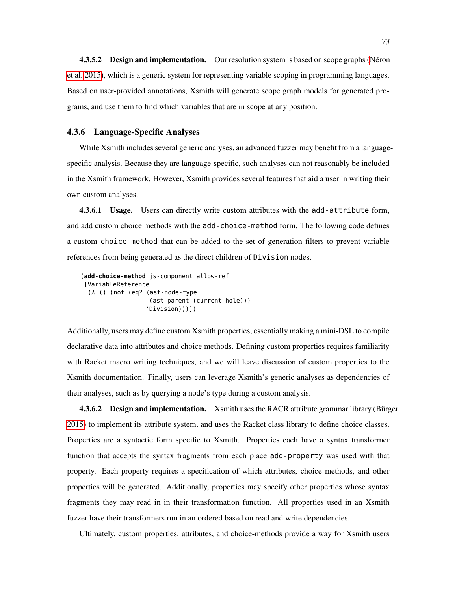**4.3.5.2** Design and implementation. Our resolution system is based on scope graphs [\(Néron](#page-97-0) [et al. 2015\)](#page-97-0), which is a generic system for representing variable scoping in programming languages. Based on user-provided annotations, Xsmith will generate scope graph models for generated programs, and use them to find which variables that are in scope at any position.

## 4.3.6 Language-Specific Analyses

While Xsmith includes several generic analyses, an advanced fuzzer may benefit from a languagespecific analysis. Because they are language-specific, such analyses can not reasonably be included in the Xsmith framework. However, Xsmith provides several features that aid a user in writing their own custom analyses.

**4.3.6.1 Usage.** Users can directly write custom attributes with the add-attribute form, and add custom choice methods with the add-choice-method form. The following code defines a custom choice-method that can be added to the set of generation filters to prevent variable references from being generated as the direct children of Division nodes.

```
(add-choice-method js-component allow-ref
[VariableReference
  (λ () (not (eq? (ast-node-type
                  (ast-parent (current-hole)))
                  'Division)))])
```
Additionally, users may define custom Xsmith properties, essentially making a mini-DSL to compile declarative data into attributes and choice methods. Defining custom properties requires familiarity with Racket macro writing techniques, and we will leave discussion of custom properties to the Xsmith documentation. Finally, users can leverage Xsmith's generic analyses as dependencies of their analyses, such as by querying a node's type during a custom analysis.

4.3.6.2 Design and implementation. Xsmith uses the RACR attribute grammar library [\(Bürger](#page-97-0) [2015\)](#page-97-0) to implement its attribute system, and uses the Racket class library to define choice classes. Properties are a syntactic form specific to Xsmith. Properties each have a syntax transformer function that accepts the syntax fragments from each place add-property was used with that property. Each property requires a specification of which attributes, choice methods, and other properties will be generated. Additionally, properties may specify other properties whose syntax fragments they may read in in their transformation function. All properties used in an Xsmith fuzzer have their transformers run in an ordered based on read and write dependencies.

Ultimately, custom properties, attributes, and choice-methods provide a way for Xsmith users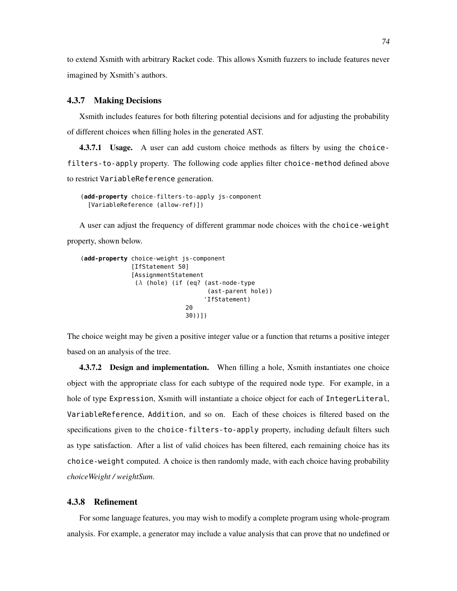to extend Xsmith with arbitrary Racket code. This allows Xsmith fuzzers to include features never imagined by Xsmith's authors.

#### 4.3.7 Making Decisions

Xsmith includes features for both filtering potential decisions and for adjusting the probability of different choices when filling holes in the generated AST.

4.3.7.1 Usage. A user can add custom choice methods as filters by using the choicefilters-to-apply property. The following code applies filter choice-method defined above to restrict VariableReference generation.

```
(add-property choice-filters-to-apply js-component
  [VariableReference (allow-ref)])
```
A user can adjust the frequency of different grammar node choices with the choice-weight property, shown below.

```
(add-property choice-weight js-component
              [IfStatement 50]
              [AssignmentStatement
               (λ (hole) (if (eq? (ast-node-type
                                   (ast-parent hole))
                                  'IfStatement)
                             20
                             30))])
```
The choice weight may be given a positive integer value or a function that returns a positive integer based on an analysis of the tree.

4.3.7.2 Design and implementation. When filling a hole, Xsmith instantiates one choice object with the appropriate class for each subtype of the required node type. For example, in a hole of type Expression, Xsmith will instantiate a choice object for each of IntegerLiteral, VariableReference, Addition, and so on. Each of these choices is filtered based on the specifications given to the choice-filters-to-apply property, including default filters such as type satisfaction. After a list of valid choices has been filtered, each remaining choice has its choice-weight computed. A choice is then randomly made, with each choice having probability *choiceWeight / weightSum*.

### 4.3.8 Refinement

For some language features, you may wish to modify a complete program using whole-program analysis. For example, a generator may include a value analysis that can prove that no undefined or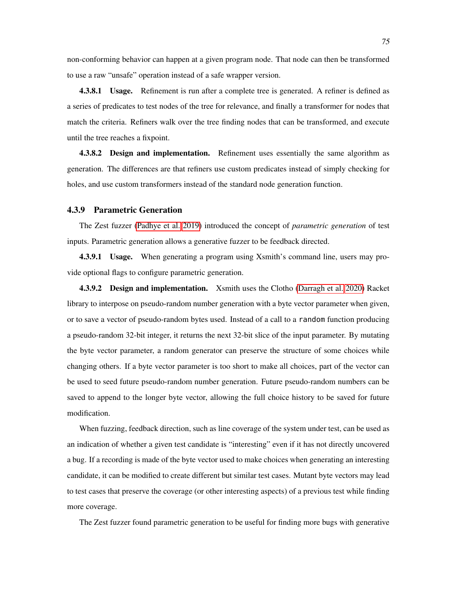non-conforming behavior can happen at a given program node. That node can then be transformed to use a raw "unsafe" operation instead of a safe wrapper version.

**4.3.8.1 Usage.** Refinement is run after a complete tree is generated. A refiner is defined as a series of predicates to test nodes of the tree for relevance, and finally a transformer for nodes that match the criteria. Refiners walk over the tree finding nodes that can be transformed, and execute until the tree reaches a fixpoint.

4.3.8.2 Design and implementation. Refinement uses essentially the same algorithm as generation. The differences are that refiners use custom predicates instead of simply checking for holes, and use custom transformers instead of the standard node generation function.

### 4.3.9 Parametric Generation

The Zest fuzzer [\(Padhye et al. 2019\)](#page-97-0) introduced the concept of *parametric generation* of test inputs. Parametric generation allows a generative fuzzer to be feedback directed.

4.3.9.1 Usage. When generating a program using Xsmith's command line, users may provide optional flags to configure parametric generation.

4.3.9.2 Design and implementation. Xsmith uses the Clotho [\(Darragh et al. 2020\)](#page-97-0) Racket library to interpose on pseudo-random number generation with a byte vector parameter when given, or to save a vector of pseudo-random bytes used. Instead of a call to a random function producing a pseudo-random 32-bit integer, it returns the next 32-bit slice of the input parameter. By mutating the byte vector parameter, a random generator can preserve the structure of some choices while changing others. If a byte vector parameter is too short to make all choices, part of the vector can be used to seed future pseudo-random number generation. Future pseudo-random numbers can be saved to append to the longer byte vector, allowing the full choice history to be saved for future modification.

When fuzzing, feedback direction, such as line coverage of the system under test, can be used as an indication of whether a given test candidate is "interesting" even if it has not directly uncovered a bug. If a recording is made of the byte vector used to make choices when generating an interesting candidate, it can be modified to create different but similar test cases. Mutant byte vectors may lead to test cases that preserve the coverage (or other interesting aspects) of a previous test while finding more coverage.

The Zest fuzzer found parametric generation to be useful for finding more bugs with generative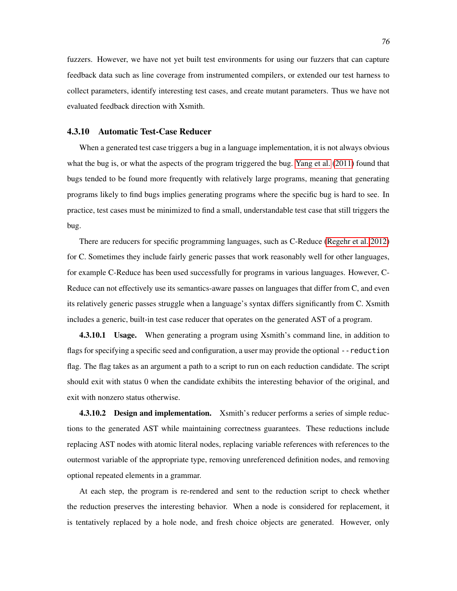fuzzers. However, we have not yet built test environments for using our fuzzers that can capture feedback data such as line coverage from instrumented compilers, or extended our test harness to collect parameters, identify interesting test cases, and create mutant parameters. Thus we have not evaluated feedback direction with Xsmith.

### 4.3.10 Automatic Test-Case Reducer

When a generated test case triggers a bug in a language implementation, it is not always obvious what the bug is, or what the aspects of the program triggered the bug. [Yang et al.](#page-97-0) [\(2011\)](#page-97-0) found that bugs tended to be found more frequently with relatively large programs, meaning that generating programs likely to find bugs implies generating programs where the specific bug is hard to see. In practice, test cases must be minimized to find a small, understandable test case that still triggers the bug.

There are reducers for specific programming languages, such as C-Reduce [\(Regehr et al. 2012\)](#page-97-0) for C. Sometimes they include fairly generic passes that work reasonably well for other languages, for example C-Reduce has been used successfully for programs in various languages. However, C-Reduce can not effectively use its semantics-aware passes on languages that differ from C, and even its relatively generic passes struggle when a language's syntax differs significantly from C. Xsmith includes a generic, built-in test case reducer that operates on the generated AST of a program.

4.3.10.1 Usage. When generating a program using Xsmith's command line, in addition to flags for specifying a specific seed and configuration, a user may provide the optional --reduction flag. The flag takes as an argument a path to a script to run on each reduction candidate. The script should exit with status 0 when the candidate exhibits the interesting behavior of the original, and exit with nonzero status otherwise.

**4.3.10.2** Design and implementation. Xsmith's reducer performs a series of simple reductions to the generated AST while maintaining correctness guarantees. These reductions include replacing AST nodes with atomic literal nodes, replacing variable references with references to the outermost variable of the appropriate type, removing unreferenced definition nodes, and removing optional repeated elements in a grammar.

At each step, the program is re-rendered and sent to the reduction script to check whether the reduction preserves the interesting behavior. When a node is considered for replacement, it is tentatively replaced by a hole node, and fresh choice objects are generated. However, only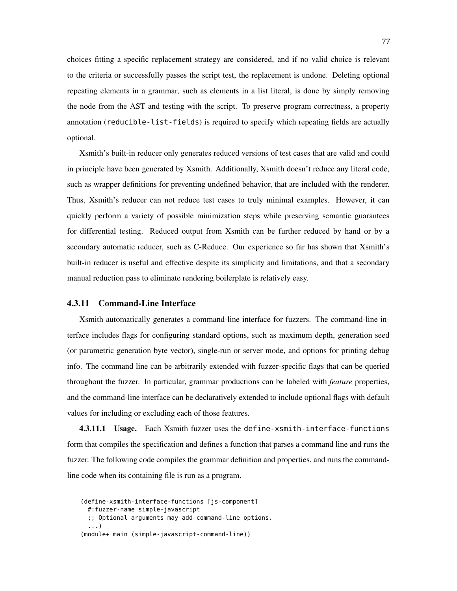choices fitting a specific replacement strategy are considered, and if no valid choice is relevant to the criteria or successfully passes the script test, the replacement is undone. Deleting optional repeating elements in a grammar, such as elements in a list literal, is done by simply removing the node from the AST and testing with the script. To preserve program correctness, a property annotation (reducible-list-fields) is required to specify which repeating fields are actually optional.

Xsmith's built-in reducer only generates reduced versions of test cases that are valid and could in principle have been generated by Xsmith. Additionally, Xsmith doesn't reduce any literal code, such as wrapper definitions for preventing undefined behavior, that are included with the renderer. Thus, Xsmith's reducer can not reduce test cases to truly minimal examples. However, it can quickly perform a variety of possible minimization steps while preserving semantic guarantees for differential testing. Reduced output from Xsmith can be further reduced by hand or by a secondary automatic reducer, such as C-Reduce. Our experience so far has shown that Xsmith's built-in reducer is useful and effective despite its simplicity and limitations, and that a secondary manual reduction pass to eliminate rendering boilerplate is relatively easy.

### 4.3.11 Command-Line Interface

Xsmith automatically generates a command-line interface for fuzzers. The command-line interface includes flags for configuring standard options, such as maximum depth, generation seed (or parametric generation byte vector), single-run or server mode, and options for printing debug info. The command line can be arbitrarily extended with fuzzer-specific flags that can be queried throughout the fuzzer. In particular, grammar productions can be labeled with *feature* properties, and the command-line interface can be declaratively extended to include optional flags with default values for including or excluding each of those features.

4.3.11.1 Usage. Each Xsmith fuzzer uses the define-xsmith-interface-functions form that compiles the specification and defines a function that parses a command line and runs the fuzzer. The following code compiles the grammar definition and properties, and runs the commandline code when its containing file is run as a program.

<sup>(</sup>define-xsmith-interface-functions [js-component] #:fuzzer-name simple-javascript ;; Optional arguments may add command-line options. ...) (module+ main (simple-javascript-command-line))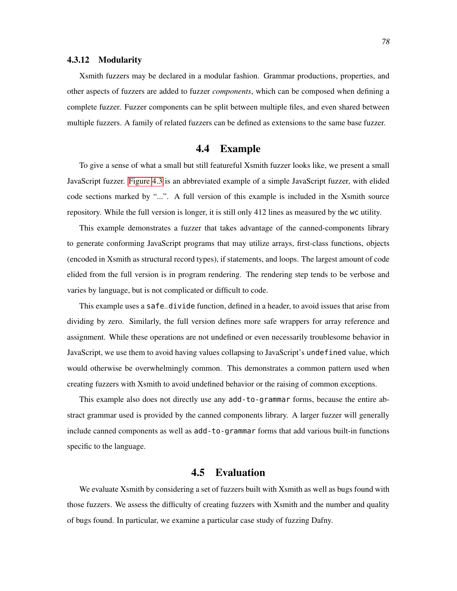### 4.3.12 Modularity

Xsmith fuzzers may be declared in a modular fashion. Grammar productions, properties, and other aspects of fuzzers are added to fuzzer *components*, which can be composed when defining a complete fuzzer. Fuzzer components can be split between multiple files, and even shared between multiple fuzzers. A family of related fuzzers can be defined as extensions to the same base fuzzer.

# 4.4 Example

To give a sense of what a small but still featureful Xsmith fuzzer looks like, we present a small JavaScript fuzzer. [Figure 4.3](#page-100-0) is an abbreviated example of a simple JavaScript fuzzer, with elided code sections marked by "...". A full version of this example is included in the Xsmith source repository. While the full version is longer, it is still only 412 lines as measured by the wc utility.

This example demonstrates a fuzzer that takes advantage of the canned-components library to generate conforming JavaScript programs that may utilize arrays, first-class functions, objects (encoded in Xsmith as structural record types), if statements, and loops. The largest amount of code elided from the full version is in program rendering. The rendering step tends to be verbose and varies by language, but is not complicated or difficult to code.

This example uses a safe\_divide function, defined in a header, to avoid issues that arise from dividing by zero. Similarly, the full version defines more safe wrappers for array reference and assignment. While these operations are not undefined or even necessarily troublesome behavior in JavaScript, we use them to avoid having values collapsing to JavaScript's undefined value, which would otherwise be overwhelmingly common. This demonstrates a common pattern used when creating fuzzers with Xsmith to avoid undefined behavior or the raising of common exceptions.

This example also does not directly use any add-to-grammar forms, because the entire abstract grammar used is provided by the canned components library. A larger fuzzer will generally include canned components as well as add-to-grammar forms that add various built-in functions specific to the language.

## 4.5 Evaluation

We evaluate Xsmith by considering a set of fuzzers built with Xsmith as well as bugs found with those fuzzers. We assess the difficulty of creating fuzzers with Xsmith and the number and quality of bugs found. In particular, we examine a particular case study of fuzzing Dafny.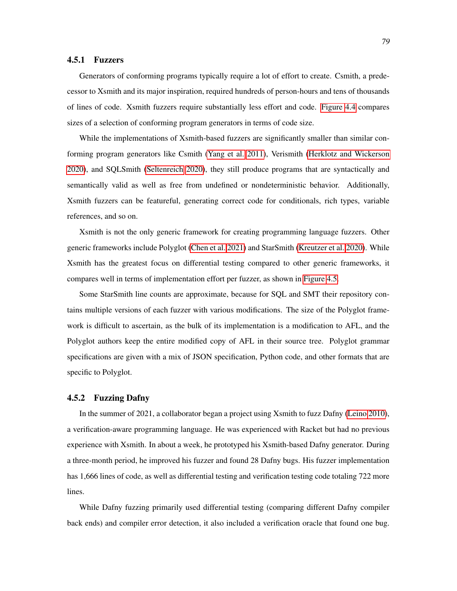### 4.5.1 Fuzzers

Generators of conforming programs typically require a lot of effort to create. Csmith, a predecessor to Xsmith and its major inspiration, required hundreds of person-hours and tens of thousands of lines of code. Xsmith fuzzers require substantially less effort and code. [Figure 4.4](#page-101-0) compares sizes of a selection of conforming program generators in terms of code size.

While the implementations of Xsmith-based fuzzers are significantly smaller than similar conforming program generators like Csmith [\(Yang et al. 2011\)](#page-97-0), Verismith [\(Herklotz and Wickerson](#page-97-0) [2020\)](#page-97-0), and SQLSmith [\(Seltenreich 2020\)](#page-97-0), they still produce programs that are syntactically and semantically valid as well as free from undefined or nondeterministic behavior. Additionally, Xsmith fuzzers can be featureful, generating correct code for conditionals, rich types, variable references, and so on.

Xsmith is not the only generic framework for creating programming language fuzzers. Other generic frameworks include Polyglot [\(Chen et al. 2021\)](#page-97-0) and StarSmith [\(Kreutzer et al. 2020\)](#page-97-0). While Xsmith has the greatest focus on differential testing compared to other generic frameworks, it compares well in terms of implementation effort per fuzzer, as shown in [Figure 4.5.](#page-101-1)

Some StarSmith line counts are approximate, because for SQL and SMT their repository contains multiple versions of each fuzzer with various modifications. The size of the Polyglot framework is difficult to ascertain, as the bulk of its implementation is a modification to AFL, and the Polyglot authors keep the entire modified copy of AFL in their source tree. Polyglot grammar specifications are given with a mix of JSON specification, Python code, and other formats that are specific to Polyglot.

## 4.5.2 Fuzzing Dafny

In the summer of 2021, a collaborator began a project using Xsmith to fuzz Dafny [\(Leino 2010\)](#page-97-0), a verification-aware programming language. He was experienced with Racket but had no previous experience with Xsmith. In about a week, he prototyped his Xsmith-based Dafny generator. During a three-month period, he improved his fuzzer and found 28 Dafny bugs. His fuzzer implementation has 1,666 lines of code, as well as differential testing and verification testing code totaling 722 more lines.

While Dafny fuzzing primarily used differential testing (comparing different Dafny compiler back ends) and compiler error detection, it also included a verification oracle that found one bug.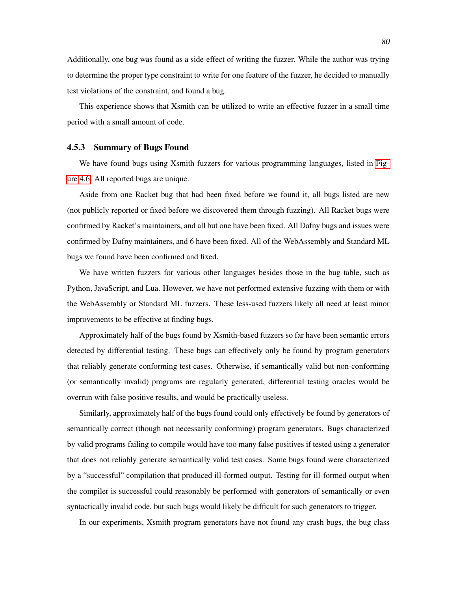Additionally, one bug was found as a side-effect of writing the fuzzer. While the author was trying to determine the proper type constraint to write for one feature of the fuzzer, he decided to manually test violations of the constraint, and found a bug.

This experience shows that Xsmith can be utilized to write an effective fuzzer in a small time period with a small amount of code.

### 4.5.3 Summary of Bugs Found

We have found bugs using Xsmith fuzzers for various programming languages, listed in [Fig](#page-102-0)[ure 4.6.](#page-102-0) All reported bugs are unique.

Aside from one Racket bug that had been fixed before we found it, all bugs listed are new (not publicly reported or fixed before we discovered them through fuzzing). All Racket bugs were confirmed by Racket's maintainers, and all but one have been fixed. All Dafny bugs and issues were confirmed by Dafny maintainers, and 6 have been fixed. All of the WebAssembly and Standard ML bugs we found have been confirmed and fixed.

We have written fuzzers for various other languages besides those in the bug table, such as Python, JavaScript, and Lua. However, we have not performed extensive fuzzing with them or with the WebAssembly or Standard ML fuzzers. These less-used fuzzers likely all need at least minor improvements to be effective at finding bugs.

Approximately half of the bugs found by Xsmith-based fuzzers so far have been semantic errors detected by differential testing. These bugs can effectively only be found by program generators that reliably generate conforming test cases. Otherwise, if semantically valid but non-conforming (or semantically invalid) programs are regularly generated, differential testing oracles would be overrun with false positive results, and would be practically useless.

Similarly, approximately half of the bugs found could only effectively be found by generators of semantically correct (though not necessarily conforming) program generators. Bugs characterized by valid programs failing to compile would have too many false positives if tested using a generator that does not reliably generate semantically valid test cases. Some bugs found were characterized by a "successful" compilation that produced ill-formed output. Testing for ill-formed output when the compiler is successful could reasonably be performed with generators of semantically or even syntactically invalid code, but such bugs would likely be difficult for such generators to trigger.

In our experiments, Xsmith program generators have not found any crash bugs, the bug class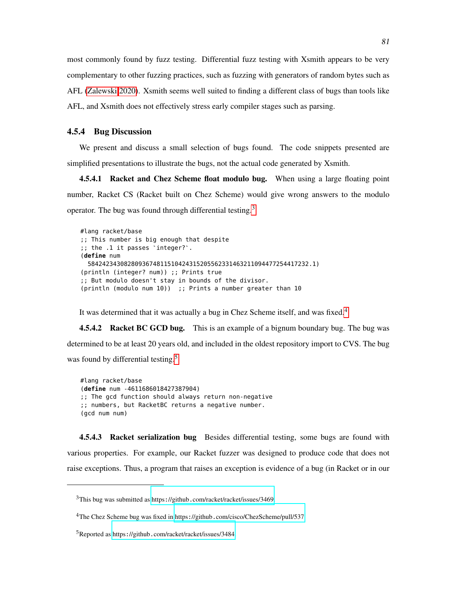most commonly found by fuzz testing. Differential fuzz testing with Xsmith appears to be very complementary to other fuzzing practices, such as fuzzing with generators of random bytes such as AFL [\(Zalewski 2020\)](#page-97-0). Xsmith seems well suited to finding a different class of bugs than tools like AFL, and Xsmith does not effectively stress early compiler stages such as parsing.

## 4.5.4 Bug Discussion

We present and discuss a small selection of bugs found. The code snippets presented are simplified presentations to illustrate the bugs, not the actual code generated by Xsmith.

4.5.4.1 Racket and Chez Scheme float modulo bug. When using a large floating point number, Racket CS (Racket built on Chez Scheme) would give wrong answers to the modulo operator. The bug was found through differential testing.[3](#page-89-0)

```
#lang racket/base
;; This number is big enough that despite
;; the .1 it passes `integer?`.
(define num
  5842423430828093674811510424315205562331463211094477254417232.1)
(println (integer? num)) ;; Prints true
;; But modulo doesn't stay in bounds of the divisor.
(println (modulo num 10)) ;; Prints a number greater than 10
```
It was determined that it was actually a bug in Chez Scheme itself, and was fixed.<sup>[4](#page-89-1)</sup>

**4.5.4.2** Racket BC GCD bug. This is an example of a bignum boundary bug. The bug was determined to be at least 20 years old, and included in the oldest repository import to CVS. The bug was found by differential testing.<sup>[5](#page-89-2)</sup>

#lang racket/base (**define** num -4611686018427387904) ;; The gcd function should always return non-negative ;; numbers, but RacketBC returns a negative number. (gcd num num)

**4.5.4.3 Racket serialization bug** Besides differential testing, some bugs are found with various properties. For example, our Racket fuzzer was designed to produce code that does not raise exceptions. Thus, a program that raises an exception is evidence of a bug (in Racket or in our

<span id="page-89-0"></span><sup>3</sup>This bug was submitted as https://github.[com/racket/racket/issues/3469.](https://github.com/racket/racket/issues/3469)

<span id="page-89-1"></span><sup>&</sup>lt;sup>4</sup>The Chez Scheme bug was fixed in https://github.[com/cisco/ChezScheme/pull/537.](https://github.com/cisco/ChezScheme/pull/537)

<span id="page-89-2"></span><sup>5</sup>Reported as https://github.[com/racket/racket/issues/3484.](https://github.com/racket/racket/issues/3484)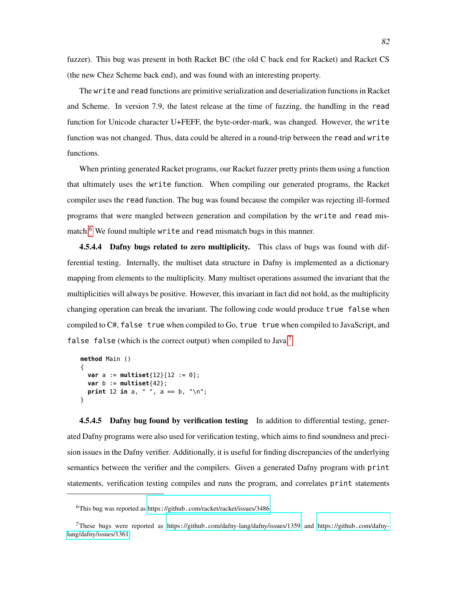fuzzer). This bug was present in both Racket BC (the old C back end for Racket) and Racket CS (the new Chez Scheme back end), and was found with an interesting property.

The write and read functions are primitive serialization and deserialization functions in Racket and Scheme. In version 7.9, the latest release at the time of fuzzing, the handling in the read function for Unicode character U+FEFF, the byte-order-mark, was changed. However, the write function was not changed. Thus, data could be altered in a round-trip between the read and write functions.

When printing generated Racket programs, our Racket fuzzer pretty prints them using a function that ultimately uses the write function. When compiling our generated programs, the Racket compiler uses the read function. The bug was found because the compiler was rejecting ill-formed programs that were mangled between generation and compilation by the write and read mis-match.<sup>[6](#page-90-0)</sup> We found multiple write and read mismatch bugs in this manner.

4.5.4.4 Dafny bugs related to zero multiplicity. This class of bugs was found with differential testing. Internally, the multiset data structure in Dafny is implemented as a dictionary mapping from elements to the multiplicity. Many multiset operations assumed the invariant that the multiplicities will always be positive. However, this invariant in fact did not hold, as the multiplicity changing operation can break the invariant. The following code would produce true false when compiled to C#, false true when compiled to Go, true true when compiled to JavaScript, and false false (which is the correct output) when compiled to Java.<sup>[7](#page-90-1)</sup>

```
method Main ()
{
  var a := multiset{12}[12 := 0];
  var b := multiset{42};
  print 12 in a, " ", a == b, "\n";
}
```
4.5.4.5 Dafny bug found by verification testing In addition to differential testing, generated Dafny programs were also used for verification testing, which aims to find soundness and precision issues in the Dafny verifier. Additionally, it is useful for finding discrepancies of the underlying semantics between the verifier and the compilers. Given a generated Dafny program with print statements, verification testing compiles and runs the program, and correlates print statements

<span id="page-90-0"></span><sup>6</sup>This bug was reported as https://github.[com/racket/racket/issues/3486.](https://github.com/racket/racket/issues/3486)

<span id="page-90-1"></span><sup>&</sup>lt;sup>7</sup>These bugs were reported as https://github.[com/dafny-lang/dafny/issues/1359](https://github.com/dafny-lang/dafny/issues/1359) and https://github.[com/dafny](https://github.com/dafny-lang/dafny/issues/1361)[lang/dafny/issues/1361.](https://github.com/dafny-lang/dafny/issues/1361)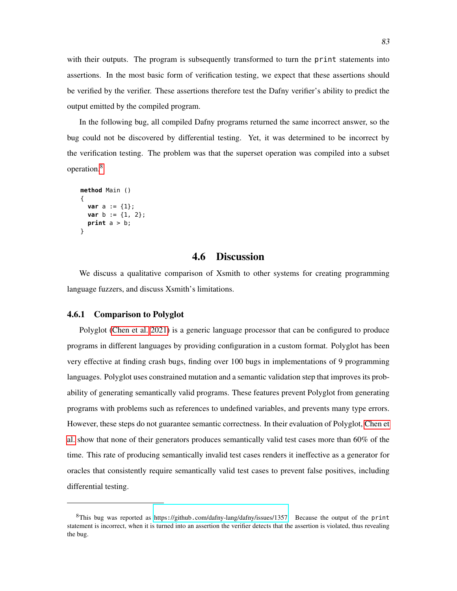with their outputs. The program is subsequently transformed to turn the print statements into assertions. In the most basic form of verification testing, we expect that these assertions should be verified by the verifier. These assertions therefore test the Dafny verifier's ability to predict the output emitted by the compiled program.

In the following bug, all compiled Dafny programs returned the same incorrect answer, so the bug could not be discovered by differential testing. Yet, it was determined to be incorrect by the verification testing. The problem was that the superset operation was compiled into a subset operation.[8](#page-91-0)

```
method Main ()
{
  var a := \{1\};
  var b := \{1, 2\};
  print a > b;
}
```
# 4.6 Discussion

We discuss a qualitative comparison of Xsmith to other systems for creating programming language fuzzers, and discuss Xsmith's limitations.

#### 4.6.1 Comparison to Polyglot

Polyglot [\(Chen et al. 2021\)](#page-97-0) is a generic language processor that can be configured to produce programs in different languages by providing configuration in a custom format. Polyglot has been very effective at finding crash bugs, finding over 100 bugs in implementations of 9 programming languages. Polyglot uses constrained mutation and a semantic validation step that improves its probability of generating semantically valid programs. These features prevent Polyglot from generating programs with problems such as references to undefined variables, and prevents many type errors. However, these steps do not guarantee semantic correctness. In their evaluation of Polyglot, [Chen et](#page-97-0) [al.](#page-97-0) show that none of their generators produces semantically valid test cases more than 60% of the time. This rate of producing semantically invalid test cases renders it ineffective as a generator for oracles that consistently require semantically valid test cases to prevent false positives, including differential testing.

<span id="page-91-0"></span><sup>8</sup>This bug was reported as https://github.[com/dafny-lang/dafny/issues/1357.](https://github.com/dafny-lang/dafny/issues/1357) Because the output of the print statement is incorrect, when it is turned into an assertion the verifier detects that the assertion is violated, thus revealing the bug.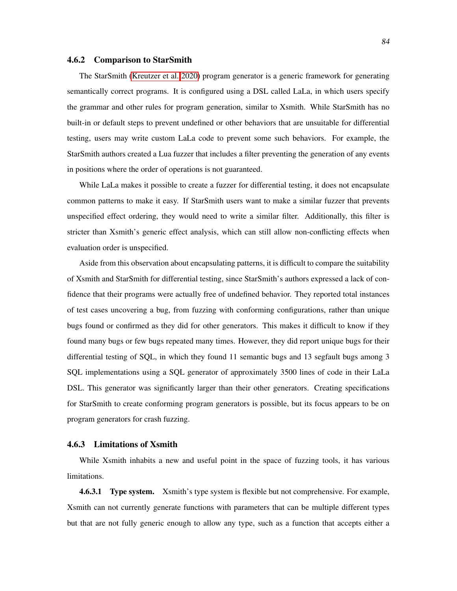#### 4.6.2 Comparison to StarSmith

The StarSmith [\(Kreutzer et al. 2020\)](#page-97-0) program generator is a generic framework for generating semantically correct programs. It is configured using a DSL called LaLa, in which users specify the grammar and other rules for program generation, similar to Xsmith. While StarSmith has no built-in or default steps to prevent undefined or other behaviors that are unsuitable for differential testing, users may write custom LaLa code to prevent some such behaviors. For example, the StarSmith authors created a Lua fuzzer that includes a filter preventing the generation of any events in positions where the order of operations is not guaranteed.

While LaLa makes it possible to create a fuzzer for differential testing, it does not encapsulate common patterns to make it easy. If StarSmith users want to make a similar fuzzer that prevents unspecified effect ordering, they would need to write a similar filter. Additionally, this filter is stricter than Xsmith's generic effect analysis, which can still allow non-conflicting effects when evaluation order is unspecified.

Aside from this observation about encapsulating patterns, it is difficult to compare the suitability of Xsmith and StarSmith for differential testing, since StarSmith's authors expressed a lack of confidence that their programs were actually free of undefined behavior. They reported total instances of test cases uncovering a bug, from fuzzing with conforming configurations, rather than unique bugs found or confirmed as they did for other generators. This makes it difficult to know if they found many bugs or few bugs repeated many times. However, they did report unique bugs for their differential testing of SQL, in which they found 11 semantic bugs and 13 segfault bugs among 3 SQL implementations using a SQL generator of approximately 3500 lines of code in their LaLa DSL. This generator was significantly larger than their other generators. Creating specifications for StarSmith to create conforming program generators is possible, but its focus appears to be on program generators for crash fuzzing.

### 4.6.3 Limitations of Xsmith

While Xsmith inhabits a new and useful point in the space of fuzzing tools, it has various limitations.

**4.6.3.1 Type system.** Xsmith's type system is flexible but not comprehensive. For example, Xsmith can not currently generate functions with parameters that can be multiple different types but that are not fully generic enough to allow any type, such as a function that accepts either a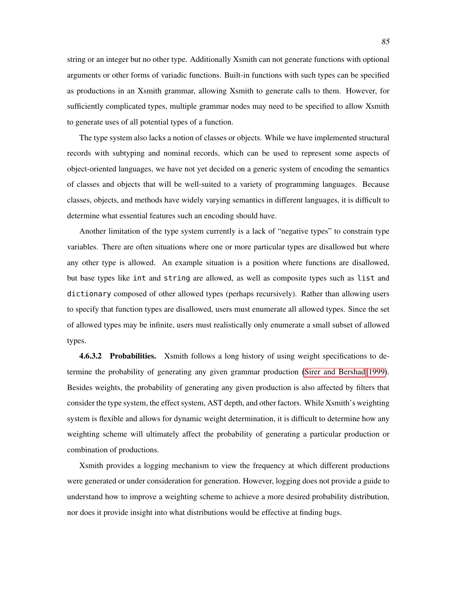string or an integer but no other type. Additionally Xsmith can not generate functions with optional arguments or other forms of variadic functions. Built-in functions with such types can be specified as productions in an Xsmith grammar, allowing Xsmith to generate calls to them. However, for sufficiently complicated types, multiple grammar nodes may need to be specified to allow Xsmith to generate uses of all potential types of a function.

The type system also lacks a notion of classes or objects. While we have implemented structural records with subtyping and nominal records, which can be used to represent some aspects of object-oriented languages, we have not yet decided on a generic system of encoding the semantics of classes and objects that will be well-suited to a variety of programming languages. Because classes, objects, and methods have widely varying semantics in different languages, it is difficult to determine what essential features such an encoding should have.

Another limitation of the type system currently is a lack of "negative types" to constrain type variables. There are often situations where one or more particular types are disallowed but where any other type is allowed. An example situation is a position where functions are disallowed, but base types like int and string are allowed, as well as composite types such as list and dictionary composed of other allowed types (perhaps recursively). Rather than allowing users to specify that function types are disallowed, users must enumerate all allowed types. Since the set of allowed types may be infinite, users must realistically only enumerate a small subset of allowed types.

**4.6.3.2 Probabilities.** Xsmith follows a long history of using weight specifications to determine the probability of generating any given grammar production [\(Sirer and Bershad 1999\)](#page-97-0). Besides weights, the probability of generating any given production is also affected by filters that consider the type system, the effect system, AST depth, and other factors. While Xsmith's weighting system is flexible and allows for dynamic weight determination, it is difficult to determine how any weighting scheme will ultimately affect the probability of generating a particular production or combination of productions.

Xsmith provides a logging mechanism to view the frequency at which different productions were generated or under consideration for generation. However, logging does not provide a guide to understand how to improve a weighting scheme to achieve a more desired probability distribution, nor does it provide insight into what distributions would be effective at finding bugs.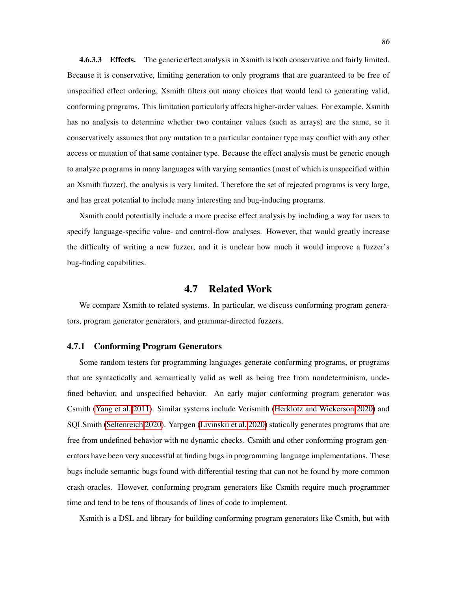**4.6.3.3** Effects. The generic effect analysis in Xsmith is both conservative and fairly limited. Because it is conservative, limiting generation to only programs that are guaranteed to be free of unspecified effect ordering, Xsmith filters out many choices that would lead to generating valid, conforming programs. This limitation particularly affects higher-order values. For example, Xsmith has no analysis to determine whether two container values (such as arrays) are the same, so it conservatively assumes that any mutation to a particular container type may conflict with any other access or mutation of that same container type. Because the effect analysis must be generic enough to analyze programs in many languages with varying semantics (most of which is unspecified within an Xsmith fuzzer), the analysis is very limited. Therefore the set of rejected programs is very large, and has great potential to include many interesting and bug-inducing programs.

Xsmith could potentially include a more precise effect analysis by including a way for users to specify language-specific value- and control-flow analyses. However, that would greatly increase the difficulty of writing a new fuzzer, and it is unclear how much it would improve a fuzzer's bug-finding capabilities.

# 4.7 Related Work

We compare Xsmith to related systems. In particular, we discuss conforming program generators, program generator generators, and grammar-directed fuzzers.

#### 4.7.1 Conforming Program Generators

Some random testers for programming languages generate conforming programs, or programs that are syntactically and semantically valid as well as being free from nondeterminism, undefined behavior, and unspecified behavior. An early major conforming program generator was Csmith [\(Yang et al. 2011\)](#page-97-0). Similar systems include Verismith [\(Herklotz and Wickerson 2020\)](#page-97-0) and SQLSmith [\(Seltenreich 2020\)](#page-97-0). Yarpgen [\(Livinskii et al. 2020\)](#page-97-0) statically generates programs that are free from undefined behavior with no dynamic checks. Csmith and other conforming program generators have been very successful at finding bugs in programming language implementations. These bugs include semantic bugs found with differential testing that can not be found by more common crash oracles. However, conforming program generators like Csmith require much programmer time and tend to be tens of thousands of lines of code to implement.

Xsmith is a DSL and library for building conforming program generators like Csmith, but with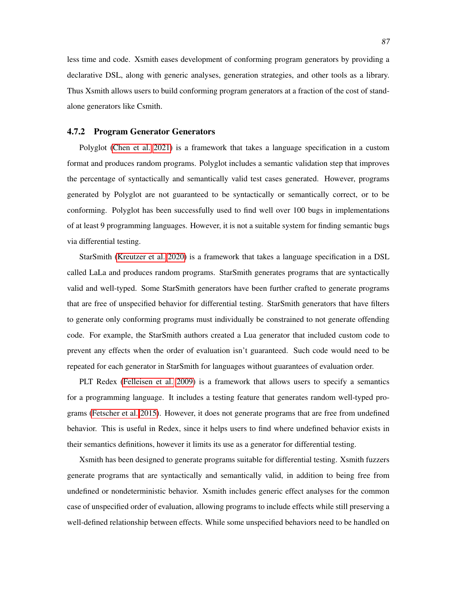less time and code. Xsmith eases development of conforming program generators by providing a declarative DSL, along with generic analyses, generation strategies, and other tools as a library. Thus Xsmith allows users to build conforming program generators at a fraction of the cost of standalone generators like Csmith.

### 4.7.2 Program Generator Generators

Polyglot [\(Chen et al. 2021\)](#page-97-0) is a framework that takes a language specification in a custom format and produces random programs. Polyglot includes a semantic validation step that improves the percentage of syntactically and semantically valid test cases generated. However, programs generated by Polyglot are not guaranteed to be syntactically or semantically correct, or to be conforming. Polyglot has been successfully used to find well over 100 bugs in implementations of at least 9 programming languages. However, it is not a suitable system for finding semantic bugs via differential testing.

StarSmith [\(Kreutzer et al. 2020\)](#page-97-0) is a framework that takes a language specification in a DSL called LaLa and produces random programs. StarSmith generates programs that are syntactically valid and well-typed. Some StarSmith generators have been further crafted to generate programs that are free of unspecified behavior for differential testing. StarSmith generators that have filters to generate only conforming programs must individually be constrained to not generate offending code. For example, the StarSmith authors created a Lua generator that included custom code to prevent any effects when the order of evaluation isn't guaranteed. Such code would need to be repeated for each generator in StarSmith for languages without guarantees of evaluation order.

PLT Redex [\(Felleisen et al. 2009\)](#page-97-0) is a framework that allows users to specify a semantics for a programming language. It includes a testing feature that generates random well-typed programs [\(Fetscher et al. 2015\)](#page-97-0). However, it does not generate programs that are free from undefined behavior. This is useful in Redex, since it helps users to find where undefined behavior exists in their semantics definitions, however it limits its use as a generator for differential testing.

Xsmith has been designed to generate programs suitable for differential testing. Xsmith fuzzers generate programs that are syntactically and semantically valid, in addition to being free from undefined or nondeterministic behavior. Xsmith includes generic effect analyses for the common case of unspecified order of evaluation, allowing programs to include effects while still preserving a well-defined relationship between effects. While some unspecified behaviors need to be handled on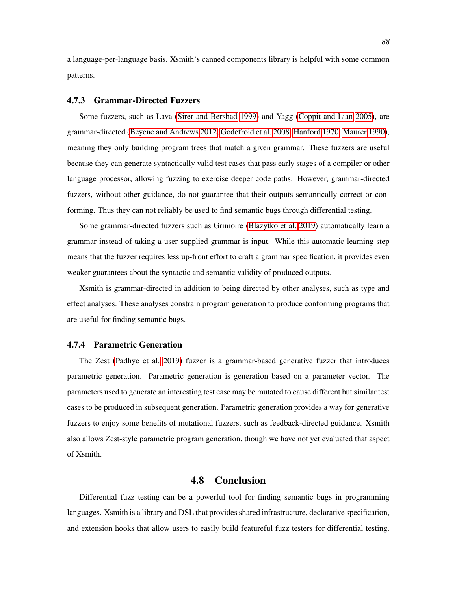a language-per-language basis, Xsmith's canned components library is helpful with some common patterns.

#### 4.7.3 Grammar-Directed Fuzzers

Some fuzzers, such as Lava [\(Sirer and Bershad 1999\)](#page-97-0) and Yagg [\(Coppit and Lian 2005\)](#page-97-0), are grammar-directed [\(Beyene and Andrews 2012; Godefroid et al. 2008; Hanford 1970; Maurer 1990\)](#page-97-0), meaning they only building program trees that match a given grammar. These fuzzers are useful because they can generate syntactically valid test cases that pass early stages of a compiler or other language processor, allowing fuzzing to exercise deeper code paths. However, grammar-directed fuzzers, without other guidance, do not guarantee that their outputs semantically correct or conforming. Thus they can not reliably be used to find semantic bugs through differential testing.

Some grammar-directed fuzzers such as Grimoire [\(Blazytko et al. 2019\)](#page-97-0) automatically learn a grammar instead of taking a user-supplied grammar is input. While this automatic learning step means that the fuzzer requires less up-front effort to craft a grammar specification, it provides even weaker guarantees about the syntactic and semantic validity of produced outputs.

Xsmith is grammar-directed in addition to being directed by other analyses, such as type and effect analyses. These analyses constrain program generation to produce conforming programs that are useful for finding semantic bugs.

### 4.7.4 Parametric Generation

The Zest [\(Padhye et al. 2019\)](#page-97-0) fuzzer is a grammar-based generative fuzzer that introduces parametric generation. Parametric generation is generation based on a parameter vector. The parameters used to generate an interesting test case may be mutated to cause different but similar test cases to be produced in subsequent generation. Parametric generation provides a way for generative fuzzers to enjoy some benefits of mutational fuzzers, such as feedback-directed guidance. Xsmith also allows Zest-style parametric program generation, though we have not yet evaluated that aspect of Xsmith.

# 4.8 Conclusion

Differential fuzz testing can be a powerful tool for finding semantic bugs in programming languages. Xsmith is a library and DSL that provides shared infrastructure, declarative specification, and extension hooks that allow users to easily build featureful fuzz testers for differential testing.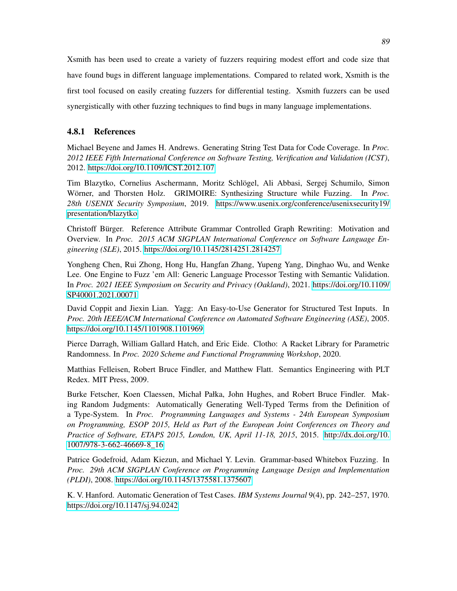Xsmith has been used to create a variety of fuzzers requiring modest effort and code size that have found bugs in different language implementations. Compared to related work, Xsmith is the first tool focused on easily creating fuzzers for differential testing. Xsmith fuzzers can be used synergistically with other fuzzing techniques to find bugs in many language implementations.

## <span id="page-97-0"></span>4.8.1 References

Michael Beyene and James H. Andrews. Generating String Test Data for Code Coverage. In *Proc. 2012 IEEE Fifth International Conference on Software Testing, Verification and Validation (ICST)*, 2012.<https://doi.org/10.1109/ICST.2012.107>

Tim Blazytko, Cornelius Aschermann, Moritz Schlögel, Ali Abbasi, Sergej Schumilo, Simon Wörner, and Thorsten Holz. GRIMOIRE: Synthesizing Structure while Fuzzing. In *Proc. 28th USENIX Security Symposium*, 2019. [https://www.usenix.org/conference/usenixsecurity19/](https://www.usenix.org/conference/usenixsecurity19/presentation/blazytko) [presentation/blazytko](https://www.usenix.org/conference/usenixsecurity19/presentation/blazytko)

Christoff Bürger. Reference Attribute Grammar Controlled Graph Rewriting: Motivation and Overview. In *Proc. 2015 ACM SIGPLAN International Conference on Software Language Engineering (SLE)*, 2015.<https://doi.org/10.1145/2814251.2814257>

Yongheng Chen, Rui Zhong, Hong Hu, Hangfan Zhang, Yupeng Yang, Dinghao Wu, and Wenke Lee. One Engine to Fuzz 'em All: Generic Language Processor Testing with Semantic Validation. In *Proc. 2021 IEEE Symposium on Security and Privacy (Oakland)*, 2021. [https://doi.org/10.1109/](https://doi.org/10.1109/SP40001.2021.00071) [SP40001.2021.00071](https://doi.org/10.1109/SP40001.2021.00071)

David Coppit and Jiexin Lian. Yagg: An Easy-to-Use Generator for Structured Test Inputs. In *Proc. 20th IEEE/ACM International Conference on Automated Software Engineering (ASE)*, 2005. <https://doi.org/10.1145/1101908.1101969>

Pierce Darragh, William Gallard Hatch, and Eric Eide. Clotho: A Racket Library for Parametric Randomness. In *Proc. 2020 Scheme and Functional Programming Workshop*, 2020.

Matthias Felleisen, Robert Bruce Findler, and Matthew Flatt. Semantics Engineering with PLT Redex. MIT Press, 2009.

Burke Fetscher, Koen Claessen, Michał Pałka, John Hughes, and Robert Bruce Findler. Making Random Judgments: Automatically Generating Well-Typed Terms from the Definition of a Type-System. In *Proc. Programming Languages and Systems - 24th European Symposium on Programming, ESOP 2015, Held as Part of the European Joint Conferences on Theory and Practice of Software, ETAPS 2015, London, UK, April 11-18, 2015*, 2015. [http://dx.doi.org/10.](http://dx.doi.org/10.1007/978-3-662-46669-8_16) [1007/978-3-662-46669-8\\_16](http://dx.doi.org/10.1007/978-3-662-46669-8_16)

Patrice Godefroid, Adam Kiezun, and Michael Y. Levin. Grammar-based Whitebox Fuzzing. In *Proc. 29th ACM SIGPLAN Conference on Programming Language Design and Implementation (PLDI)*, 2008.<https://doi.org/10.1145/1375581.1375607>

K. V. Hanford. Automatic Generation of Test Cases. *IBM Systems Journal* 9(4), pp. 242–257, 1970. <https://doi.org/10.1147/sj.94.0242>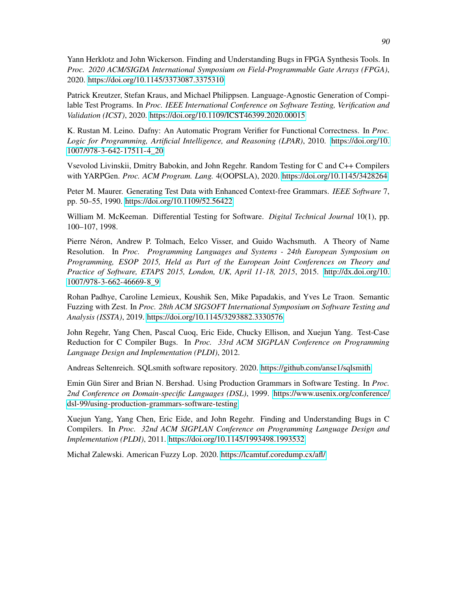Yann Herklotz and John Wickerson. Finding and Understanding Bugs in FPGA Synthesis Tools. In *Proc. 2020 ACM/SIGDA International Symposium on Field-Programmable Gate Arrays (FPGA)*, 2020.<https://doi.org/10.1145/3373087.3375310>

Patrick Kreutzer, Stefan Kraus, and Michael Philippsen. Language-Agnostic Generation of Compilable Test Programs. In *Proc. IEEE International Conference on Software Testing, Verification and Validation (ICST)*, 2020.<https://doi.org/10.1109/ICST46399.2020.00015>

K. Rustan M. Leino. Dafny: An Automatic Program Verifier for Functional Correctness. In *Proc. Logic for Programming, Artificial Intelligence, and Reasoning (LPAR)*, 2010. [https://doi.org/10.](https://doi.org/10.1007/978-3-642-17511-4_20) [1007/978-3-642-17511-4\\_20](https://doi.org/10.1007/978-3-642-17511-4_20)

Vsevolod Livinskii, Dmitry Babokin, and John Regehr. Random Testing for C and C++ Compilers with YARPGen. *Proc. ACM Program. Lang.* 4(OOPSLA), 2020.<https://doi.org/10.1145/3428264>

Peter M. Maurer. Generating Test Data with Enhanced Context-free Grammars. *IEEE Software* 7, pp. 50–55, 1990.<https://doi.org/10.1109/52.56422>

William M. McKeeman. Differential Testing for Software. *Digital Technical Journal* 10(1), pp. 100–107, 1998.

Pierre Néron, Andrew P. Tolmach, Eelco Visser, and Guido Wachsmuth. A Theory of Name Resolution. In *Proc. Programming Languages and Systems - 24th European Symposium on Programming, ESOP 2015, Held as Part of the European Joint Conferences on Theory and Practice of Software, ETAPS 2015, London, UK, April 11-18, 2015*, 2015. [http://dx.doi.org/10.](http://dx.doi.org/10.1007/978-3-662-46669-8_9) [1007/978-3-662-46669-8\\_9](http://dx.doi.org/10.1007/978-3-662-46669-8_9)

Rohan Padhye, Caroline Lemieux, Koushik Sen, Mike Papadakis, and Yves Le Traon. Semantic Fuzzing with Zest. In *Proc. 28th ACM SIGSOFT International Symposium on Software Testing and Analysis (ISSTA)*, 2019.<https://doi.org/10.1145/3293882.3330576>

John Regehr, Yang Chen, Pascal Cuoq, Eric Eide, Chucky Ellison, and Xuejun Yang. Test-Case Reduction for C Compiler Bugs. In *Proc. 33rd ACM SIGPLAN Conference on Programming Language Design and Implementation (PLDI)*, 2012.

Andreas Seltenreich. SQLsmith software repository. 2020.<https://github.com/anse1/sqlsmith>

Emin Gün Sirer and Brian N. Bershad. Using Production Grammars in Software Testing. In *Proc. 2nd Conference on Domain-specific Languages (DSL)*, 1999. [https://www.usenix.org/conference/](https://www.usenix.org/conference/dsl-99/using-production-grammars-software-testing) [dsl-99/using-production-grammars-software-testing](https://www.usenix.org/conference/dsl-99/using-production-grammars-software-testing)

Xuejun Yang, Yang Chen, Eric Eide, and John Regehr. Finding and Understanding Bugs in C Compilers. In *Proc. 32nd ACM SIGPLAN Conference on Programming Language Design and Implementation (PLDI)*, 2011.<https://doi.org/10.1145/1993498.1993532>

Michał Zalewski. American Fuzzy Lop. 2020.<https://lcamtuf.coredump.cx/afl/>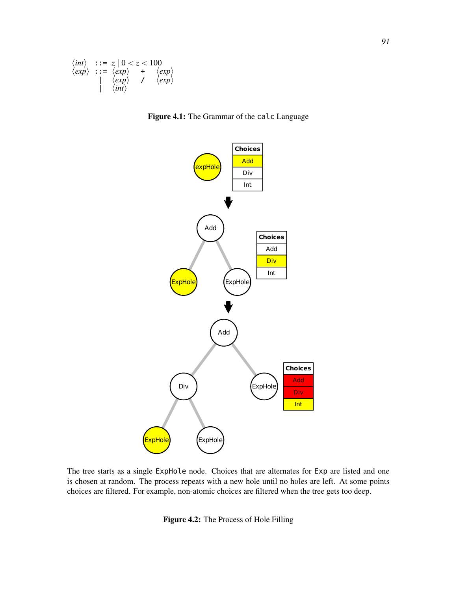$$
\begin{array}{rcl}\n\langle int \rangle &::= z \mid 0 < z < 100 \\
\langle exp \rangle &::= \langle exp \rangle &+ & \langle exp \rangle \\
&| & \langle exp \rangle & / & \langle exp \rangle \\
&| & \langle int \rangle &\n\end{array}
$$

<span id="page-99-0"></span>Figure 4.1: The Grammar of the calc Language



The tree starts as a single ExpHole node. Choices that are alternates for Exp are listed and one is chosen at random. The process repeats with a new hole until no holes are left. At some points choices are filtered. For example, non-atomic choices are filtered when the tree gets too deep.

<span id="page-99-1"></span>Figure 4.2: The Process of Hole Filling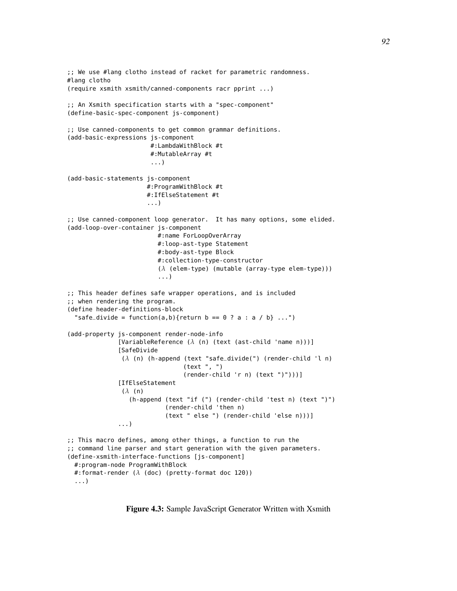```
;; We use #lang clotho instead of racket for parametric randomness.
#lang clotho
(require xsmith xsmith/canned-components racr pprint ...)
;; An Xsmith specification starts with a "spec-component"
(define-basic-spec-component js-component)
;; Use canned-components to get common grammar definitions.
(add-basic-expressions js-component
                       #:LambdaWithBlock #t
                       #:MutableArray #t
                       ...)
(add-basic-statements js-component
                      #:ProgramWithBlock #t
                      #:IfElseStatement #t
                      ...)
;; Use canned-component loop generator. It has many options, some elided.
(add-loop-over-container js-component
                         #:name ForLoopOverArray
                         #:loop-ast-type Statement
                         #:body-ast-type Block
                         #:collection-type-constructor
                         (λ (elem-type) (mutable (array-type elem-type)))
                         ...)
;; This header defines safe wrapper operations, and is included
;; when rendering the program.
(define header-definitions-block
  "safe_divide = function(a,b){return b == 0 ? a : a / b} ...")
(add-property js-component render-node-info
              [VariableReference (λ (n) (text (ast-child 'name n)))]
              [SafeDivide
               (λ (n) (h-append (text "safe_divide(") (render-child 'l n)
                                (text ", ")
                                (render-child 'r n) (text ")")))]
              [IfElseStatement
               (λ (n)
                 (h-append (text "if (") (render-child 'test n) (text ")")
                           (render-child 'then n)
                           (text " else ") (render-child 'else n)))]
              ...)
;; This macro defines, among other things, a function to run the
;; command line parser and start generation with the given parameters.
(define-xsmith-interface-functions [js-component]
 #:program-node ProgramWithBlock
 #:format-render (λ (doc) (pretty-format doc 120))
  ...)
```
<span id="page-100-0"></span>Figure 4.3: Sample JavaScript Generator Written with Xsmith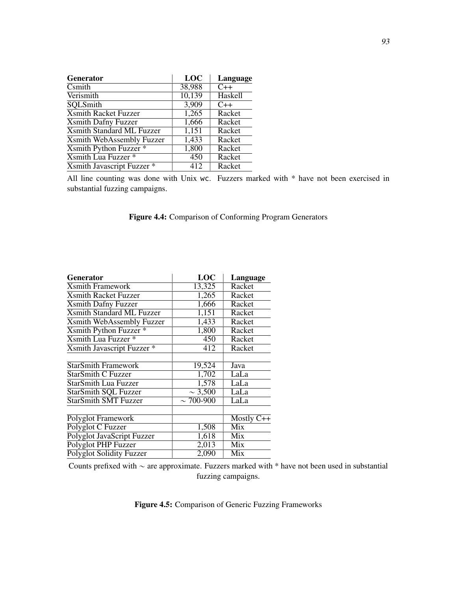| Generator                        | LOC    | Language |
|----------------------------------|--------|----------|
| $\overline{\text{Csm}}$ ith      | 38,988 | $C++$    |
| Verismith                        | 10,139 | Haskell  |
| SQLSmith                         | 3,909  | $C++$    |
| <b>Xsmith Racket Fuzzer</b>      | 1,265  | Racket   |
| <b>Xsmith Dafny Fuzzer</b>       | 1,666  | Racket   |
| <b>Xsmith Standard ML Fuzzer</b> | 1,151  | Racket   |
| <b>Xsmith WebAssembly Fuzzer</b> | 1,433  | Racket   |
| Xsmith Python Fuzzer *           | 1,800  | Racket   |
| <b>Xsmith Lua Fuzzer</b> *       | 450    | Racket   |
| Xsmith Javascript Fuzzer *       | 412    | Racket   |

All line counting was done with Unix wc. Fuzzers marked with \* have not been exercised in substantial fuzzing campaigns.

<span id="page-101-0"></span>

|  |  | Figure 4.4: Comparison of Conforming Program Generators |  |  |
|--|--|---------------------------------------------------------|--|--|
|--|--|---------------------------------------------------------|--|--|

| <b>Generator</b>                      | <b>LOC</b>     | Language     |
|---------------------------------------|----------------|--------------|
| <b>Xsmith Framework</b>               | 13,325         | Racket       |
| <b>Xsmith Racket Fuzzer</b>           | 1,265          | Racket       |
| <b>Xsmith Dafny Fuzzer</b>            | 1,666          | Racket       |
| <b>Xsmith Standard ML Fuzzer</b>      | 1,151          | Racket       |
| <b>Xsmith WebAssembly Fuzzer</b>      | 1,433          | Racket       |
| <b>Xsmith Python Fuzzer</b> *         | 1,800          | Racket       |
| Xsmith Lua Fuzzer <sup>*</sup>        | 450            | Racket       |
| Xsmith Javascript Fuzzer <sup>*</sup> | 412            | Racket       |
|                                       |                |              |
| <b>StarSmith Framework</b>            | 19,524         | Java         |
| <b>StarSmith C Fuzzer</b>             | 1,702          | LaLa         |
| <b>StarSmith Lua Fuzzer</b>           | 1,578          | LaLa         |
| StarSmith SQL Fuzzer                  | $\sim 3,500$   | LaLa         |
| <b>StarSmith SMT Fuzzer</b>           | $\sim$ 700-900 | LaLa         |
|                                       |                |              |
| Polyglot Framework                    |                | $Mostly C++$ |
| Polyglot C Fuzzer                     | 1,508          | Mix          |
| Polyglot JavaScript Fuzzer            | 1,618          | Mix          |
| Polyglot PHP Fuzzer                   | 2,013          | Mix          |
| Polyglot Solidity Fuzzer              | 2,090          | Mix          |

Counts prefixed with  $\sim$  are approximate. Fuzzers marked with  $*$  have not been used in substantial fuzzing campaigns.

<span id="page-101-1"></span>Figure 4.5: Comparison of Generic Fuzzing Frameworks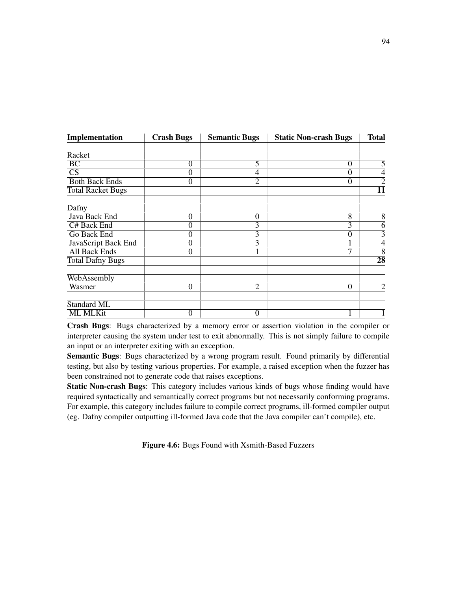| Implementation           | <b>Crash Bugs</b> | <b>Semantic Bugs</b> | <b>Static Non-crash Bugs</b> | <b>Total</b>    |
|--------------------------|-------------------|----------------------|------------------------------|-----------------|
|                          |                   |                      |                              |                 |
| Racket                   |                   |                      |                              |                 |
| BC                       | $\Omega$          | 5                    | $\theta$                     | 5               |
| $\overline{\text{CS}}$   | $\theta$          | 4                    | 0                            |                 |
| <b>Both Back Ends</b>    | $\Omega$          | $\overline{2}$       | 0                            | $\overline{2}$  |
| <b>Total Racket Bugs</b> |                   |                      |                              | $\overline{11}$ |
| Dafny                    |                   |                      |                              |                 |
| Java Back End            | $\Omega$          | $\boldsymbol{0}$     | 8                            | 8               |
| C# Back End              | $\theta$          | $\overline{3}$       | $\overline{3}$               | 6               |
| Go Back End              | $\Omega$          | $\overline{3}$       | 0                            | $\overline{3}$  |
| JavaScript Back End      | $\theta$          | $\overline{3}$       |                              |                 |
| <b>All Back Ends</b>     | $\theta$          | 1                    | 7                            | $\overline{8}$  |
| <b>Total Dafny Bugs</b>  |                   |                      |                              | $\overline{28}$ |
| WebAssembly              |                   |                      |                              |                 |
| Wasmer                   | $\Omega$          | $\overline{2}$       | $\theta$                     | 2               |
| Standard ML              |                   |                      |                              |                 |
| <b>ML MLKit</b>          | $\boldsymbol{0}$  | $\boldsymbol{0}$     |                              |                 |

Crash Bugs: Bugs characterized by a memory error or assertion violation in the compiler or interpreter causing the system under test to exit abnormally. This is not simply failure to compile an input or an interpreter exiting with an exception.

Semantic Bugs: Bugs characterized by a wrong program result. Found primarily by differential testing, but also by testing various properties. For example, a raised exception when the fuzzer has been constrained not to generate code that raises exceptions.

Static Non-crash Bugs: This category includes various kinds of bugs whose finding would have required syntactically and semantically correct programs but not necessarily conforming programs. For example, this category includes failure to compile correct programs, ill-formed compiler output (eg. Dafny compiler outputting ill-formed Java code that the Java compiler can't compile), etc.

<span id="page-102-0"></span>Figure 4.6: Bugs Found with Xsmith-Based Fuzzers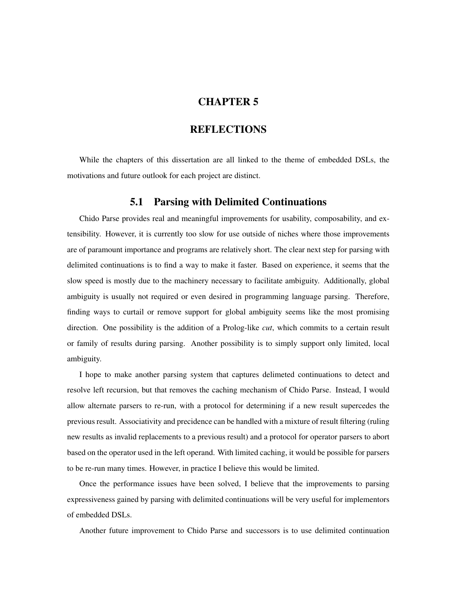# CHAPTER 5

# REFLECTIONS

While the chapters of this dissertation are all linked to the theme of embedded DSLs, the motivations and future outlook for each project are distinct.

# 5.1 Parsing with Delimited Continuations

Chido Parse provides real and meaningful improvements for usability, composability, and extensibility. However, it is currently too slow for use outside of niches where those improvements are of paramount importance and programs are relatively short. The clear next step for parsing with delimited continuations is to find a way to make it faster. Based on experience, it seems that the slow speed is mostly due to the machinery necessary to facilitate ambiguity. Additionally, global ambiguity is usually not required or even desired in programming language parsing. Therefore, finding ways to curtail or remove support for global ambiguity seems like the most promising direction. One possibility is the addition of a Prolog-like *cut*, which commits to a certain result or family of results during parsing. Another possibility is to simply support only limited, local ambiguity.

I hope to make another parsing system that captures delimeted continuations to detect and resolve left recursion, but that removes the caching mechanism of Chido Parse. Instead, I would allow alternate parsers to re-run, with a protocol for determining if a new result supercedes the previous result. Associativity and precidence can be handled with a mixture of result filtering (ruling new results as invalid replacements to a previous result) and a protocol for operator parsers to abort based on the operator used in the left operand. With limited caching, it would be possible for parsers to be re-run many times. However, in practice I believe this would be limited.

Once the performance issues have been solved, I believe that the improvements to parsing expressiveness gained by parsing with delimited continuations will be very useful for implementors of embedded DSLs.

Another future improvement to Chido Parse and successors is to use delimited continuation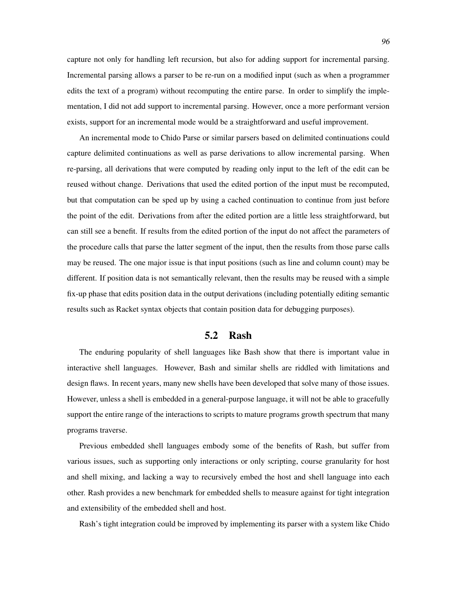capture not only for handling left recursion, but also for adding support for incremental parsing. Incremental parsing allows a parser to be re-run on a modified input (such as when a programmer edits the text of a program) without recomputing the entire parse. In order to simplify the implementation, I did not add support to incremental parsing. However, once a more performant version exists, support for an incremental mode would be a straightforward and useful improvement.

An incremental mode to Chido Parse or similar parsers based on delimited continuations could capture delimited continuations as well as parse derivations to allow incremental parsing. When re-parsing, all derivations that were computed by reading only input to the left of the edit can be reused without change. Derivations that used the edited portion of the input must be recomputed, but that computation can be sped up by using a cached continuation to continue from just before the point of the edit. Derivations from after the edited portion are a little less straightforward, but can still see a benefit. If results from the edited portion of the input do not affect the parameters of the procedure calls that parse the latter segment of the input, then the results from those parse calls may be reused. The one major issue is that input positions (such as line and column count) may be different. If position data is not semantically relevant, then the results may be reused with a simple fix-up phase that edits position data in the output derivations (including potentially editing semantic results such as Racket syntax objects that contain position data for debugging purposes).

## 5.2 Rash

The enduring popularity of shell languages like Bash show that there is important value in interactive shell languages. However, Bash and similar shells are riddled with limitations and design flaws. In recent years, many new shells have been developed that solve many of those issues. However, unless a shell is embedded in a general-purpose language, it will not be able to gracefully support the entire range of the interactions to scripts to mature programs growth spectrum that many programs traverse.

Previous embedded shell languages embody some of the benefits of Rash, but suffer from various issues, such as supporting only interactions or only scripting, course granularity for host and shell mixing, and lacking a way to recursively embed the host and shell language into each other. Rash provides a new benchmark for embedded shells to measure against for tight integration and extensibility of the embedded shell and host.

Rash's tight integration could be improved by implementing its parser with a system like Chido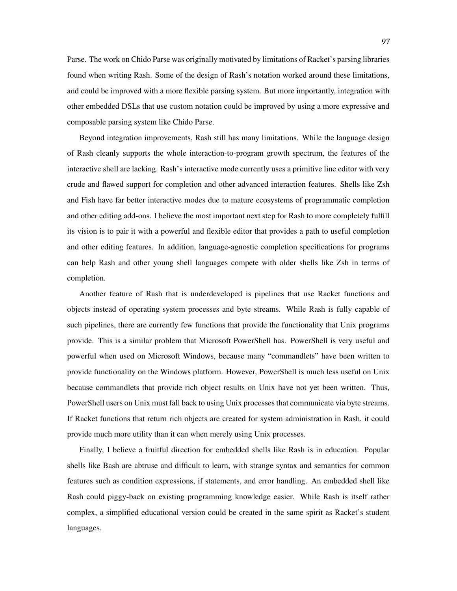Parse. The work on Chido Parse was originally motivated by limitations of Racket's parsing libraries found when writing Rash. Some of the design of Rash's notation worked around these limitations, and could be improved with a more flexible parsing system. But more importantly, integration with other embedded DSLs that use custom notation could be improved by using a more expressive and composable parsing system like Chido Parse.

Beyond integration improvements, Rash still has many limitations. While the language design of Rash cleanly supports the whole interaction-to-program growth spectrum, the features of the interactive shell are lacking. Rash's interactive mode currently uses a primitive line editor with very crude and flawed support for completion and other advanced interaction features. Shells like Zsh and Fish have far better interactive modes due to mature ecosystems of programmatic completion and other editing add-ons. I believe the most important next step for Rash to more completely fulfill its vision is to pair it with a powerful and flexible editor that provides a path to useful completion and other editing features. In addition, language-agnostic completion specifications for programs can help Rash and other young shell languages compete with older shells like Zsh in terms of completion.

Another feature of Rash that is underdeveloped is pipelines that use Racket functions and objects instead of operating system processes and byte streams. While Rash is fully capable of such pipelines, there are currently few functions that provide the functionality that Unix programs provide. This is a similar problem that Microsoft PowerShell has. PowerShell is very useful and powerful when used on Microsoft Windows, because many "commandlets" have been written to provide functionality on the Windows platform. However, PowerShell is much less useful on Unix because commandlets that provide rich object results on Unix have not yet been written. Thus, PowerShell users on Unix must fall back to using Unix processes that communicate via byte streams. If Racket functions that return rich objects are created for system administration in Rash, it could provide much more utility than it can when merely using Unix processes.

Finally, I believe a fruitful direction for embedded shells like Rash is in education. Popular shells like Bash are abtruse and difficult to learn, with strange syntax and semantics for common features such as condition expressions, if statements, and error handling. An embedded shell like Rash could piggy-back on existing programming knowledge easier. While Rash is itself rather complex, a simplified educational version could be created in the same spirit as Racket's student languages.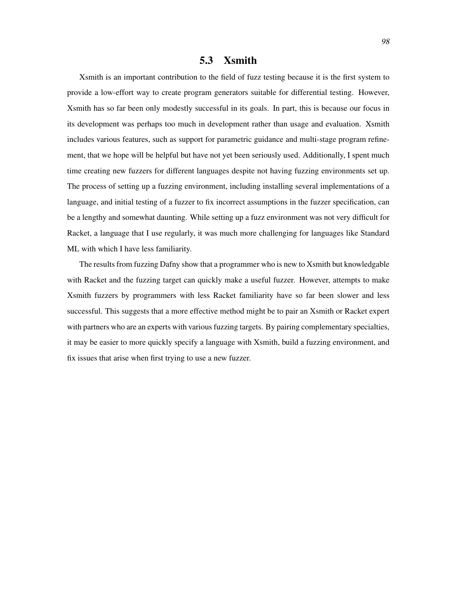# 5.3 Xsmith

Xsmith is an important contribution to the field of fuzz testing because it is the first system to provide a low-effort way to create program generators suitable for differential testing. However, Xsmith has so far been only modestly successful in its goals. In part, this is because our focus in its development was perhaps too much in development rather than usage and evaluation. Xsmith includes various features, such as support for parametric guidance and multi-stage program refinement, that we hope will be helpful but have not yet been seriously used. Additionally, I spent much time creating new fuzzers for different languages despite not having fuzzing environments set up. The process of setting up a fuzzing environment, including installing several implementations of a language, and initial testing of a fuzzer to fix incorrect assumptions in the fuzzer specification, can be a lengthy and somewhat daunting. While setting up a fuzz environment was not very difficult for Racket, a language that I use regularly, it was much more challenging for languages like Standard ML with which I have less familiarity.

The results from fuzzing Dafny show that a programmer who is new to Xsmith but knowledgable with Racket and the fuzzing target can quickly make a useful fuzzer. However, attempts to make Xsmith fuzzers by programmers with less Racket familiarity have so far been slower and less successful. This suggests that a more effective method might be to pair an Xsmith or Racket expert with partners who are an experts with various fuzzing targets. By pairing complementary specialties, it may be easier to more quickly specify a language with Xsmith, build a fuzzing environment, and fix issues that arise when first trying to use a new fuzzer.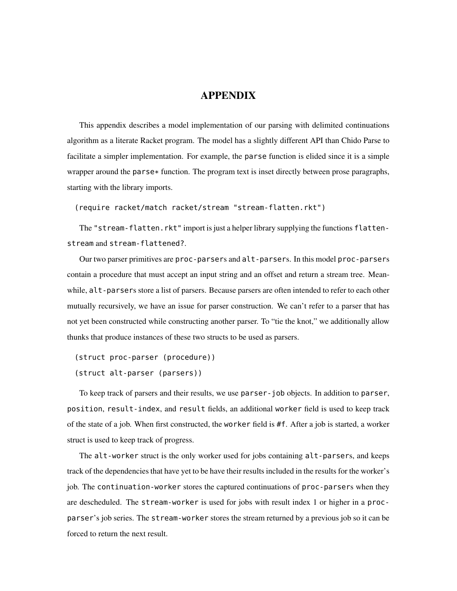# APPENDIX

This appendix describes a model implementation of our parsing with delimited continuations algorithm as a literate Racket program. The model has a slightly different API than Chido Parse to facilitate a simpler implementation. For example, the parse function is elided since it is a simple wrapper around the parse\* function. The program text is inset directly between prose paragraphs, starting with the library imports.

(require racket/match racket/stream "stream-flatten.rkt")

The "stream-flatten.rkt" import is just a helper library supplying the functions flattenstream and stream-flattened?.

Our two parser primitives are proc-parsers and alt-parsers. In this model proc-parsers contain a procedure that must accept an input string and an offset and return a stream tree. Meanwhile, alt-parsers store a list of parsers. Because parsers are often intended to refer to each other mutually recursively, we have an issue for parser construction. We can't refer to a parser that has not yet been constructed while constructing another parser. To "tie the knot," we additionally allow thunks that produce instances of these two structs to be used as parsers.

```
(struct proc-parser (procedure))
(struct alt-parser (parsers))
```
To keep track of parsers and their results, we use parser-job objects. In addition to parser, position, result-index, and result fields, an additional worker field is used to keep track of the state of a job. When first constructed, the worker field is #f. After a job is started, a worker struct is used to keep track of progress.

The alt-worker struct is the only worker used for jobs containing alt-parsers, and keeps track of the dependencies that have yet to be have their results included in the results for the worker's job. The continuation-worker stores the captured continuations of proc-parsers when they are descheduled. The stream-worker is used for jobs with result index 1 or higher in a procparser's job series. The stream-worker stores the stream returned by a previous job so it can be forced to return the next result.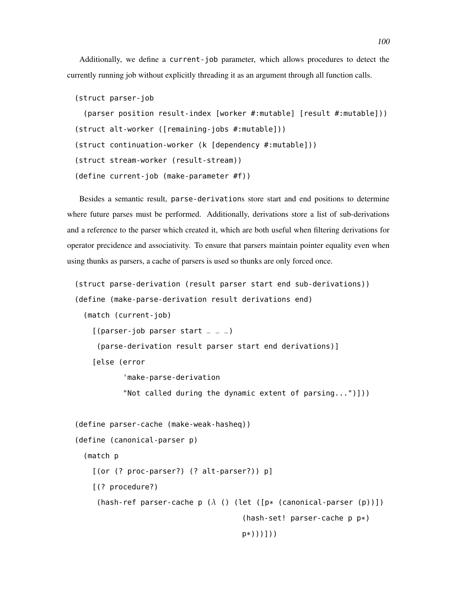Additionally, we define a current-job parameter, which allows procedures to detect the currently running job without explicitly threading it as an argument through all function calls.

```
(struct parser-job
```

```
(parser position result-index [worker #:mutable] [result #:mutable]))
(struct alt-worker ([remaining-jobs #:mutable]))
(struct continuation-worker (k [dependency #:mutable]))
(struct stream-worker (result-stream))
(define current-job (make-parameter #f))
```
Besides a semantic result, parse-derivations store start and end positions to determine where future parses must be performed. Additionally, derivations store a list of sub-derivations and a reference to the parser which created it, which are both useful when filtering derivations for operator precidence and associativity. To ensure that parsers maintain pointer equality even when using thunks as parsers, a cache of parsers is used so thunks are only forced once.

```
(struct parse-derivation (result parser start end sub-derivations))
(define (make-parse-derivation result derivations end)
  (match (current-job)
    [(parser-job parser start = = -)
     (parse-derivation result parser start end derivations)]
    [else (error
           'make-parse-derivation
           "Not called during the dynamic extent of parsing...")]))
(define parser-cache (make-weak-hasheq))
(define (canonical-parser p)
  (match p
    [(or (? proc-parser?) (? alt-parser?)) p]
    [(? procedure?)
     (hash-ref parser-cache p (\lambda)() (let ([p* (canonical-parser (p))])
                                       (hash-set! parser-cache p p*)
```

```
p*)))]))
```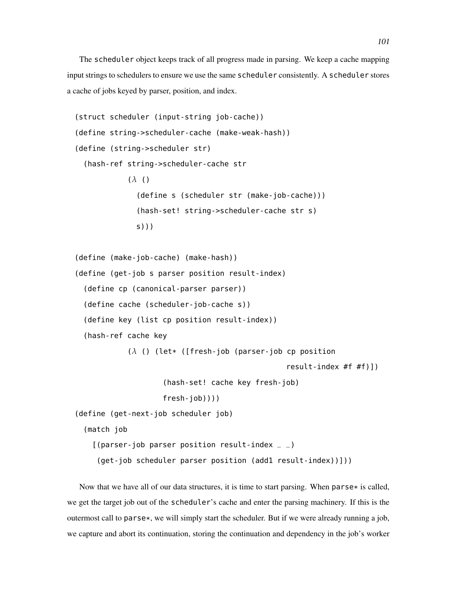The scheduler object keeps track of all progress made in parsing. We keep a cache mapping input strings to schedulers to ensure we use the same scheduler consistently. A scheduler stores a cache of jobs keyed by parser, position, and index.

```
(struct scheduler (input-string job-cache))
(define string->scheduler-cache (make-weak-hash))
(define (string->scheduler str)
  (hash-ref string->scheduler-cache str
            (λ ()
              (define s (scheduler str (make-job-cache)))
              (hash-set! string->scheduler-cache str s)
              s)))
(define (make-job-cache) (make-hash))
(define (get-job s parser position result-index)
  (define cp (canonical-parser parser))
  (define cache (scheduler-job-cache s))
  (define key (list cp position result-index))
  (hash-ref cache key
            (λ () (let* ([fresh-job (parser-job cp position
                                                 result-index #f #f)])
                    (hash-set! cache key fresh-job)
                    fresh-job))))
(define (get-next-job scheduler job)
  (match job
    [(parser-job parser position result-index = -)
     (get-job scheduler parser position (add1 result-index))]))
```
Now that we have all of our data structures, it is time to start parsing. When parse $*$  is called, we get the target job out of the scheduler's cache and enter the parsing machinery. If this is the outermost call to parse\*, we will simply start the scheduler. But if we were already running a job, we capture and abort its continuation, storing the continuation and dependency in the job's worker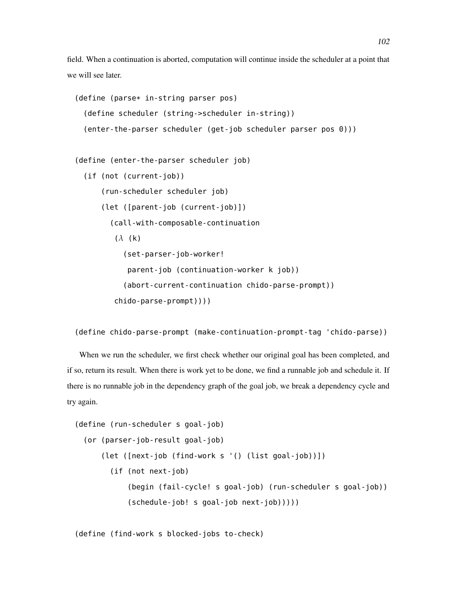field. When a continuation is aborted, computation will continue inside the scheduler at a point that we will see later.

```
(define (parse* in-string parser pos)
  (define scheduler (string->scheduler in-string))
  (enter-the-parser scheduler (get-job scheduler parser pos 0)))
(define (enter-the-parser scheduler job)
  (if (not (current-job))
      (run-scheduler scheduler job)
      (let ([parent-job (current-job)])
        (call-with-composable-continuation
         (λ (k)
           (set-parser-job-worker!
            parent-job (continuation-worker k job))
           (abort-current-continuation chido-parse-prompt))
         chido-parse-prompt))))
```
(define chido-parse-prompt (make-continuation-prompt-tag 'chido-parse))

When we run the scheduler, we first check whether our original goal has been completed, and if so, return its result. When there is work yet to be done, we find a runnable job and schedule it. If there is no runnable job in the dependency graph of the goal job, we break a dependency cycle and try again.

```
(define (run-scheduler s goal-job)
  (or (parser-job-result goal-job)
      (let ([next-job (find-work s '() (list goal-job))])
        (if (not next-job)
            (begin (fail-cycle! s goal-job) (run-scheduler s goal-job))
            (schedule-job! s goal-job next-job)))))
```
(define (find-work s blocked-jobs to-check)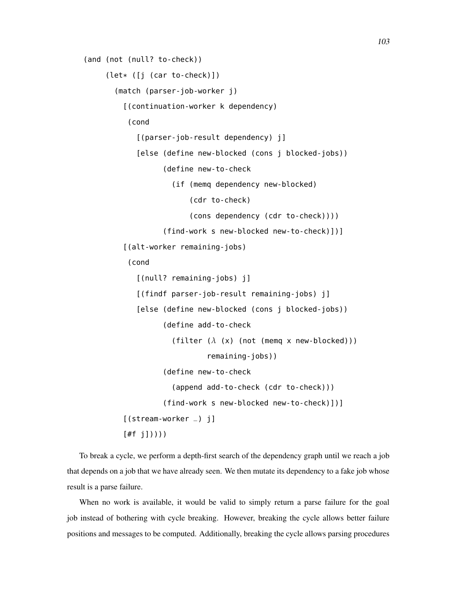```
(and (not (null? to-check))
     (let* ([j (car to-check)])
       (match (parser-job-worker j)
         [(continuation-worker k dependency)
          (cond
            [(parser-job-result dependency) j]
            [else (define new-blocked (cons j blocked-jobs))
                  (define new-to-check
                    (if (memq dependency new-blocked)
                        (cdr to-check)
                        (cons dependency (cdr to-check))))
                  (find-work s new-blocked new-to-check)])]
         [(alt-worker remaining-jobs)
          (cond
            [(null? remaining-jobs) j]
            [(findf parser-job-result remaining-jobs) j]
            [else (define new-blocked (cons j blocked-jobs))
                  (define add-to-check
                    (filter (λ (x) (not (memq x new-blocked)))
                            remaining-jobs))
                  (define new-to-check
                    (append add-to-check (cdr to-check)))
                  (find-work s new-blocked new-to-check)])]
         [(stream-worker _) j]
         [#f j])))
```
To break a cycle, we perform a depth-first search of the dependency graph until we reach a job that depends on a job that we have already seen. We then mutate its dependency to a fake job whose result is a parse failure.

When no work is available, it would be valid to simply return a parse failure for the goal job instead of bothering with cycle breaking. However, breaking the cycle allows better failure positions and messages to be computed. Additionally, breaking the cycle allows parsing procedures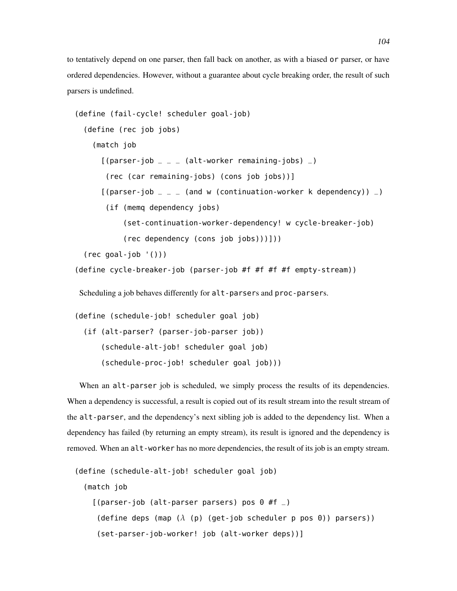to tentatively depend on one parser, then fall back on another, as with a biased or parser, or have ordered dependencies. However, without a guarantee about cycle breaking order, the result of such parsers is undefined.

```
(define (fail-cycle! scheduler goal-job)
 (define (rec job jobs)
    (match job
      [ (parser-job = = - (alt-worker remaining-jobs) =)
       (rec (car remaining-jobs) (cons job jobs))]
      [ (parser-job \_ \_ \_ (and w (continuation-worker k dependency)) \_(if (memq dependency jobs)
           (set-continuation-worker-dependency! w cycle-breaker-job)
           (rec dependency (cons job jobs)))]))
 (rec goal-job '()))
(define cycle-breaker-job (parser-job #f #f #f #f empty-stream))
Scheduling a job behaves differently for alt-parsers and proc-parsers.
(define (schedule-job! scheduler goal job)
 (if (alt-parser? (parser-job-parser job))
```

```
(schedule-alt-job! scheduler goal job)
(schedule-proc-job! scheduler goal job)))
```
When an alt-parser job is scheduled, we simply process the results of its dependencies. When a dependency is successful, a result is copied out of its result stream into the result stream of the alt-parser, and the dependency's next sibling job is added to the dependency list. When a dependency has failed (by returning an empty stream), its result is ignored and the dependency is removed. When an alt-worker has no more dependencies, the result of its job is an empty stream.

```
(define (schedule-alt-job! scheduler goal job)
  (match job
    [(parser-job (alt-parser parsers) pos 0 #f _{-})
     (define deps (map (λ (p) (get-job scheduler p pos 0)) parsers))
     (set-parser-job-worker! job (alt-worker deps))]
```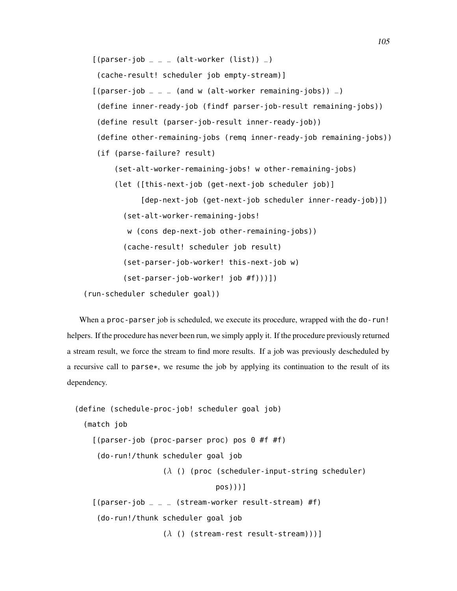```
[(parser-job = - | akt-worker (list))](cache-result! scheduler job empty-stream)]
  [(parser - job ] = (and w (alt-worker remaining-jobs)) =)
   (define inner-ready-job (findf parser-job-result remaining-jobs))
   (define result (parser-job-result inner-ready-job))
   (define other-remaining-jobs (remq inner-ready-job remaining-jobs))
   (if (parse-failure? result)
       (set-alt-worker-remaining-jobs! w other-remaining-jobs)
       (let ([this-next-job (get-next-job scheduler job)]
             [dep-next-job (get-next-job scheduler inner-ready-job)])
         (set-alt-worker-remaining-jobs!
         w (cons dep-next-job other-remaining-jobs))
         (cache-result! scheduler job result)
         (set-parser-job-worker! this-next-job w)
         (set-parser-job-worker! job #f)))])
(run-scheduler scheduler goal))
```
When a proc-parser job is scheduled, we execute its procedure, wrapped with the do-run!

helpers. If the procedure has never been run, we simply apply it. If the procedure previously returned a stream result, we force the stream to find more results. If a job was previously descheduled by a recursive call to parse\*, we resume the job by applying its continuation to the result of its dependency.

```
(define (schedule-proc-job! scheduler goal job)
  (match job
    [(parser-job (proc-parser proc) pos 0 #f #f)
     (do-run!/thunk scheduler goal job
                    (λ () (proc (scheduler-input-string scheduler)
                                pos)))]
    [(parser-job = = ( stream-worker result-stream) #f)
     (do-run!/thunk scheduler goal job
                    (λ () (stream-rest result-stream)))]
```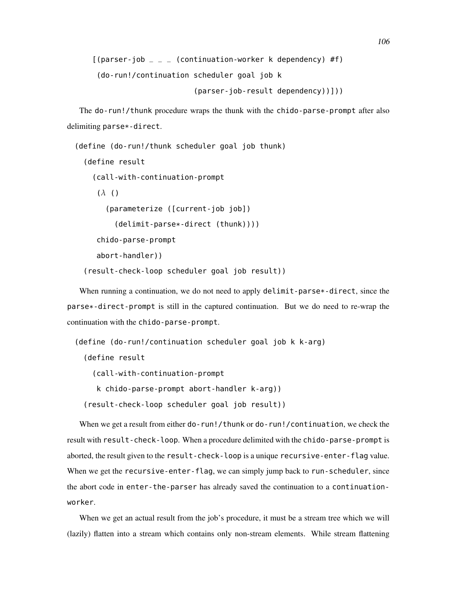```
[(parser-job = = = (continuation-worker k dependency) #f)
(do-run!/continuation scheduler goal job k
                       (parser-job-result dependency))]))
```
The do-run!/thunk procedure wraps the thunk with the chido-parse-prompt after also delimiting parse\*-direct.

```
(define (do-run!/thunk scheduler goal job thunk)
 (define result
    (call-with-continuation-prompt
     (λ ()
       (parameterize ([current-job job])
         (delimit-parse*-direct (thunk))))
    chido-parse-prompt
    abort-handler))
 (result-check-loop scheduler goal job result))
```
When running a continuation, we do not need to apply delimit-parse\*-direct, since the parse\*-direct-prompt is still in the captured continuation. But we do need to re-wrap the continuation with the chido-parse-prompt.

```
(define (do-run!/continuation scheduler goal job k k-arg)
 (define result
    (call-with-continuation-prompt
    k chido-parse-prompt abort-handler k-arg))
 (result-check-loop scheduler goal job result))
```
When we get a result from either do-run!/thunk or do-run!/continuation, we check the result with result-check-loop. When a procedure delimited with the chido-parse-prompt is aborted, the result given to the result-check-loop is a unique recursive-enter-flag value. When we get the recursive-enter-flag, we can simply jump back to run-scheduler, since the abort code in enter-the-parser has already saved the continuation to a continuationworker.

When we get an actual result from the job's procedure, it must be a stream tree which we will (lazily) flatten into a stream which contains only non-stream elements. While stream flattening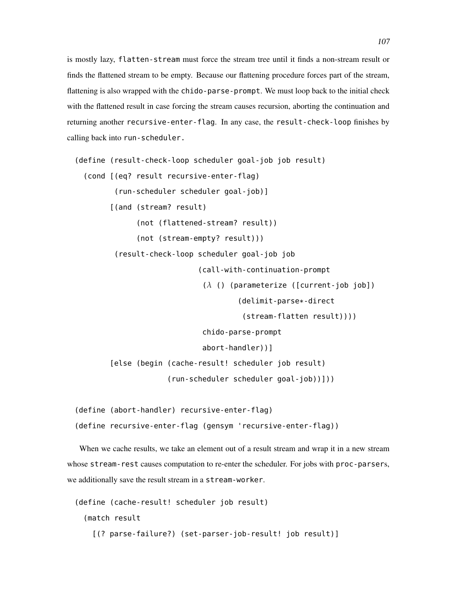is mostly lazy, flatten-stream must force the stream tree until it finds a non-stream result or finds the flattened stream to be empty. Because our flattening procedure forces part of the stream, flattening is also wrapped with the chido-parse-prompt. We must loop back to the initial check with the flattened result in case forcing the stream causes recursion, aborting the continuation and returning another recursive-enter-flag. In any case, the result-check-loop finishes by calling back into run-scheduler.

```
(define (result-check-loop scheduler goal-job job result)
  (cond [(eq? result recursive-enter-flag)
         (run-scheduler scheduler goal-job)]
        [(and (stream? result)
              (not (flattened-stream? result))
              (not (stream-empty? result)))
         (result-check-loop scheduler goal-job job
                            (call-with-continuation-prompt
                             (λ () (parameterize ([current-job job])
                                     (delimit-parse*-direct
                                      (stream-flatten result))))
                             chido-parse-prompt
                             abort-handler))]
        [else (begin (cache-result! scheduler job result)
                     (run-scheduler scheduler goal-job))]))
```

```
(define (abort-handler) recursive-enter-flag)
(define recursive-enter-flag (gensym 'recursive-enter-flag))
```
When we cache results, we take an element out of a result stream and wrap it in a new stream whose stream-rest causes computation to re-enter the scheduler. For jobs with proc-parsers, we additionally save the result stream in a stream-worker.

```
(define (cache-result! scheduler job result)
 (match result
   [(? parse-failure?) (set-parser-job-result! job result)]
```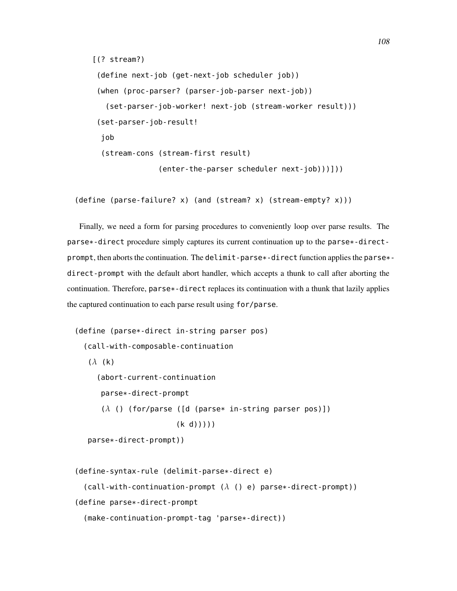```
[(? stream?)
 (define next-job (get-next-job scheduler job))
 (when (proc-parser? (parser-job-parser next-job))
   (set-parser-job-worker! next-job (stream-worker result)))
 (set-parser-job-result!
 job
  (stream-cons (stream-first result)
               (enter-the-parser scheduler next-job)))]))
```
(define (parse-failure? x) (and (stream? x) (stream-empty? x)))

Finally, we need a form for parsing procedures to conveniently loop over parse results. The parse\*-direct procedure simply captures its current continuation up to the parse\*-directprompt, then aborts the continuation. The delimit-parse\*-direct function applies the parse\* direct-prompt with the default abort handler, which accepts a thunk to call after aborting the continuation. Therefore, parse\*-direct replaces its continuation with a thunk that lazily applies the captured continuation to each parse result using for/parse.

```
(define (parse*-direct in-string parser pos)
  (call-with-composable-continuation
  (λ (k)
     (abort-current-continuation
     parse*-direct-prompt
      (λ () (for/parse ([d (parse* in-string parser pos)])
                       (k d))))
  parse*-direct-prompt))
(define-syntax-rule (delimit-parse*-direct e)
  (call-with-continuation-prompt (λ () e) parse*-direct-prompt))
(define parse*-direct-prompt
  (make-continuation-prompt-tag 'parse*-direct))
```